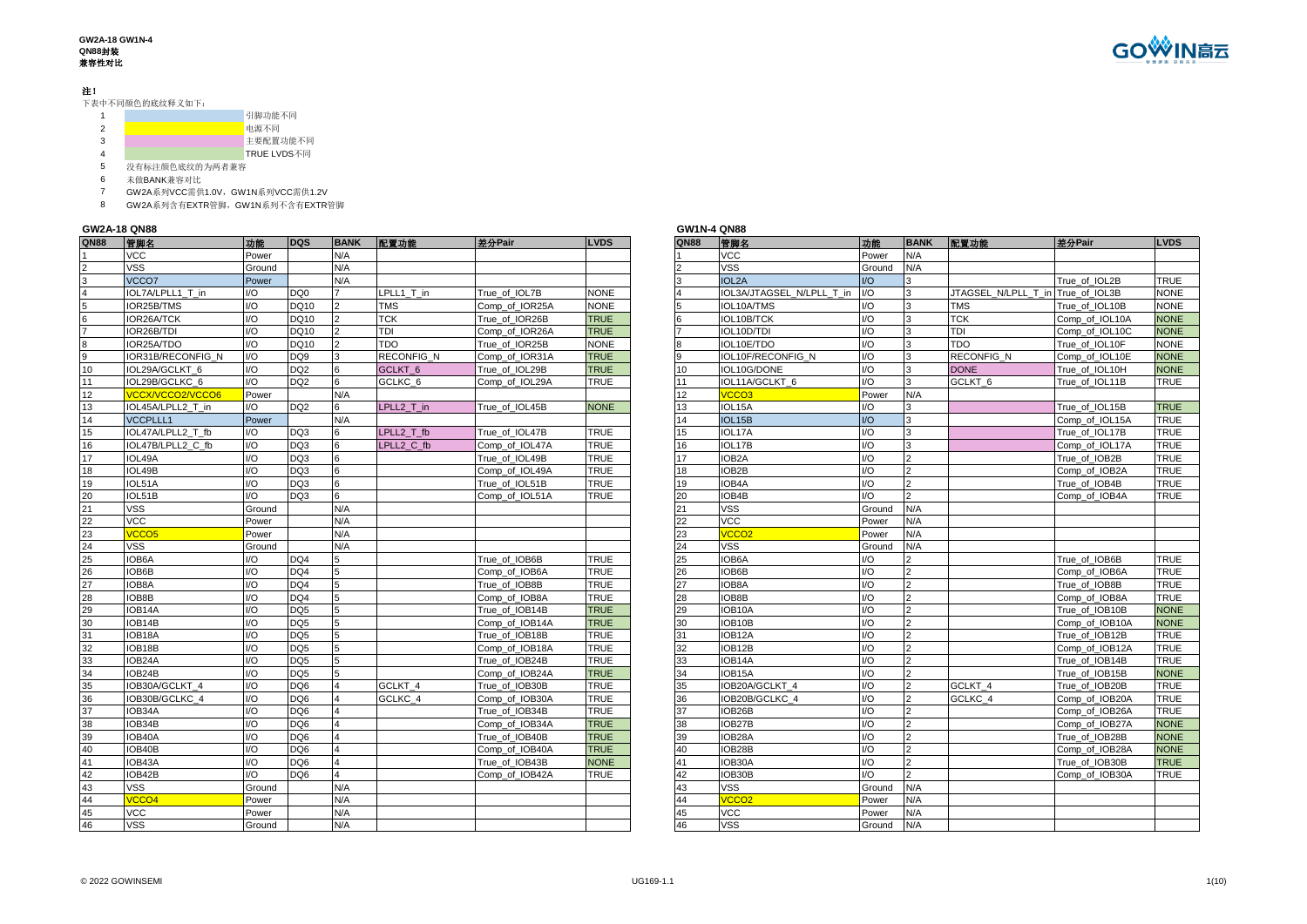#### 注!

下表中不同颜色的底纹释义如下:

|   | 引脚功能不同      |
|---|-------------|
|   | 电源不同        |
| 3 | 主要配置功能不同    |
| 4 | TRUE LVDS不同 |
|   |             |

没有标注颜色底纹的为两者兼容

未做BANK兼容对比

- GW2A系列VCC需供1.0V,GW1N系列VCC需供1.2V
- GW2A系列含有EXTR管脚,GW1N系列不含有EXTR管脚

# **GW2A-18 QN88 GW1N-4 QN88**

| QN88 | 管脚名               | 功能     | <b>DQS</b>       | <b>BANK</b> | 配置功能               | 差分Pair         | <b>LVDS</b> | <b>QN88</b> | 管脚名                             | 功能     |                      | BANK 配置功能           | 差分Pair         | <b>LVDS</b> |
|------|-------------------|--------|------------------|-------------|--------------------|----------------|-------------|-------------|---------------------------------|--------|----------------------|---------------------|----------------|-------------|
|      | <b>VCC</b>        | Power  |                  | N/A         |                    |                |             |             | <b>VCC</b>                      | Power  | N/A                  |                     |                |             |
|      | <b>VSS</b>        | Ground |                  | N/A         |                    |                |             |             | <b>VSS</b>                      | Ground | N/A                  |                     |                |             |
|      | VCCO7             | Power  |                  | N/A         |                    |                |             |             | <b>IOL2A</b>                    | 1/O    |                      |                     | True of IOL2B  | <b>TRUE</b> |
|      | IOL7A/LPLL1_T in  | I/O    | DO0              |             | LPLL1 T in         | True of IOL7B  | <b>NONE</b> |             | <b>OL3A/JTAGSEL N/LPLL T in</b> | I/O    | 3                    | JTAGSEL N/LPLL T in | True of IOL3B  | <b>NONE</b> |
|      | IOR25B/TMS        | 1/0    | DQ10             |             | <b>TMS</b>         | Comp of IOR25A | <b>NONE</b> |             | IOL10A/TMS                      | 1/O    | 3                    | <b>TMS</b>          | True of IOL10B | <b>NONE</b> |
| 6    | IOR26A/TCK        | I/O    | DQ10             |             | <b>TCK</b>         | True of IOR26B | <b>TRUE</b> |             | IOL10B/TCK                      | I/O    | 3                    | <b>TCK</b>          | Comp of IOL10A | <b>NONE</b> |
|      | IOR26B/TDI        | I/O    | DQ10             |             | TDI                | Comp of IOR26A | <b>TRUE</b> |             | IOL10D/TDI                      | 1/O    | 3                    | <b>TDI</b>          | Comp of IOL10C | <b>NONE</b> |
|      | IOR25A/TDO        | I/O    | DQ10             |             | <b>TDO</b>         | True of IOR25B | <b>NONE</b> |             | IOL10E/TDO                      | 1/O    | 3                    | <b>TDO</b>          | True of IOL10F | <b>NONE</b> |
| 9    | IOR31B/RECONFIG N | I/O    | DQ9              |             | RECONFIG_N         | Comp of IOR31A | <b>TRUE</b> |             | IOL10F/RECONFIG N               | 1/O    | 3                    | <b>RECONFIG N</b>   | Comp_of_IOL10E | <b>NONE</b> |
| 10   | IOL29A/GCLKT 6    | I/O    | DQ2              |             | GCLKT <sub>6</sub> | True of IOL29B | <b>TRUE</b> | 10          | IOL10G/DONE                     | 1/O    | 3                    | <b>DONE</b>         | True of IOL10H | <b>NONE</b> |
| 11   | IOL29B/GCLKC 6    | I/O    | DQ2              | 6           | GCLKC <sub>6</sub> | Comp of IOL29A | <b>TRUE</b> | 11          | IOL11A/GCLKT 6                  | 1/O    | 3                    | GCLKT_6             | True of IOL11B | <b>TRUE</b> |
| 12   | VCCX/VCCO2/VCCO6  | Power  |                  | N/A         |                    |                |             | 12          | <b>VCCO3</b>                    | Power  | N/A                  |                     |                |             |
| 13   | IOL45A/LPLL2 T in | 1/O    | DQ2              |             | LPLL2 T in         | True of IOL45B | <b>NONE</b> | 13          | IOL15A                          | 1/O    |                      |                     | True of IOL15B | <b>TRUE</b> |
| 14   | <b>VCCPLLL1</b>   | Power  |                  | N/A         |                    |                |             | 14          | <b>IOL15B</b>                   | 1/O    | $\vert$ <sub>3</sub> |                     | Comp of IOL15A | <b>TRUE</b> |
| 15   | IOL47A/LPLL2 T fb | I/O    | DO3              |             | LPLL2 T fb         | True of IOL47B | <b>TRUE</b> | 15          | IOL17A                          | 1/O    | 3                    |                     | True of IOL17B | <b>TRUE</b> |
| 16   | IOL47B/LPLL2 C fb | 1/O    | DQ3              |             | LPLL2 C fb         | Comp of IOL47A | <b>TRUE</b> | 16          | IOL17B                          | 1/O    | 3                    |                     | Comp of IOL17A | <b>TRUE</b> |
| 17   | IOL49A            | 1/O    | DQ3              |             |                    | True of IOL49B | <b>TRUE</b> | 17          | IOB <sub>2</sub> A              | 1/O    | $\overline{2}$       |                     | True of IOB2B  | <b>TRUE</b> |
| 18   | IOL49B            | I/O    | DQ3              |             |                    | Comp_of_IOL49A | <b>TRUE</b> | 18          | IOB2B                           | I/O    | $\overline{2}$       |                     | Comp_of_IOB2A  | <b>TRUE</b> |
| 19   | IOL51A            | I/O    | DQ3              | 6           |                    | True of IOL51B | <b>TRUE</b> | 19          | IOB4A                           | 1/O    | $\overline{2}$       |                     | True of IOB4B  | <b>TRUE</b> |
| 20   | IOL51B            | I/O    | DO3              | 6           |                    | Comp of IOL51A | <b>TRUE</b> | 20          | IOB4B                           | 1/O    | $\mathcal{P}$        |                     | Comp of IOB4A  | <b>TRUE</b> |
| 21   | <b>VSS</b>        | Ground |                  | N/A         |                    |                |             | 21          | <b>VSS</b>                      | Ground | N/A                  |                     |                |             |
| 22   | VCC               | Power  |                  | N/A         |                    |                |             | 22          | <b>VCC</b>                      | Power  | N/A                  |                     |                |             |
| 23   | VCCO <sub>5</sub> | Power  |                  | N/A         |                    |                |             | 23          | <b>VCCO2</b>                    | Power  | N/A                  |                     |                |             |
| 24   | <b>VSS</b>        | Ground |                  | N/A         |                    |                |             | 24          | <b>VSS</b>                      | Ground | N/A                  |                     |                |             |
| 25   | IOB6A             | I/O    | D <sub>O</sub> 4 | 5           |                    | True of IOB6B  | <b>TRUE</b> | 25          | IOB6A                           | 1/O    |                      |                     | True of IOB6B  | <b>TRUE</b> |
| 26   | IOB6B             | I/O    | DO <sub>4</sub>  | 5           |                    | Comp of IOB6A  | <b>TRUE</b> | 26          | IOB6B                           | 1/O    | $\overline{2}$       |                     | Comp of IOB6A  | <b>TRUE</b> |
| 27   | IOB8A             | I/O    | DQ4              | 5           |                    | True of IOB8B  | <b>TRUE</b> | 27          | IOB8A                           | 1/O    | $\overline{2}$       |                     | True of IOB8B  | <b>TRUE</b> |
| 28   | IOB8B             | I/O    | DQ4              | 5           |                    | Comp of IOB8A  | <b>TRUE</b> | 28          | IOB8B                           | I/O    | $\overline{2}$       |                     | Comp of IOB8A  | <b>TRUE</b> |
| 29   | IOB14A            | I/O    | DQ <sub>5</sub>  |             |                    | True of IOB14B | <b>TRUE</b> | 29          | <b>IOB10A</b>                   | 1/O    | $\overline{2}$       |                     | True of IOB10B | <b>NONE</b> |
| 30   | IOB14B            | I/O    | DO <sub>5</sub>  |             |                    | Comp of IOB14A | <b>TRUE</b> | 30          | IOB10B                          | 1/O    | $\mathcal{P}$        |                     | Comp of IOB10A | <b>NONE</b> |
| 31   | IOB18A            | I/O    | DQ5              | 5           |                    | True of IOB18B | <b>TRUE</b> | 31          | IOB12A                          | 1/O    | $\overline{2}$       |                     | True of IOB12B | <b>TRUE</b> |
| 32   | IOB18B            | 1/O    | DO <sub>5</sub>  |             |                    | Comp of IOB18A | <b>TRUE</b> | 32          | IOB12B                          | 1/O    | $\overline{2}$       |                     | Comp of IOB12A | <b>TRUE</b> |
| 33   | IOB24A            | I/O    | DQ5              |             |                    | True of IOB24B | <b>TRUE</b> | 33          | IOB <sub>14</sub> A             | 1/O    | $\overline{2}$       |                     | True of IOB14B | <b>TRUE</b> |
| 34   | IOB24B            | I/O    | DQ5              |             |                    | Comp of IOB24A | <b>TRUE</b> | 34          | OB <sub>15</sub> A              | 1/O    | $\mathcal{P}$        |                     | True of IOB15B | <b>NONE</b> |
| 35   | IOB30A/GCLKT 4    | 1/0    | aQC              |             | GCLKT 4            | True_of_IOB30B | <b>TRUE</b> | 35          | IOB20A/GCLKT 4                  | 1/O    | $\mathcal{P}$        | GCLKT 4             | True of IOB20B | <b>TRUE</b> |
| 36   | IOB30B/GCLKC 4    | I/O    | DQ6              |             | GCLKC_4            | Comp of IOB30A | <b>TRUE</b> | 36          | IOB20B/GCLKC 4                  | 1/O    | $\overline{2}$       | GCLKC 4             | Comp of IOB20A | <b>TRUE</b> |
| 37   | IOB34A            | 1/O    | aOO              |             |                    | True of IOB34B | <b>TRUE</b> | 37          | IOB26B                          | I/O    | $\overline{2}$       |                     | Comp of IOB26A | <b>TRUE</b> |
| 38   | IOB34B            | I/O    | DQ6              |             |                    | Comp of IOB34A | <b>TRUE</b> | 38          | IOB27B                          | 1/O    | $\overline{2}$       |                     | Comp of IOB27A | <b>NONE</b> |
| 39   | IOB40A            | I/O    | DQ6              |             |                    | True of IOB40B | <b>TRUE</b> | 39          | <b>OB28A</b>                    | 1/O    | $\overline{2}$       |                     | True of IOB28B | <b>NONE</b> |
| 40   | IOB40B            | 1/0    | aOO              | $\Delta$    |                    | Comp_of_IOB40A | <b>TRUE</b> | 40          | IOB28B                          | 1/O    | $\overline{2}$       |                     | Comp_of_IOB28A | <b>NONE</b> |
| 41   | IOB43A            | I/O    | DQ6              |             |                    | True of IOB43B | <b>NONE</b> | 41          | IOB30A                          | I/O    | $\overline{2}$       |                     | True of IOB30B | <b>TRUE</b> |
| 42   | IOB42B            | 1/O    | aOO              |             |                    | Comp of IOB42A | <b>TRUE</b> | 42          | IOB30B                          | 1/O    | $\mathcal{L}$        |                     | Comp of IOB30A | <b>TRUE</b> |
| 43   | <b>VSS</b>        | Ground |                  | N/A         |                    |                |             | 43          | <b>VSS</b>                      | Ground | N/A                  |                     |                |             |
| 44   | <b>VCCO4</b>      | Power  |                  | N/A         |                    |                |             | 44          | /CCO <sub>2</sub>               | Power  | N/A                  |                     |                |             |
| 45   | <b>VCC</b>        | Power  |                  | N/A         |                    |                |             | 45          | <b>VCC</b>                      | Power  | N/A                  |                     |                |             |
| 46   | <b>VSS</b>        | Ground |                  | N/A         |                    |                |             | 46          | <b>VSS</b>                      | Ground | N/A                  |                     |                |             |

| GW1N-4 QN88     |                           |        |                |                                   |                |             |
|-----------------|---------------------------|--------|----------------|-----------------------------------|----------------|-------------|
| <b>QN88</b>     | 管脚名                       | 功能     | <b>BANK</b>    | 配置功能                              | 差分Pair         | <b>LVDS</b> |
| $\mathbf{1}$    | <b>VCC</b>                | Power  | N/A            |                                   |                |             |
| $\overline{2}$  | <b>VSS</b>                | Ground | N/A            |                                   |                |             |
| 3               | <b>IOL2A</b>              | 1/O    | 3              |                                   | True of IOL2B  | <b>TRUE</b> |
| $\overline{4}$  | IOL3A/JTAGSEL N/LPLL T in | I/O    | 3              | JTAGSEL N/LPLL T in True of IOL3B |                | <b>NONE</b> |
| 5               | IOL10A/TMS                | 1/O    | 3              | <b>TMS</b>                        | True_of_IOL10B | <b>NONE</b> |
| $6\overline{6}$ | IOL10B/TCK                | 1/O    | 3              | <b>TCK</b>                        | Comp_of_IOL10A | <b>NONE</b> |
| $\overline{7}$  | IOL10D/TDI                | I/O    | 3              | TDI                               | Comp_of_IOL10C | <b>NONE</b> |
| 8               | IOL10E/TDO                | 1/O    | 3              | <b>TDO</b>                        | True of IOL10F | <b>NONE</b> |
| 9               | IOL10F/RECONFIG N         | I/O    | 3              | <b>RECONFIG N</b>                 | Comp_of_IOL10E | <b>NONE</b> |
| 10              | IOL10G/DONE               | I/O    | 3              | <b>DONE</b>                       | True_of_IOL10H | <b>NONE</b> |
| 11              | IOL11A/GCLKT 6            | I/O    | 3              | GCLKT <sub>6</sub>                | True of IOL11B | <b>TRUE</b> |
| 12              | VCCO <sub>3</sub>         | Power  | N/A            |                                   |                |             |
| 13              | IOL15A                    | I/O    | 3              |                                   | True_of_IOL15B | <b>TRUE</b> |
| 14              | IOL15B                    | 1/O    | 3              |                                   | Comp_of_IOL15A | <b>TRUE</b> |
| 15              | IOL17A                    | 1/O    | 3              |                                   | True of IOL17B | <b>TRUE</b> |
| 16              | IOL17B                    | I/O    | 3              |                                   | Comp of IOL17A | <b>TRUE</b> |
| 17              | IOB <sub>2</sub> A        | 1/O    | $\overline{2}$ |                                   | True of IOB2B  | <b>TRUE</b> |
| 18              | IOB2B                     | I/O    | $\overline{c}$ |                                   | Comp of IOB2A  | <b>TRUE</b> |
| 19              | IOB4A                     | I/O    | $\overline{2}$ |                                   | True_of_IOB4B  | <b>TRUE</b> |
| 20              | IOB4B                     | 1/O    | $\overline{2}$ |                                   | Comp of IOB4A  | <b>TRUE</b> |
| 21              | VSS                       | Ground | N/A            |                                   |                |             |
| 22              | <b>VCC</b>                | Power  | N/A            |                                   |                |             |
| 23              | VCCO <sub>2</sub>         | Power  | N/A            |                                   |                |             |
| 24              | VSS                       | Ground | N/A            |                                   |                |             |
| 25              | IOB6A                     | 1/O    | $\overline{2}$ |                                   | True of IOB6B  | <b>TRUE</b> |
| 26              | IOB6B                     | I/O    | $\overline{2}$ |                                   | Comp_of_IOB6A  | <b>TRUE</b> |
| 27              | IOB8A                     | 1/O    | $\overline{2}$ |                                   | True of IOB8B  | <b>TRUE</b> |
| 28              | IOB8B                     | 1/O    | $\overline{2}$ |                                   | Comp of IOB8A  | <b>TRUE</b> |
| 29              | IOB10A                    | I/O    | $\overline{2}$ |                                   | True_of_IOB10B | <b>NONE</b> |
| 30              | IOB10B                    | 1/O    | $\overline{2}$ |                                   | Comp of IOB10A | <b>NONE</b> |
| 31              | IOB12A                    | I/O    | $\overline{2}$ |                                   | True of IOB12B | <b>TRUE</b> |
| 32              | IOB12B                    | I/O    | $\overline{2}$ |                                   | Comp_of_IOB12A | <b>TRUE</b> |
| 33              | IOB14A                    | I/O    | $\overline{2}$ |                                   | True of IOB14B | <b>TRUE</b> |
| 34              | IOB15A                    | I/O    | $\overline{2}$ |                                   | True of IOB15B | <b>NONE</b> |
| 35              | IOB20A/GCLKT 4            | I/O    | $\overline{2}$ | GCLKT 4                           | True_of_IOB20B | <b>TRUE</b> |
| 36              | IOB20B/GCLKC 4            | 1/O    | $\overline{2}$ | GCLKC 4                           | Comp_of_IOB20A | <b>TRUE</b> |
| 37              | IOB26B                    | 1/O    | $\overline{2}$ |                                   | Comp_of_IOB26A | <b>TRUE</b> |
| 38              | IOB27B                    | 1/O    | $\overline{2}$ |                                   | Comp of IOB27A | <b>NONE</b> |
| 39              | IOB28A                    | I/O    | $\overline{2}$ |                                   | True of IOB28B | <b>NONE</b> |
| 40              | IOB28B                    | I/O    | $\overline{c}$ |                                   | Comp of IOB28A | <b>NONE</b> |
| 41              | IOB30A                    | 1/O    | $\overline{2}$ |                                   | True of IOB30B | <b>TRUE</b> |
| 42              | IOB30B                    | I/O    | $\overline{2}$ |                                   | Comp_of_IOB30A | <b>TRUE</b> |
| 43              | <b>VSS</b>                | Ground | N/A            |                                   |                |             |
| 44              | VCCO <sub>2</sub>         | Power  | N/A            |                                   |                |             |
| 45              | VCC                       | Power  | N/A            |                                   |                |             |
|                 |                           |        |                |                                   |                |             |

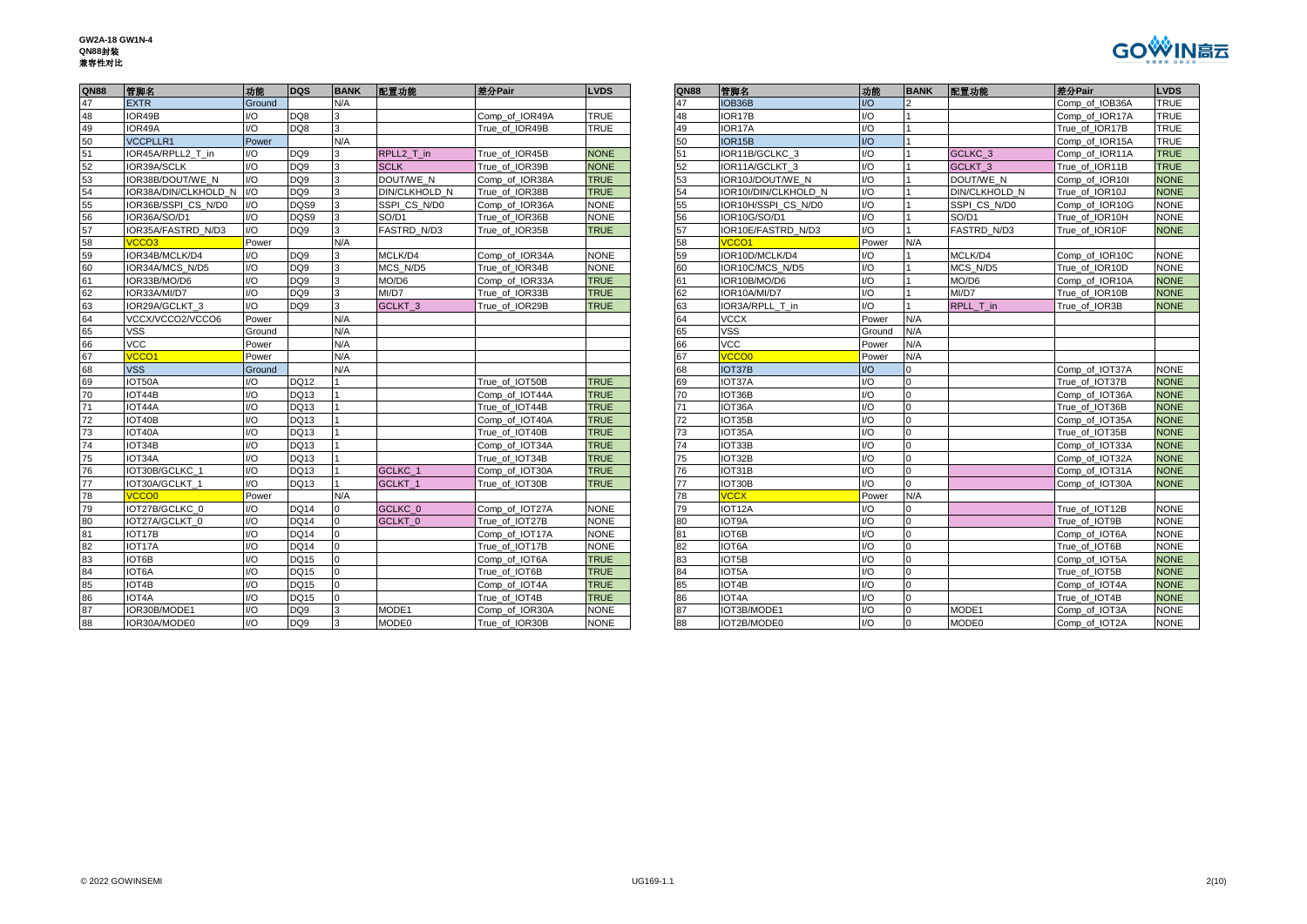

| <b>QN88</b>     | 管脚名                    | 功能               | <b>DQS</b>       | <b>BANK</b> | 配置功能                 | 差分Pair         | <b>LVDS</b> | <b>QN88</b> | 管脚名                  | 功能                    | <b>BANK</b> | 配置功能                 | 差分Pair                     | <b>LVDS</b> |
|-----------------|------------------------|------------------|------------------|-------------|----------------------|----------------|-------------|-------------|----------------------|-----------------------|-------------|----------------------|----------------------------|-------------|
| 47              | <b>EXTR</b>            | Ground           |                  | N/A         |                      |                |             | 47          | IOB36B               | 1/O                   |             |                      | Comp of IOB36A             | <b>TRUE</b> |
| 48              | IOR49B                 | I/O              | DQ8              |             |                      | Comp of IOR49A | <b>TRUE</b> | 48          | IOR <sub>17</sub> B  | I/O                   |             |                      | Comp of IOR17A             | <b>TRUE</b> |
| 49              | IOR49A                 | $\overline{1/O}$ | DQ8              |             |                      | True of IOR49B | <b>TRUE</b> | 49          | IOR17A               | I/O                   |             |                      | True of IOR17B             | <b>TRUE</b> |
| 50              | <b>VCCPLLR1</b>        | Power            |                  | N/A         |                      |                |             | 50          | IOR <sub>15</sub> B  | I/O                   |             |                      | Comp of IOR15A             | <b>TRUE</b> |
| 51              | IOR45A/RPLL2 T in      | I/O              | DQ <sub>9</sub>  | ર           | RPLL2 T in           | True of IOR45B | <b>NONE</b> | 51          | IOR11B/GCLKC 3       | I/O                   |             | GCLKC <sub>3</sub>   | Comp of IOR11A             | <b>TRUE</b> |
| 52              | IOR39A/SCLK            | 1/O              | DQ <sub>9</sub>  |             | <b>SCLK</b>          | True of IOR39B | <b>NONE</b> | 52          | IOR11A/GCLKT 3       | I/O                   |             | GCLKT <sub>3</sub>   | True of IOR11B             | <b>TRUE</b> |
| 53              | IOR38B/DOUT/WE N       | 1/O              | DQ <sub>9</sub>  | 3           | DOUT/WE N            | Comp_of_IOR38A | <b>TRUE</b> | 53          | IOR10J/DOUT/WE N     | I/O                   |             | DOUT/WE N            | Comp of IOR10I             | <b>NONE</b> |
| 54              | IOR38A/DIN/CLKHOLD N   | I/O              | DQ <sub>9</sub>  |             | <b>DIN/CLKHOLD N</b> | True of IOR38B | <b>TRUE</b> | 54          | IOR10I/DIN/CLKHOLD N | $\overline{1/O}$      |             | <b>DIN/CLKHOLD N</b> | True of IOR10J             | <b>NONE</b> |
| 55              | IOR36B/SSPI CS N/D0    | I/O              | DQS9             |             | SSPI CS N/D0         | Comp of IOR36A | <b>NONE</b> | 55          | IOR10H/SSPI CS N/D0  | I/O                   |             | SSPI CS N/D0         | Comp of IOR10G             | <b>NONE</b> |
| 56              | IOR36A/SO/D1           | 1/O              | DOS <sub>9</sub> |             | SO/D1                | True of IOR36B | <b>NONE</b> | 56          | IOR10G/SO/D1         | 1/O                   |             | SO/D1                | True of IOR10H             | <b>NONE</b> |
| 57              | IOR35A/FASTRD N/D3     | 1/O              | DQ <sub>9</sub>  |             | <b>FASTRD N/D3</b>   | True of IOR35B | <b>TRUE</b> | 57          | IOR10E/FASTRD N/D3   | 1/O                   |             | FASTRD N/D3          | True of IOR10F             | <b>NONE</b> |
| 58              | /CCO3                  | Power            |                  | N/A         |                      |                |             | 58          | <b>VCCO1</b>         | Power                 | N/A         |                      |                            |             |
| 59              | IOR34B/MCLK/D4         | I/O              | DQ <sub>9</sub>  |             | MCLK/D4              | Comp of IOR34A | <b>NONE</b> | 59          | IOR10D/MCLK/D4       | I/O                   |             | MCLK/D4              | Comp of IOR10C             | <b>NONE</b> |
| 60              | <b>IOR34A/MCS N/D5</b> | 1/O              | <b>DO9</b>       |             | MCS N/D5             | True of IOR34B | <b>NONE</b> | 60          | IOR10C/MCS N/D5      | I/O                   |             | MCS N/D5             | True of IOR10D             | <b>NONE</b> |
| 61              | IOR33B/MO/D6           | 1/O              | DQ <sub>9</sub>  | 3           | MO/D6                | Comp of IOR33A | <b>TRUE</b> | 61          | IOR10B/MO/D6         | I/O                   |             | MO/D6                | Comp of IOR10A             | <b>NONE</b> |
| 62              | IOR33A/MI/D7           | 1/O              | DQ <sub>9</sub>  |             | MI/D7                | True_of_IOR33B | <b>TRUE</b> | 62          | IOR10A/MI/D7         | I/O                   |             | MI/D7                | True_of_IOR10B             | <b>NONE</b> |
| 63              | IOR29A/GCLKT 3         | I/O              | DQ <sub>9</sub>  |             | <b>GCLKT 3</b>       | True of IOR29B | <b>TRUE</b> | 63          | IOR3A/RPLL T in      | I/O                   |             | RPLL T in            | True of IOR3B              | <b>NONE</b> |
| 64              | VCCX/VCCO2/VCCO6       | Power            |                  | N/A         |                      |                |             | 64          | <b>VCCX</b>          | Power                 | N/A         |                      |                            |             |
| 65              | <b>VSS</b>             | Ground           |                  | N/A         |                      |                |             | 65          | <b>VSS</b>           | Ground                | N/A         |                      |                            |             |
| 66              | <b>VCC</b>             | Power            |                  | N/A         |                      |                |             | 66          | <b>VCC</b>           | Power                 | N/A         |                      |                            |             |
| 67              | /CCO1                  | Power            |                  | N/A         |                      |                |             | 67          | <b>VCCO0</b>         | Power                 | N/A         |                      |                            |             |
| 68              | <b>VSS</b>             | Ground           |                  | N/A         |                      |                |             | 68          | IOT37B               | U                     |             |                      | Comp of IOT37A             | <b>NONE</b> |
| 69              | IOT50A                 | I/O              | <b>DQ12</b>      |             |                      | True of IOT50B | <b>TRUE</b> | 69          | IOT37A               | I/O                   | $\Omega$    |                      | True of IOT37B             | <b>NONE</b> |
| 70              | IOT44B                 | I/O              | <b>DQ13</b>      |             |                      | Comp of IOT44A | <b>TRUE</b> | 70          | IOT36B               | I/O                   |             |                      | Comp_of_IOT36A             | <b>NONE</b> |
| $\overline{71}$ | IOT44A                 | 1/O              | <b>DQ13</b>      |             |                      | True of IOT44B | <b>TRUE</b> | 71          | IOT36A               | I/O                   |             |                      | True of IOT36B             | <b>NONE</b> |
| 72              | IOT40B                 | I/O              | <b>DQ13</b>      |             |                      | Comp of IOT40A | <b>TRUE</b> | 72          | IOT35B               | I/O                   |             |                      | Comp of IOT35A             | <b>NONE</b> |
| 73              | IOT <sub>40</sub> A    | 1/O              | <b>DQ13</b>      |             |                      | True of IOT40B | <b>TRUE</b> | 73          | IOT35A               | I/O                   |             |                      | True of IOT35B             | <b>NONE</b> |
| 74              | IOT34B                 | I/O              | <b>DQ13</b>      |             |                      | Comp of IOT34A | <b>TRUE</b> | 74          | IOT33B               | I/O                   |             |                      | Comp_of_IOT33A             | <b>NONE</b> |
| 75              | IOT34A                 | 1/O              | <b>DQ13</b>      |             |                      | True of IOT34B | <b>TRUE</b> | 75          | IOT32B               | I/O                   |             |                      | Comp_of_IOT32A             | <b>NONE</b> |
| 76              | IOT30B/GCLKC 1         | I/O              | <b>DQ13</b>      |             | GCLKC <sub>1</sub>   | Comp of IOT30A | <b>TRUE</b> | 76          | IOT31B               | I/O                   |             |                      | Comp of IOT31A             | <b>NONE</b> |
| 77              | IOT30A/GCLKT 1         | 1/O              | <b>DQ13</b>      |             | GCLKT <sub>1</sub>   | True of IOT30B | <b>TRUE</b> | 77          | IOT30B               | 1/O                   |             |                      | Comp of IOT30A             | <b>NONE</b> |
| 78              | /CCO0                  | Power            |                  | N/A         |                      |                |             | 78          | <b>VCCX</b>          | Power                 | N/A         |                      |                            |             |
| 79              | IOT27B/GCLKC 0         | I/O              | <b>DQ14</b>      |             | GCLKC 0              | Comp of IOT27A | <b>NONE</b> | 79          | IOT <sub>12</sub> A  | I/O                   |             |                      | True of IOT12B             | <b>NONE</b> |
| 80              | IOT27A/GCLKT 0         | 1/O              | <b>DQ14</b>      |             | GCLKT <sub>0</sub>   | True of IOT27B | <b>NONE</b> | 80          | <b>IOT9A</b>         | I/O                   |             |                      | True of IOT9B              | <b>NONE</b> |
| 81              | IOT17B                 | 1/O              | <b>DQ14</b>      |             |                      | Comp of IOT17A | <b>NONE</b> | 81          | IOT6B                | 1/O                   |             |                      | Comp of IOT6A              | <b>NONE</b> |
| 82              | IOT17A                 | I/O              | <b>DQ14</b>      |             |                      | True of IOT17B | <b>NONE</b> | 82          | IOT6A                | I/O                   |             |                      | True of IOT6B              | <b>NONE</b> |
| 83              | IOT6B                  | I/O              | <b>DQ15</b>      |             |                      | Comp of IOT6A  | <b>TRUE</b> | 83          | IOT5B                | I/O                   |             |                      | Comp of IOT5A              | <b>NONE</b> |
| 84              | IOT6A                  | I/O              | <b>DQ15</b>      |             |                      | True_of_IOT6B  | <b>TRUE</b> | 84          | IOT5A                | I/O                   |             |                      | True_of_IOT5B              | <b>NONE</b> |
| 85              | IOT4B                  | 1/O              | <b>DQ15</b>      |             |                      | Comp of IOT4A  | <b>TRUE</b> | 85          | IOT4B                | I/O                   |             |                      | Comp of IOT4A              | <b>NONE</b> |
| 86              | IOT4A                  | I/O              | <b>DQ15</b>      |             |                      | True of IOT4B  | <b>TRUE</b> | 86          | IOT4A                | I/O                   |             |                      | True of IOT4B              | <b>NONE</b> |
| 87              | IOR30B/MODE1           | 1/O              | DQ9              | 3           | MODE1                | Comp of IOR30A | <b>NONE</b> | 87          | IOT3B/MODE1          | I/O                   |             | MODE1                | Comp of IOT3A              | <b>NONE</b> |
| <b>RR</b>       | IOR30A/MODE0           | $1/\Omega$       | nog              |             | <b>MODE0</b>         | True of IOR30B | <b>NONE</b> | <b>RR</b>   | IOT2B/MODE0          | $\overline{1/\Omega}$ |             | <b>MODE0</b>         | Comp of IOT <sub>2</sub> A | <b>NONE</b> |

| QN88 | 管脚名                  | 功能             | <b>DQS</b>      | <b>BANK</b>    | 配置功能               | 差分Pair         | <b>LVDS</b> | QN88 | 管脚名                  | 功能             | <b>BANK</b>    | 配置功能                 | 差分Pair         | <b>LVDS</b> |
|------|----------------------|----------------|-----------------|----------------|--------------------|----------------|-------------|------|----------------------|----------------|----------------|----------------------|----------------|-------------|
| 47   | <b>EXTR</b>          | Ground         |                 | N/A            |                    |                |             |      | IOB36B               | $\overline{O}$ |                |                      | Comp of IOB36A | <b>TRUE</b> |
| 48   | IOR49B               | 1/O            | DQ8             | 3              |                    | Comp of IOR49A | <b>TRUE</b> | 48   | IOR17B               | I/O            |                |                      | Comp_of_IOR17A | <b>TRUE</b> |
| 49   | IOR49A               | 1/O            | DQ8             | 3              |                    | True of IOR49B | <b>TRUE</b> | 49   | IOR17A               | I/O            |                |                      | True of IOR17B | <b>TRUE</b> |
| 50   | <b>VCCPLLR1</b>      | Power          |                 | N/A            |                    |                |             | 50   | IOR <sub>15</sub> B  | I/O            |                |                      | Comp_of_IOR15A | <b>TRUE</b> |
| 51   | IOR45A/RPLL2 T in    | I/O            | DQ <sub>9</sub> | 3              | RPLL2 T in         | True of IOR45B | <b>NONE</b> | 51   | IOR11B/GCLKC 3       | I/O            |                | GCLKC <sub>3</sub>   | Comp of IOR11A | <b>TRUE</b> |
| 52   | IOR39A/SCLK          | 1/O            | DQ <sub>9</sub> | $\mathbf{B}$   | <b>SCLK</b>        | True of IOR39B | <b>NONE</b> | 52   | IOR11A/GCLKT 3       | I/O            |                | GCLKT <sub>3</sub>   | True_of_IOR11B | <b>TRUE</b> |
| 53   | IOR38B/DOUT/WE N     | I/O            | DQ <sub>9</sub> | 3              | DOUT/WE N          | Comp of IOR38A | <b>TRUE</b> | 53   | IOR10J/DOUT/WE N     | I/O            |                | DOUT/WE N            | Comp of IOR10I | <b>NONE</b> |
| 54   | IOR38A/DIN/CLKHOLD N | 1/O            | DQ <sub>9</sub> | 3              | DIN/CLKHOLD N      | True of IOR38B | <b>TRUE</b> | 54   | IOR10I/DIN/CLKHOLD N | I/O            |                | <b>DIN/CLKHOLD N</b> | True of IOR10J | <b>NONE</b> |
| 55   | IOR36B/SSPI CS N/D0  | 1/O            | DQS9            | 3              | SSPI CS N/D0       | Comp of IOR36A | <b>NONE</b> | 55   | IOR10H/SSPI CS N/D0  | I/O            |                | SSPI CS N/D0         | Comp of IOR10G | <b>NONE</b> |
| 56   | IOR36A/SO/D1         | 1/O            | DQS9            | 3              | SO/D1              | True_of_IOR36B | <b>NONE</b> | 56   | IOR10G/SO/D1         | I/O            |                | SO/D1                | True_of_IOR10H | <b>NONE</b> |
| 57   | IOR35A/FASTRD N/D3   | 1/O            | DQ <sub>9</sub> | 3              | FASTRD N/D3        | True of IOR35B | <b>TRUE</b> | 57   | IOR10E/FASTRD N/D3   | U              |                | <b>FASTRD N/D3</b>   | True of IOR10F | <b>NONE</b> |
| 58   | /CCO <sub>3</sub>    | Power          |                 | N/A            |                    |                |             | 58   | /CCO1                | Power          | N/A            |                      |                |             |
| 59   | IOR34B/MCLK/D4       | 1/O            | DQ <sub>9</sub> | $\mathbf{B}$   | MCLK/D4            | Comp_of_IOR34A | <b>NONE</b> | 59   | IOR10D/MCLK/D4       | I/O            |                | MCLK/D4              | Comp_of_IOR10C | <b>NONE</b> |
| 60   | IOR34A/MCS N/D5      | 1/O            | DQ <sub>9</sub> | 3              | MCS N/D5           | True of IOR34B | <b>NONE</b> | 60   | IOR10C/MCS N/D5      | I/O            |                | MCS N/D5             | True_of_IOR10D | <b>NONE</b> |
| 61   | IOR33B/MO/D6         | I/O            | DQ <sub>9</sub> | 3              | MO/D6              | Comp of IOR33A | <b>TRUE</b> | 61   | IOR10B/MO/D6         | I/O            |                | MO/D6                | Comp of IOR10A | <b>NONE</b> |
| 62   | IOR33A/MI/D7         | 1/O            | DQ <sub>9</sub> | $\mathbf{B}$   | MI/D7              | True of IOR33B | <b>TRUE</b> | 62   | IOR10A/MI/D7         | I/O            |                | MI/D7                | True of IOR10B | <b>NONE</b> |
| 63   | IOR29A/GCLKT 3       | I/O            | DQ <sub>9</sub> | $\mathbf{B}$   | GCLKT <sub>3</sub> | True of IOR29B | <b>TRUE</b> | 63   | IOR3A/RPLL_T_in      | I/O            |                | RPLL_T_in            | True of IOR3B  | <b>NONE</b> |
| 64   | VCCX/VCCO2/VCCO6     | Power          |                 | N/A            |                    |                |             | 64   | <b>VCCX</b>          | Power          | N/A            |                      |                |             |
| 65   | <b>VSS</b>           | Ground         |                 | N/A            |                    |                |             | 65   | <b>VSS</b>           | Ground         | N/A            |                      |                |             |
| 66   | <b>VCC</b>           | Power          |                 | N/A            |                    |                |             | 66   | <b>VCC</b>           | Power          | N/A            |                      |                |             |
| 67   | VCCO <sub>1</sub>    | Power          |                 | N/A            |                    |                |             | 67   | <b>CCOO</b>          | Power          | N/A            |                      |                |             |
| 68   | <b>VSS</b>           | Ground         |                 | N/A            |                    |                |             | 68   | IOT37B               | 1/O            | l0             |                      | Comp of IOT37A | <b>NONE</b> |
| 69   | IOT50A               | I/O            | DQ12            |                |                    | True of IOT50B | <b>TRUE</b> | 69   | IOT37A               | I/O            | $\Omega$       |                      | True of IOT37B | <b>NONE</b> |
| 70   | IOT44B               | I/O            | <b>DQ13</b>     |                |                    | Comp of IOT44A | <b>TRUE</b> | 70   | IOT36B               | I/O            | $\Omega$       |                      | Comp of IOT36A | <b>NONE</b> |
| 71   | IOT44A               | 1/O            | DQ13            |                |                    | True of IOT44B | <b>TRUE</b> | 71   | IOT36A               | I/O            | $\Omega$       |                      | True of IOT36B | <b>NONE</b> |
| 72   | IOT40B               | 1/O            | DQ13            |                |                    | Comp of IOT40A | <b>TRUE</b> | 72   | IOT35B               | I/O            | $\Omega$       |                      | Comp of IOT35A | <b>NONE</b> |
| 73   | IOT40A               | 1/O            | DQ13            |                |                    | True of IOT40B | <b>TRUE</b> | 73   | IOT35A               | I/O            | $\Omega$       |                      | True of IOT35B | <b>NONE</b> |
| 74   | IOT34B               | $\overline{O}$ | DQ13            |                |                    | Comp of IOT34A | <b>TRUE</b> | 74   | IOT33B               | I/O            | $\Omega$       |                      | Comp of IOT33A | <b>NONE</b> |
| 75   | IOT34A               | 1/O            | <b>DQ13</b>     |                |                    | True of IOT34B | <b>TRUE</b> | 75   | IOT32B               | I/O            | $\Omega$       |                      | Comp_of_IOT32A | <b>NONE</b> |
| 76   | IOT30B/GCLKC 1       | 1/O            | DQ13            |                | GCLKC 1            | Comp of IOT30A | <b>TRUE</b> | 76   | IOT31B               | I/O            | $\Omega$       |                      | Comp of IOT31A | <b>NONE</b> |
| 77   | IOT30A/GCLKT 1       | I/O            | <b>DQ13</b>     |                | GCLKT_1            | True of IOT30B | <b>TRUE</b> | 77   | IOT30B               | I/O            | $\Omega$       |                      | Comp of IOT30A | <b>NONE</b> |
| 78   | /CCO0                | Power          |                 | N/A            |                    |                |             | 78   | <b>CCX</b>           | Power          | N/A            |                      |                |             |
| 79   | IOT27B/GCLKC 0       | I/O            | <b>DQ14</b>     | $\Omega$       | GCLKC <sub>0</sub> | Comp_of_IOT27A | <b>NONE</b> | 79   | IOT <sub>12</sub> A  | I/O            | $\Omega$       |                      | True of IOT12B | <b>NONE</b> |
| 80   | IOT27A/GCLKT 0       | 1/O            | <b>DQ14</b>     | $\Omega$       | GCLKT <sub>0</sub> | True of IOT27B | <b>NONE</b> | 80   | IOT9A                | 1/O            | $\Omega$       |                      | True of IOT9B  | <b>NONE</b> |
| 81   | IOT17B               | 1/O            | <b>DQ14</b>     | $\Omega$       |                    | Comp of IOT17A | <b>NONE</b> | 81   | IOT6B                | I/O            | $\Omega$       |                      | Comp of IOT6A  | <b>NONE</b> |
| 82   | IOT17A               | 1/O            | <b>DQ14</b>     | $\overline{0}$ |                    | True of IOT17B | <b>NONE</b> | 82   | IOT6A                | 1/O            | $\overline{0}$ |                      | True of IOT6B  | <b>NONE</b> |
| 83   | IOT6B                | 1/O            | <b>DQ15</b>     | $\Omega$       |                    | Comp of IOT6A  | <b>TRUE</b> | 83   | IOT5B                | U              | $\Omega$       |                      | Comp of IOT5A  | <b>NONE</b> |
| 84   | IOT6A                | 1/O            | <b>DQ15</b>     | $\overline{0}$ |                    | True of IOT6B  | <b>TRUE</b> | 84   | IOT5A                | I/O            | $\overline{0}$ |                      | True of IOT5B  | <b>NONE</b> |
| 85   | IOT4B                | 1/O            | <b>DQ15</b>     | $\overline{0}$ |                    | Comp of IOT4A  | <b>TRUE</b> | 85   | IOT4B                | 1/O            | $\Omega$       |                      | Comp of IOT4A  | <b>NONE</b> |
| 86   | IOT4A                | 1/O            | <b>DQ15</b>     | $\overline{0}$ |                    | True of IOT4B  | <b>TRUE</b> | 86   | IOT4A                | I/O            | $\Omega$       |                      | True of IOT4B  | <b>NONE</b> |
| 87   | IOR30B/MODE1         | 1/O            | DQ <sub>9</sub> |                | MODE1              | Comp of IOR30A | <b>NONE</b> | 87   | IOT3B/MODE1          | I/O            |                | MODE1                | Comp of IOT3A  | <b>NONE</b> |
| 88   | IOR30A/MODE0         | 1/O            | DQ <sub>9</sub> | Iз             | MODE0              | True of IOR30B | <b>NONE</b> | 88   | IOT2B/MODE0          | 1/O            | $\Omega$       | MODE0                | Comp_of_IOT2A  | <b>NONE</b> |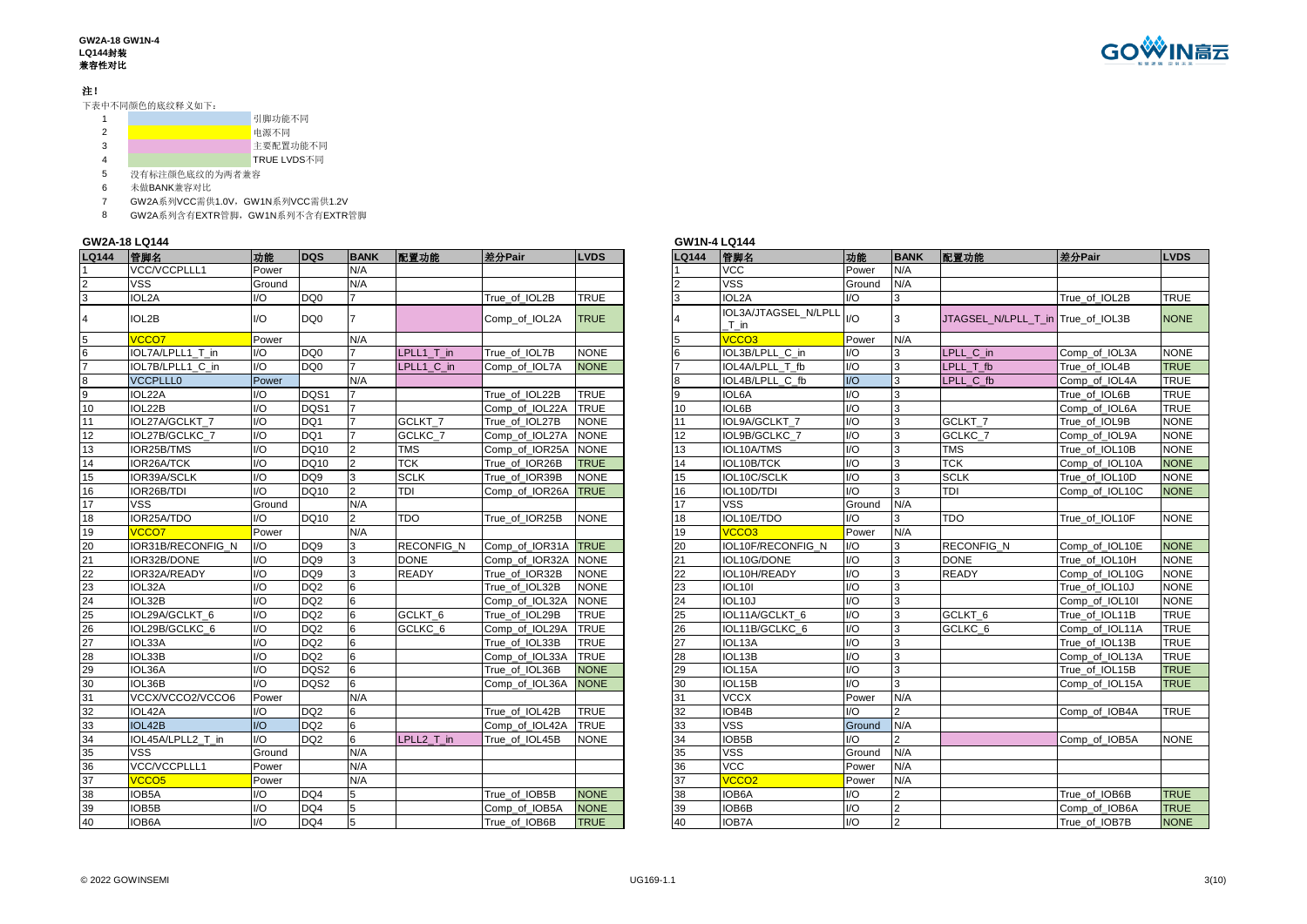#### **GW2A-18 GW1N-4 LQ144**封装 兼容性对比

### 注!

下表中不同颜色的底纹释义如下:

|  | 引脚功能不同      |
|--|-------------|
|  | 电源不同        |
|  | 主要配置功能不同    |
|  | TRUE LVDS不同 |

5 没有标注颜色底纹的为两者兼容<br>6 未做BANK兼容对比

未做BANK兼容对比

GW2A系列VCC需供1.0V,GW1N系列VCC需供1.2V

GW2A系列含有EXTR管脚,GW1N系列不含有EXTR管脚

## **GW2A-18 LQ144 GW1N-4 LQ144**

| <b>LQ144</b>                                  | 管脚名                | 功能                     | DQS             | <b>BANK</b>    | 配置功能               | 差分Pair              | <b>LVDS</b> | <b>LQ144</b> | 管脚名                          | 功能                          | <b>BANK</b>    | 配置功能                              | 差分Pair         | <b>LVDS</b> |
|-----------------------------------------------|--------------------|------------------------|-----------------|----------------|--------------------|---------------------|-------------|--------------|------------------------------|-----------------------------|----------------|-----------------------------------|----------------|-------------|
|                                               | VCC/VCCPLLL1       | Power                  |                 | N/A            |                    |                     |             |              | <b>VCC</b>                   | Power                       | N/A            |                                   |                |             |
|                                               | <b>VSS</b>         | Ground                 |                 | N/A            |                    |                     |             |              | VSS                          | Ground                      | N/A            |                                   |                |             |
| 3                                             | IOL <sub>2</sub> A | UQ                     | DQ0             |                |                    | True of IOL2B       | <b>TRUE</b> |              | IOL2A                        | UQ                          | 3              |                                   | True of IOL2B  | <b>TRUE</b> |
|                                               | IOL2B              | $\mathsf{U}\mathsf{O}$ | DQ0             |                |                    | Comp of IOL2A       | <b>TRUE</b> |              | IOL3A/JTAGSEL N/LPLL<br>T in | 1/O                         |                | JTAGSEL N/LPLL T in True of IOL3B |                | <b>NONE</b> |
|                                               | <b>VCCO7</b>       | Power                  |                 | N/A            |                    |                     |             |              | VCCO <sub>3</sub>            | Power                       | N/A            |                                   |                |             |
|                                               | IOL7A/LPLL1 T in   | $\mathsf{U}\mathsf{O}$ | DQ0             |                | LPLL1 T in         | True of IOL7B       | <b>NONE</b> |              | IOL3B/LPLL C in              | $\mathsf{U}\mathsf{O}$      |                | LPLL C in                         | Comp of IOL3A  | <b>NONE</b> |
| $\overline{7}$                                | IOL7B/LPLL1 C in   | 1/O                    | DQ <sub>0</sub> |                | LPLL1 C in         | Comp_of_IOL7A       | <b>NONE</b> |              | IOL4A/LPLL T fb              | $\overline{1}$              | 3              | LPLL T fb                         | True of IOL4B  | <b>TRUE</b> |
| 8                                             | <b>VCCPLLL0</b>    | Power                  |                 | N/A            |                    |                     |             |              | IOL4B/LPLL C fb              | $\mathsf{IO}$               | 3              | LPLL C fb                         | Comp of IOL4A  | <b>TRUE</b> |
| 9                                             | IOL22A             | $UO$                   | DQS1            |                |                    | True of IOL22B      | <b>TRUE</b> |              | <b>IOL6A</b>                 | $\mathsf{IO}$               |                |                                   | True of IOL6B  | <b>TRUE</b> |
| 10                                            | IOL22B             | $1/O$                  | DQS1            |                |                    | Comp of IOL22A      | <b>TRUE</b> | 10           | IOL6B                        | $\overline{1}/\overline{O}$ | 3              |                                   | Comp_of_IOL6A  | <b>TRUE</b> |
| 11                                            | IOL27A/GCLKT 7     | $\overline{1/O}$       | DQ1             |                | GCLKT <sub>7</sub> | True of IOL27B      | <b>NONE</b> | 11           | IOL9A/GCLKT 7                | $\overline{1/O}$            | 3              | GCLKT <sub>7</sub>                | True of IOL9B  | <b>NONE</b> |
| 12                                            | IOL27B/GCLKC 7     | I/O                    | DQ1             |                | GCLKC 7            | Comp of IOL27A      | <b>NONE</b> | 12           | IOL9B/GCLKC 7                | $\mathsf{I}/\mathsf{O}$     | 3              | GCLKC 7                           | Comp of IOL9A  | <b>NONE</b> |
| 13                                            | IOR25B/TMS         | $1/O$                  | <b>DQ10</b>     | $\overline{2}$ | <b>TMS</b>         | Comp_of_IOR25A      | <b>NONE</b> | 13           | IOL10A/TMS                   | $\overline{1/O}$            |                | <b>TMS</b>                        | True of IOL10B | <b>NONE</b> |
| 14                                            | IOR26A/TCK         | $1/O$                  | DQ10            | $\overline{2}$ | TCK                | True_of_IOR26B      | <b>TRUE</b> | 14           | IOL10B/TCK                   | $\overline{1/O}$            | 3              | <b>TCK</b>                        | Comp_of_IOL10A | <b>NONE</b> |
| 15                                            | IOR39A/SCLK        | $1/O$                  | DQ <sub>9</sub> | 3              | <b>SCLK</b>        | True of IOR39B      | <b>NONE</b> | 15           | IOL10C/SCLK                  | $1/O$                       |                | <b>SCLK</b>                       | True of IOL10D | <b>NONE</b> |
| 16                                            | IOR26B/TDI         | 1/O                    | DQ10            | $\mathcal{P}$  | TDI                | Comp_of_IOR26A      | <b>TRUE</b> | 16           | IOL10D/TDI                   | $1/O$                       | 3              | <b>TDI</b>                        | Comp_of_IOL10C | <b>NONE</b> |
| $\overline{17}$                               | <b>VSS</b>         | Ground                 |                 | N/A            |                    |                     |             | 17           | <b>VSS</b>                   | Ground                      | N/A            |                                   |                |             |
| 18                                            | IOR25A/TDO         | $1/O$                  | <b>DQ10</b>     | $\mathcal{P}$  | <b>TDO</b>         | True_of_IOR25B      | <b>NONE</b> | 18           | IOL10E/TDO                   | $1/O$                       | 3              | <b>TDO</b>                        | True of IOL10F | <b>NONE</b> |
| 19                                            | VCCO7              | Power                  |                 | N/A            |                    |                     |             | 19           | VCCO <sub>3</sub>            | Power                       | N/A            |                                   |                |             |
| $\frac{20}{21}$                               | IOR31B/RECONFIG N  | $IVO$                  | DQ <sub>9</sub> | 3              | <b>RECONFIG N</b>  | Comp of IOR31A TRUE |             | 20           | IOL10F/RECONFIG N            | $\mathsf{I}/\mathsf{O}$     | 3              | <b>RECONFIG N</b>                 | Comp of IOL10E | <b>NONE</b> |
|                                               | IOR32B/DONE        | I/O                    | DQ <sub>9</sub> | 3              | <b>DONE</b>        | Comp of IOR32A      | <b>NONE</b> | 21           | IOL10G/DONE                  | $\mathsf{I}/\mathsf{O}$     |                | <b>DONE</b>                       | True of IOL10H | <b>NONE</b> |
| $\frac{22}{23}$                               | IOR32A/READY       | $IVO$                  | DQ9             | 3              | <b>READY</b>       | True of IOR32B      | <b>NONE</b> | 22           | IOL10H/READY                 | $1/O$                       | 3              | <b>READY</b>                      | Comp of IOL10G | <b>NONE</b> |
|                                               | IOL32A             | $1/O$                  | DQ <sub>2</sub> | 6              |                    | True of IOL32B      | <b>NONE</b> | 23           | <b>IOL10I</b>                | $\overline{1/O}$            | 3              |                                   | True_of_IOL10J | <b>NONE</b> |
| $\frac{24}{25}$                               | IOL32B             | $\overline{10}$        | DQ <sub>2</sub> | 6              |                    | Comp of IOL32A      | <b>NONE</b> | 24           | IOL <sub>10</sub> J          | $\overline{1}$              | 3              |                                   | Comp of IOL10I | <b>NONE</b> |
|                                               | IOL29A/GCLKT 6     | I/O                    | DQ <sub>2</sub> | 6              | GCLKT <sub>6</sub> | True of IOL29B      | <b>TRUE</b> | 25           | IOL11A/GCLKT_6               | $\mathsf{I}/\mathsf{O}$     | 3              | GCLKT <sub>6</sub>                | True_of_IOL11B | <b>TRUE</b> |
| $\frac{26}{27}$                               | IOL29B/GCLKC 6     | $UO$                   | DQ <sub>2</sub> | 6              | GCLKC <sub>6</sub> | Comp_of_IOL29A      | <b>TRUE</b> | 26           | IOL11B/GCLKC 6               | $\overline{1}$              | 3              | GCLKC <sub>6</sub>                | Comp of IOL11A | <b>TRUE</b> |
|                                               | IOL33A             | $1/O$                  | DQ <sub>2</sub> | 6              |                    | True of IOL33B      | <b>TRUE</b> | 27           | IOL13A                       | $\overline{1/O}$            |                |                                   | True of IOL13B | <b>TRUE</b> |
|                                               | IOL33B             | $1/O$                  | DQ <sub>2</sub> | 6              |                    | Comp of IOL33A      | <b>TRUE</b> | 28           | IOL13B                       | $1/O$                       | 3              |                                   | Comp of IOL13A | <b>TRUE</b> |
| $\begin{array}{r} 28 \\ 29 \\ 30 \end{array}$ | IOL36A             | $1/O$                  | DQS2            | 6              |                    | True of IOL36B      | <b>NONE</b> | 29           | IOL15A                       | $\mathsf{U}\mathsf{O}$      | 3              |                                   | True_of_IOL15B | <b>TRUE</b> |
|                                               | IOL36B             | 1/O                    | DQS2            | 6              |                    | Comp_of_IOL36A      | <b>NONE</b> | 30           | IOL15B                       | $1/O$                       | <b>S</b>       |                                   | Comp of IOL15A | <b>TRUE</b> |
| 31                                            | VCCX/VCCO2/VCCO6   | Power                  |                 | N/A            |                    |                     |             | 31           | <b>VCCX</b>                  | Power                       | N/A            |                                   |                |             |
| $\frac{32}{33}$                               | IOL42A             | I/O                    | DQ <sub>2</sub> | 6              |                    | True of IOL42B      | <b>TRUE</b> | 32           | IOB4B                        | I/O                         |                |                                   | Comp of IOB4A  | <b>TRUE</b> |
|                                               | IOL42B             | $\overline{1/O}$       | DQ <sub>2</sub> | 6              |                    | Comp_of_IOL42A      | <b>TRUE</b> | 33           | VSS                          | Ground                      | N/A            |                                   |                |             |
| $\frac{34}{35}$ $\frac{35}{36}$               | IOL45A/LPLL2 T in  | $\overline{1/O}$       | DQ <sub>2</sub> | 6              | LPLL2 T in         | True of IOL45B      | <b>NONE</b> | 34           | IOB <sub>5</sub> B           | I/O                         |                |                                   | Comp of IOB5A  | <b>NONE</b> |
|                                               | <b>VSS</b>         | Ground                 |                 | N/A            |                    |                     |             | 35           | <b>VSS</b>                   | Ground                      | N/A            |                                   |                |             |
|                                               | VCC/VCCPLLL1       | Power                  |                 | N/A            |                    |                     |             | 36           | VCC                          | Power                       | N/A            |                                   |                |             |
| 37                                            | VCCO <sub>5</sub>  | Power                  |                 | N/A            |                    |                     |             | 37           | VCCO <sub>2</sub>            | Power                       | N/A            |                                   |                |             |
| 38                                            | IOB5A              | I/O                    | DQ4             | 5              |                    | True_of_IOB5B       | <b>NONE</b> | 38           | IOB6A                        | I/O                         | C              |                                   | True of IOB6B  | <b>TRUE</b> |
| $\frac{39}{40}$                               | IOB5B              | $1/O$                  | DQ4             | 5              |                    | Comp of IOB5A       | <b>NONE</b> | 39           | IOB6B                        | $1/O$                       | $\overline{2}$ |                                   | Comp of IOB6A  | <b>TRUE</b> |
|                                               | IOB6A              | 1/O                    | DQ4             | 5              |                    | True_of_IOB6B       | <b>TRUE</b> | 40           | <b>IOB7A</b>                 | $IVO$                       | $\overline{2}$ |                                   | True of IOB7B  | <b>NONE</b> |

| <b>LQ144</b>   | 管脚名                          | 功能                      | <b>BANK</b>             | 配置功能                              | 差分Pair         | <b>LVDS</b> |
|----------------|------------------------------|-------------------------|-------------------------|-----------------------------------|----------------|-------------|
|                | <b>VCC</b>                   | Power                   | N/A                     |                                   |                |             |
| $\overline{2}$ | <b>VSS</b>                   | Ground                  | N/A                     |                                   |                |             |
| 3              | IOL2A                        | $\mathsf{IO}$           | 3                       |                                   | True of IOL2B  | <b>TRUE</b> |
| $\overline{4}$ | IOL3A/JTAGSEL N/LPLL<br>T in | $\mathsf{IO}$           | 3                       | JTAGSEL_N/LPLL_T_in True_of_IOL3B |                | <b>NONE</b> |
| 5              | VCCO <sub>3</sub>            | Power                   | N/A                     |                                   |                |             |
| 6              | IOL3B/LPLL C in              | $\mathsf{U}\mathsf{O}$  | 3                       | LPLL C in                         | Comp of IOL3A  | <b>NONE</b> |
| $\overline{7}$ | IOL4A/LPLL T fb              | $\overline{10}$         | $\overline{3}$          | LPLL T fb                         | True of IOL4B  | <b>TRUE</b> |
| 8              | IOL4B/LPLL C fb              | $\mathsf{I}/\mathsf{O}$ | 3                       | LPLL C fb                         | Comp of IOL4A  | <b>TRUE</b> |
| 9              | IOL6A                        | I/O                     | 3                       |                                   | True of IOL6B  | <b>TRUE</b> |
| 10             | IOL6B                        | I/O                     | $\overline{3}$          |                                   | Comp_of_IOL6A  | <b>TRUE</b> |
| 11             | IOL9A/GCLKT 7                | $\overline{1/O}$        | 3                       | GCLKT <sub>7</sub>                | True of IOL9B  | <b>NONE</b> |
| 12             | IOL9B/GCLKC 7                | $\mathsf{IO}$           | 3                       | GCLKC 7                           | Comp of IOL9A  | <b>NONE</b> |
| 13             | IOL10A/TMS                   | $\mathsf{U}\mathsf{O}$  | 3                       | <b>TMS</b>                        | True_of_IOL10B | <b>NONE</b> |
| 14             | IOL10B/TCK                   | $\mathsf{IO}$           | 3                       | <b>TCK</b>                        | Comp_of_IOL10A | <b>NONE</b> |
| 15             | IOL10C/SCLK                  | I/O                     | 3                       | <b>SCLK</b>                       | True of IOL10D | <b>NONE</b> |
| 16             | IOL10D/TDI                   | 1/O                     | 3                       | TDI                               | Comp_of_IOL10C | <b>NONE</b> |
| 17             | VSS                          | Ground                  | N/A                     |                                   |                |             |
| 18             | IOL10E/TDO                   | $\mathsf{IO}$           | 3                       | TDO                               | True of IOL10F | <b>NONE</b> |
| 19             | VCCO <sub>3</sub>            | Power                   | N/A                     |                                   |                |             |
| 20             | <b>IOL10F/RECONFIG N</b>     | $\overline{1/O}$        | 3                       | <b>RECONFIG N</b>                 | Comp of IOL10E | <b>NONE</b> |
| 21             | IOL10G/DONE                  | I/O                     | 3                       | <b>DONE</b>                       | True of IOL10H | <b>NONE</b> |
| 22             | IOL10H/READY                 | $\mathsf{IO}$           | 3                       | <b>READY</b>                      | Comp_of_IOL10G | <b>NONE</b> |
| 23             | <b>IOL10I</b>                | $\mathsf{IO}$           | $\overline{3}$          |                                   | True_of_IOL10J | <b>NONE</b> |
| 24             | IOL10J                       | 1/O                     | 3                       |                                   | Comp of IOL10I | <b>NONE</b> |
| 25             | IOL11A/GCLKT_6               | I/O                     | 3                       | GCLKT_6                           | True of IOL11B | <b>TRUE</b> |
| 26             | IOL11B/GCLKC 6               | I/O                     | 3                       | GCLKC <sub>6</sub>                | Comp_of_IOL11A | <b>TRUE</b> |
| 27             | IOL13A                       | $\mathsf{U}\mathsf{O}$  | 3                       |                                   | True of IOL13B | <b>TRUE</b> |
| 28             | IOL13B                       | $\mathsf{U}\mathsf{O}$  | 3                       |                                   | Comp of IOL13A | <b>TRUE</b> |
| 29             | IOL15A                       | $\mathsf{IO}$           | 3                       |                                   | True of IOL15B | <b>TRUE</b> |
| 30             | IOL15B                       | I/O                     | 3                       |                                   | Comp of IOL15A | <b>TRUE</b> |
| 31             | VCCX                         | Power                   | N/A                     |                                   |                |             |
| 32             | IOB4B                        | I/O                     | $\overline{2}$          |                                   | Comp_of_IOB4A  | <b>TRUE</b> |
| 33             | <b>VSS</b>                   | Ground                  | N/A                     |                                   |                |             |
| 34             | IOB5B                        | I/O                     | $\overline{2}$          |                                   | Comp_of_IOB5A  | <b>NONE</b> |
| 35             | <b>VSS</b>                   | Ground                  | N/A                     |                                   |                |             |
| 36             | <b>VCC</b>                   | Power                   | N/A                     |                                   |                |             |
| 37             | VCCO <sub>2</sub>            | Power                   | N/A                     |                                   |                |             |
| 38             | IOB6A                        | I/O                     | $\overline{\mathbf{c}}$ |                                   | True_of_IOB6B  | <b>TRUE</b> |
| 39             | IOB6B                        | $\mathsf{IO}$           | $\overline{2}$          |                                   | Comp of IOB6A  | <b>TRUE</b> |
| 40             | IOB7A                        | $\mathsf{IO}$           | $\overline{2}$          |                                   | True of IOB7B  | <b>NONE</b> |

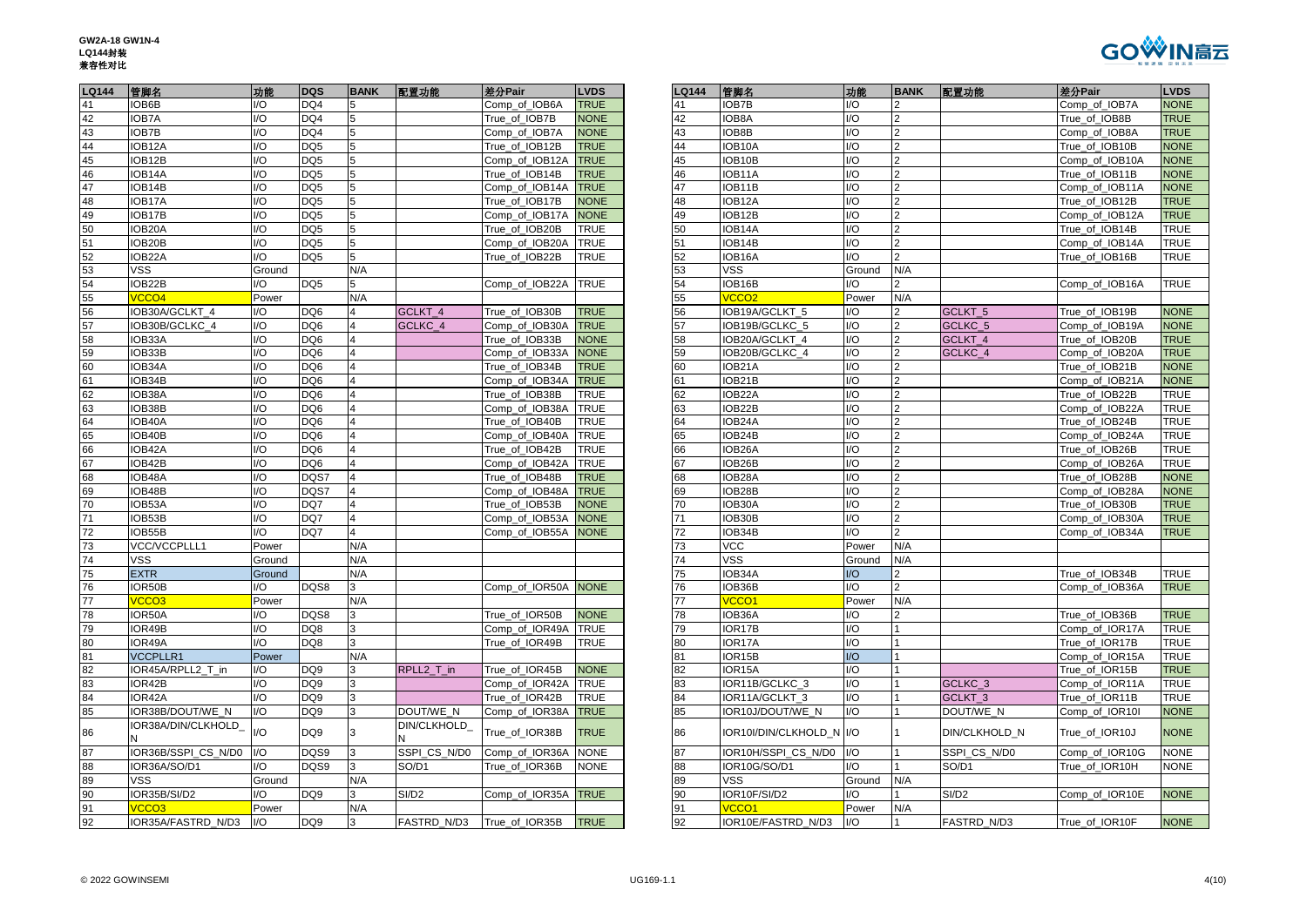| GW2A-18 GW1N-4 |
|----------------|
| LQ144封装        |
| 兼容性对比          |
|                |



| <b>LQ144</b> | 管脚名                      | 功能                          | <b>DQS</b>      | <b>BANK</b>             | 配置功能              | 差分Pair         | <b>LVDS</b> | <b>LQ144</b> | 管脚名                      | 功能                      | <b>BANK</b>   | 配置功能               | 差分Pair         | <b>LVDS</b> |
|--------------|--------------------------|-----------------------------|-----------------|-------------------------|-------------------|----------------|-------------|--------------|--------------------------|-------------------------|---------------|--------------------|----------------|-------------|
| 41           | IOB6B                    | I/O                         | DQ4             |                         |                   | Comp of IOB6A  | <b>TRUE</b> |              | IOB7B                    | UQ                      |               |                    | Comp of IOB7A  | <b>NONE</b> |
| 42           | <b>IOB7A</b>             | I/O                         | DQ4             | 5                       |                   | True of IOB7B  | <b>NONE</b> | 42           | IOB8A                    | I/O                     |               |                    | True of IOB8B  | <b>TRUE</b> |
| 43           | IOB7B                    | I/O                         | DQ4             | 5                       |                   | Comp_of_IOB7A  | <b>NONE</b> | 43           | IOB8B                    | $\overline{10}$         | $\mathcal{P}$ |                    | Comp of IOB8A  | <b>TRUE</b> |
| 44           | IOB12A                   | I/O                         | DQ <sub>5</sub> |                         |                   | True_of_IOB12B | <b>TRUE</b> | 44           | IOB10A                   | I/O                     |               |                    | True_of_IOB10B | <b>NONE</b> |
| 45           | IOB12B                   | I/O                         | DQ5             | 5                       |                   | Comp_of_IOB12A | <b>TRUE</b> | 45           | IOB10B                   | I/O                     |               |                    | Comp_of_IOB10A | <b>NONE</b> |
| 46           | IOB <sub>14</sub> A      | I/O                         | DQ <sub>5</sub> | 5                       |                   | True of IOB14B | <b>TRUE</b> | 46           | IOB11A                   | $\mathsf{U}\mathsf{O}$  |               |                    | True of IOB11B | <b>NONE</b> |
| 47           | IOB14B                   | I/O                         | DQ <sub>5</sub> | 5                       |                   | Comp_of_IOB14A | <b>TRUE</b> | 47           | IOB11B                   | $\overline{10}$         | $\mathcal{P}$ |                    | Comp_of_IOB11A | <b>NONE</b> |
| 48           | IOB17A                   | I/O                         | DQ5             | 5                       |                   | True_of_IOB17B | <b>NONE</b> | 48           | IOB12A                   | I/O                     |               |                    | True_of_IOB12B | <b>TRUE</b> |
| 49           | IOB17B                   | I/O                         | DQ <sub>5</sub> |                         |                   | Comp of IOB17A | <b>NONE</b> | 49           | IOB12B                   | I/O                     |               |                    | Comp of IOB12A | <b>TRUE</b> |
| 50           | IOB20A                   | I/O                         | DQ <sub>5</sub> | 5                       |                   | True_of_IOB20B | TRUE        | 50           | IOB14A                   | I/O                     |               |                    | True_of_IOB14B | <b>TRUE</b> |
| 51           | IOB20B                   | I/O                         | DQ <sub>5</sub> | 5                       |                   | Comp_of_IOB20A | TRUE        | 51           | IOB14B                   | I/O                     |               |                    | Comp_of_IOB14A | <b>TRUE</b> |
| 52           | IOB22A                   | I/O                         | DQ <sub>5</sub> | 5                       |                   | True of IOB22B | <b>TRUE</b> | 52           | IOB16A                   | I/O                     |               |                    | True of IOB16B | <b>TRUE</b> |
| 53           | VSS                      | Ground                      |                 | N/A                     |                   |                |             | 53           | VSS                      | Ground                  | N/A           |                    |                |             |
| 54           | IOB22B                   | I/O                         | DQ5             | 5                       |                   | Comp_of_IOB22A | <b>TRUE</b> | 54           | IOB16B                   | I/O                     |               |                    | Comp_of_IOB16A | <b>TRUE</b> |
| 55           | VCCO <sub>4</sub>        | Power                       |                 | N/A                     |                   |                |             | 55           | VCCO <sub>2</sub>        | Power                   | N/A           |                    |                |             |
| 56           | IOB30A/GCLKT_4           | I/O                         | DQ6             | 4                       | GCLKT_4           | True of IOB30B | <b>TRUE</b> | 56           | IOB19A/GCLKT_5           | I/O                     | 2             | GCLKT <sub>5</sub> | True of IOB19B | <b>NONE</b> |
| 57           | IOB30B/GCLKC_4           | I/O                         | DQ6             |                         | GCLKC_4           | Comp_of_IOB30A | <b>TRUE</b> | 57           | IOB19B/GCLKC_5           | I/O                     |               | GCLKC 5            | Comp_of_IOB19A | <b>NONE</b> |
| 58           | IOB33A                   | I/O                         | DQ <sub>6</sub> |                         |                   | True of IOB33B | <b>NONE</b> | 58           | IOB20A/GCLKT 4           | I/O                     |               | GCLKT 4            | True of IOB20B | <b>TRUE</b> |
| 59           | IOB33B                   | I/O                         | DQ6             |                         |                   | Comp_of_IOB33A | <b>NONE</b> | 59           | IOB20B/GCLKC 4           | I/O                     |               | GCLKC 4            | Comp of IOB20A | <b>TRUE</b> |
| 60           | IOB34A                   | I/O                         | DQ6             |                         |                   | True_of_IOB34B | <b>TRUE</b> | 60           | IOB21A                   | I/O                     |               |                    | True_of_IOB21B | <b>NONE</b> |
| 61           | IOB34B                   | I/O                         | DQ6             |                         |                   | Comp_of_IOB34A | <b>TRUE</b> | 61           | IOB21B                   | I/O                     |               |                    | Comp of IOB21A | <b>NONE</b> |
| 62           | IOB38A                   | I/O                         | DQ6             |                         |                   | True_of_IOB38B | <b>TRUE</b> | 62           | IOB22A                   | I/O                     |               |                    | True_of_IOB22B | <b>TRUE</b> |
| 63           | IOB38B                   | I/O                         | DQ6             | $\Delta$                |                   | Comp of IOB38A | <b>TRUE</b> | 63           | IOB22B                   | $\mathsf{U}\mathsf{O}$  |               |                    | Comp of IOB22A | <b>TRUE</b> |
| 64           | IOB40A                   | I/O                         | DQ6             | 4                       |                   | True_of_IOB40B | TRUE        | 64           | IOB24A                   | I/O                     |               |                    | True of IOB24B | <b>TRUE</b> |
| 65           | IOB40B                   | I/O                         | DQ6             |                         |                   | Comp_of_IOB40A | <b>TRUE</b> | 65           | IOB24B                   | I/O                     |               |                    | Comp_of_IOB24A | <b>TRUE</b> |
| 66           | IOB42A                   | I/O                         | DQ <sub>6</sub> |                         |                   | True of IOB42B | TRUE        | 66           | IOB <sub>26</sub> A      | I/O                     |               |                    | True of IOB26B | <b>TRUE</b> |
| 67           | IOB42B                   | I/O                         | DQ6             |                         |                   | Comp_of_IOB42A | TRUE        | 67           | IOB26B                   | I/O                     |               |                    | Comp_of_IOB26A | <b>TRUE</b> |
| 68           | IOB48A                   | I/O                         | DQS7            | 4                       |                   | True_of_IOB48B | <b>TRUE</b> | 68           | IOB28A                   | I/O                     |               |                    | True_of_IOB28B | <b>NONE</b> |
| 69           | IOB48B                   | I/O                         | DQS7            | $\overline{\mathbf{A}}$ |                   | Comp of IOB48A | <b>TRUE</b> | 69           | IOB28B                   | $\mathsf{U}\mathsf{O}$  |               |                    | Comp of IOB28A | <b>NONE</b> |
| 70           | IOB53A                   | I/O                         | DQ7             |                         |                   | True of IOB53B | <b>NONE</b> | 70           | IOB30A                   | $\mathsf{U}\mathsf{O}$  |               |                    | True of IOB30B | <b>TRUE</b> |
| 71           | IOB53B                   | I/O                         | DQ7             | 4                       |                   | Comp_of_IOB53A | <b>NONE</b> | 71           | IOB30B                   | I/O                     | $\mathcal{P}$ |                    | Comp_of_IOB30A | <b>TRUE</b> |
| 72           | IOB55B                   | U                           | DQ7             | 4                       |                   | Comp_of_IOB55A | <b>NONE</b> | 72           | IOB34B                   | I/O                     | $\mathcal{P}$ |                    | Comp of IOB34A | <b>TRUE</b> |
| 73           | VCC/VCCPLLL1             | Power                       |                 | N/A                     |                   |                |             | 73           | <b>VCC</b>               | Power                   | N/A           |                    |                |             |
| 74           | VSS                      | Ground                      |                 | N/A                     |                   |                |             | 74           | <b>VSS</b>               | Ground                  | N/A           |                    |                |             |
| 75           | <b>EXTR</b>              | Ground                      |                 | N/A                     |                   |                |             | 75           | IOB34A                   | $\overline{U}$          | $\mathcal{P}$ |                    | True of IOB34B | <b>TRUE</b> |
| 76           | IOR50B                   | I/O                         | DQS8            | 3                       |                   | Comp_of_IOR50A | <b>NONE</b> | 76           | IOB36B                   | $\mathsf{U}\mathsf{O}$  | $\mathcal{P}$ |                    | Comp of IOB36A | <b>TRUE</b> |
| 77           | <b>CCO3</b>              | Power                       |                 | N/A                     |                   |                |             | 77           | VCCO <sub>1</sub>        | Power                   | N/A           |                    |                |             |
| 78           | IOR50A                   | I/O                         | DQS8            |                         |                   | True of IOR50B | <b>NONE</b> | 78           | IOB36A                   | $\mathsf{U}\mathsf{O}$  |               |                    | True of IOB36B | <b>TRUE</b> |
| 79           | IOR49B                   | I/O                         | DQ8             | 3                       |                   | Comp_of_IOR49A | <b>TRUE</b> | 79           | IOR17B                   | I/O                     |               |                    | Comp_of_IOR17A | <b>TRUE</b> |
| 80           | IOR49A                   | UQ                          | DQ8             | 3                       |                   | True_of_IOR49B | TRUE        | 80           | IOR17A                   | $\overline{10}$         |               |                    | True_of_IOR17B | <b>TRUE</b> |
| 81           | <b>VCCPLLR1</b>          | Power                       |                 | N/A                     |                   |                |             |              | IOR15B                   | $\mathsf{I}/\mathsf{O}$ |               |                    | Comp_of_IOR15A | <b>TRUE</b> |
| 82           | <b>IOR45A/RPLL2 T in</b> | I/O                         | DQ <sub>9</sub> |                         | RPLL2_T_in        | True of IOR45B | <b>NONE</b> | 82           | IOR15A                   | I/O                     |               |                    | True_of_IOR15B | <b>TRUE</b> |
| 83           | IOR42B                   | UQ                          | DQ9             | 3                       |                   | Comp_of_IOR42A | TRUE        | 83           | IOR11B/GCLKC_3           | I/O                     |               | GCLKC_3            | Comp_of_IOR11A | <b>TRUE</b> |
| 84           | IOR42A                   | I/O                         | DQ <sub>9</sub> | 3                       |                   | True of IOR42B | TRUE        | 84           | IOR11A/GCLKT 3           | $\overline{10}$         |               | GCLKT <sub>3</sub> | True_of_IOR11B | <b>TRUE</b> |
| 85           | IOR38B/DOUT/WE N         | I/O                         | DQ9             | 3                       | DOUT/WE_N         | Comp_of_IOR38A | <b>TRUE</b> | 85           | IOR10J/DOUT/WE_N         | I/O                     |               | DOUT/WE_N          | Comp_of_IOR10I | <b>NONE</b> |
| 86           | IOR38A/DIN/CLKHOLD       | $\overline{1}/\overline{O}$ | DQ9             | 3                       | DIN/CLKHOLD       | True of IOR38B | <b>TRUE</b> | 86           | IOR10I/DIN/CLKHOLD_N I/O |                         |               | DIN/CLKHOLD N      | True of IOR10J | <b>NONE</b> |
| 87           | IOR36B/SSPI CS N/D0      | I/O                         | DQS9            | 3                       | SSPI CS N/D0      | Comp_of_IOR36A | <b>NONE</b> | 87           | IOR10H/SSPI CS N/D0      | I/O                     |               | SSPI_CS_N/D0       | Comp_of_IOR10G | <b>NONE</b> |
| 88           | IOR36A/SO/D1             | I/O                         | DQS9            | 3                       | SO/D1             | True of IOR36B | <b>NONE</b> | 88           | IOR10G/SO/D1             | I/O                     |               | SO/D1              | True of IOR10H | <b>NONE</b> |
| 89           | VSS                      | Ground                      |                 | N/A                     |                   |                |             | 89           | <b>VSS</b>               | Ground                  | N/A           |                    |                |             |
| 90           | IOR35B/SI/D2             | I/O                         | DQ9             | 3                       | SI/D <sub>2</sub> | Comp_of_IOR35A | <b>TRUE</b> | 90           | IOR10F/SI/D2             | I/O                     |               | SI/D <sub>2</sub>  | Comp_of_IOR10E | <b>NONE</b> |
| 91           | VCCO <sub>3</sub>        | Power                       |                 | N/A                     |                   |                |             | 91           | VCCO <sub>1</sub>        | Power                   | N/A           |                    |                |             |
| 92           | IOR35A/FASTRD N/D3       | $\mathsf{U}\mathsf{O}$      | DQ9             | 3                       | FASTRD N/D3       | True of IOR35B | <b>TRUE</b> | 92           | IOR10E/FASTRD N/D3       | $IV$                    |               | FASTRD N/D3        | True of IOR10F | <b>NONE</b> |

| 差分Pair         | <b>LVDS</b>                | LQ144    | 管脚名                               | 功能                     | <b>BANK</b>    | 配置功能               | 差分Pair         | <b>LVDS</b> |
|----------------|----------------------------|----------|-----------------------------------|------------------------|----------------|--------------------|----------------|-------------|
| Comp_of_IOB6A  | <b>TRUE</b>                | 41       | <b>IOB7B</b>                      | 1/O                    | $\overline{2}$ |                    | Comp_of_IOB7A  | <b>NONE</b> |
| True of IOB7B  | <b>NONE</b>                | 42       | IOB8A                             | $U$                    | $\overline{2}$ |                    | True of IOB8B  | <b>TRUE</b> |
| Comp_of_IOB7A  | <b>NONE</b>                | 43       | IOB8B                             | $\mathsf{U}\mathsf{O}$ | $\overline{2}$ |                    | Comp_of_IOB8A  | <b>TRUE</b> |
| True of IOB12B | <b>TRUE</b>                | 44       | IOB10A                            | $U$                    | $\overline{2}$ |                    | True of IOB10B | <b>NONE</b> |
| Comp_of_IOB12A | <b>TRUE</b>                | 45       | IOB10B                            | $\mathsf{U}\mathsf{O}$ | $\overline{2}$ |                    | Comp_of_IOB10A | <b>NONE</b> |
| True_of_IOB14B | <b>TRUE</b>                | 46       | IOB11A                            | $U$                    | $\overline{2}$ |                    | True_of_IOB11B | <b>NONE</b> |
| Comp_of_IOB14A | <b>TRUE</b>                | 47       | IOB11B                            | $\mathsf{U}\mathsf{O}$ | $\overline{2}$ |                    | Comp_of_IOB11A | <b>NONE</b> |
| True_of_IOB17B | <b>NONE</b>                | 48       | IOB12A                            | 1/O                    | $\overline{2}$ |                    | True_of_IOB12B | <b>TRUE</b> |
| Comp_of_IOB17A | <b>NONE</b>                | 49       | IOB12B                            | $U$                    | $\overline{2}$ |                    | Comp of IOB12A | <b>TRUE</b> |
| True_of_IOB20B | <b>TRUE</b>                | 50       | IOB14A                            | 1/O                    | $\overline{2}$ |                    | True_of_IOB14B | <b>TRUE</b> |
| Comp_of_IOB20A | <b>TRUE</b>                | 51       | IOB14B                            | $1/O$                  | $\overline{2}$ |                    | Comp of IOB14A | <b>TRUE</b> |
| True_of_IOB22B | <b>TRUE</b>                | 52       | IOB16A                            | $\mathsf{U}\mathsf{O}$ | $\overline{2}$ |                    | True_of_IOB16B | <b>TRUE</b> |
|                |                            | 53       | VSS                               | Ground                 | N/A            |                    |                |             |
| Comp of IOB22A | <b>TRUE</b>                | 54       | IOB16B                            | $1/O$                  | $\overline{2}$ |                    | Comp of IOB16A | <b>TRUE</b> |
|                |                            | 55       | VCCO <sub>2</sub>                 | Power                  | N/A            |                    |                |             |
| True of IOB30B | <b>TRUE</b>                | 56       | IOB19A/GCLKT 5                    | $1/O$                  | $\overline{2}$ | GCLKT_5            | True of IOB19B | <b>NONE</b> |
| Comp_of_IOB30A | <b>TRUE</b>                | 57       | IOB19B/GCLKC_5                    | 1/O                    | $\overline{2}$ | GCLKC_5            | Comp_of_IOB19A | <b>NONE</b> |
| True_of_IOB33B | <b>NONE</b>                | 58       | IOB20A/GCLKT_4                    | 1/O                    | $\overline{2}$ | GCLKT_4            | True_of_IOB20B | <b>TRUE</b> |
| Comp of IOB33A | <b>NONE</b>                | 59       | IOB20B/GCLKC 4                    | 1/O                    | $\overline{2}$ | GCLKC 4            | Comp of IOB20A | <b>TRUE</b> |
| True_of_IOB34B | <b>TRUE</b>                | 60       | IOB21A                            | $\mathsf{U}\mathsf{O}$ | $\overline{2}$ |                    | True_of_IOB21B | <b>NONE</b> |
| Comp_of_IOB34A | <b>TRUE</b>                | 61       | IOB21B                            | $U$                    | $\overline{2}$ |                    | Comp_of_IOB21A | <b>NONE</b> |
| True_of_IOB38B | <b>TRUE</b>                | 62       | IOB22A                            | $U$                    | $\overline{2}$ |                    | True_of_IOB22B | <b>TRUE</b> |
| Comp of IOB38A | <b>TRUE</b>                | 63       | IOB22B                            | $1/O$                  | $\overline{2}$ |                    | Comp of IOB22A | <b>TRUE</b> |
| True_of_IOB40B | <b>TRUE</b>                | 64       | IOB24A                            | $\mathsf{U}\mathsf{O}$ | $\overline{2}$ |                    | True_of_IOB24B | <b>TRUE</b> |
| Comp_of_IOB40A | <b>TRUE</b>                | 65       | IOB24B                            | 1/O                    | $\overline{2}$ |                    | Comp_of_IOB24A | <b>TRUE</b> |
| True_of_IOB42B | <b>TRUE</b>                | 66       | IOB26A                            | $U$                    | $\overline{2}$ |                    | True_of_IOB26B | <b>TRUE</b> |
| Comp_of_IOB42A | <b>TRUE</b>                | 67       | IOB26B                            | 1/O                    | $\overline{2}$ |                    | Comp_of_IOB26A | <b>TRUE</b> |
| True of IOB48B | <b>TRUE</b>                | 68       | IOB28A                            | $\mathsf{U}\mathsf{O}$ | $\overline{2}$ |                    | True of IOB28B | <b>NONE</b> |
| Comp_of_IOB48A | <b>TRUE</b>                | 69       | IOB28B                            | I/O                    | $\overline{2}$ |                    | Comp_of_IOB28A | <b>NONE</b> |
| True_of_IOB53B | <b>NONE</b>                | 70       | IOB30A                            | 1/O                    | $\overline{2}$ |                    | True_of_IOB30B | <b>TRUE</b> |
| Comp_of_IOB53A | <b>NONE</b>                | 71       | IOB30B                            | $U$                    | $\overline{2}$ |                    | Comp_of_IOB30A | <b>TRUE</b> |
| Comp_of_IOB55A | <b>NONE</b>                | 72       | IOB34B                            | I/O                    | $\overline{2}$ |                    | Comp_of_IOB34A | <b>TRUE</b> |
|                |                            | 73       | VCC                               | Power                  | N/A            |                    |                |             |
|                |                            | 74       | <b>VSS</b>                        | Ground                 | N/A            |                    |                |             |
|                |                            | 75       | IOB34A                            | $U$                    | $\overline{2}$ |                    | True_of_IOB34B | <b>TRUE</b> |
| Comp_of_IOR50A | <b>NONE</b>                | 76       | IOB36B                            | $U$                    | $\overline{2}$ |                    | Comp_of_IOB36A | <b>TRUE</b> |
|                |                            | 77       | VCCO <sub>1</sub>                 | Power                  | N/A            |                    |                |             |
| True of IOR50B | <b>NONE</b>                | 78       | IOB36A                            | $\mathsf{U}\mathsf{O}$ | $\overline{2}$ |                    | True of IOB36B | <b>TRUE</b> |
| Comp_of_IOR49A | <b>TRUE</b>                | 79       | IOR17B                            | $1/O$                  | $\mathbf{1}$   |                    | Comp_of_IOR17A | <b>TRUE</b> |
| True of IOR49B | <b>TRUE</b>                | 80       | IOR17A                            | $1/O$                  | $\overline{1}$ |                    | True of IOR17B | <b>TRUE</b> |
|                |                            | 81       | IOR15B                            | $U$                    | $\mathbf{1}$   |                    | Comp_of_IOR15A | <b>TRUE</b> |
| True_of_IOR45B | <b>NONE</b>                | 82       | IOR15A                            | 1/O                    | $\vert$ 1      |                    | True_of_IOR15B | <b>TRUE</b> |
| Comp_of_IOR42A | <b>TRUE</b>                | 83       | IOR11B/GCLKC_3                    | $U$                    | $\mathbf{1}$   | GCLKC <sub>3</sub> | Comp_of_IOR11A | <b>TRUE</b> |
| True_of_IOR42B | <b>TRUE</b>                | 84       | IOR11A/GCLKT_3                    | 1/O                    | $\vert$ 1      | GCLKT <sub>3</sub> | True_of_IOR11B | <b>TRUE</b> |
| Comp_of_IOR38A | <b>TRUE</b>                | 85       | IOR10J/DOUT/WE_N                  | $1/O$                  | $\mathbf{1}$   | DOUT/WE N          | Comp_of_IOR10I | <b>NONE</b> |
| True_of_IOR38B | <b>TRUE</b>                | 86       | IOR10I/DIN/CLKHOLD_N I/O          |                        | $\vert$ 1      | DIN/CLKHOLD_N      | True_of_IOR10J | <b>NONE</b> |
|                |                            |          | IOR10H/SSPI CS N/D0               | $IVO$                  | $\mathbf{1}$   | SSPI CS N/D0       |                |             |
| Comp_of_IOR36A | <b>NONE</b><br><b>NONE</b> | 87       |                                   | $1/O$                  | $\mathbf{1}$   | SO/D1              | Comp_of_IOR10G | <b>NONE</b> |
| True_of_IOR36B |                            | 88<br>89 | IOR10G/SO/D1<br><b>VSS</b>        | Ground                 | N/A            |                    | True_of_IOR10H | <b>NONE</b> |
|                |                            | 90       |                                   | $\mathsf{U}\mathsf{O}$ |                |                    |                |             |
| Comp_of_IOR35A | <b>TRUE</b>                | 91       | IOR10F/SI/D2<br>VCCO <sub>1</sub> | Power                  | 1<br>N/A       | SI/D <sub>2</sub>  | Comp_of_IOR10E | <b>NONE</b> |
|                |                            | 92       |                                   |                        |                |                    |                |             |
| True_of_IOR35B | <b>TRUE</b>                |          | IOR10E/FASTRD_N/D3                | I/O                    | $\vert$ 1      | FASTRD_N/D3        | True_of_IOR10F | <b>NONE</b> |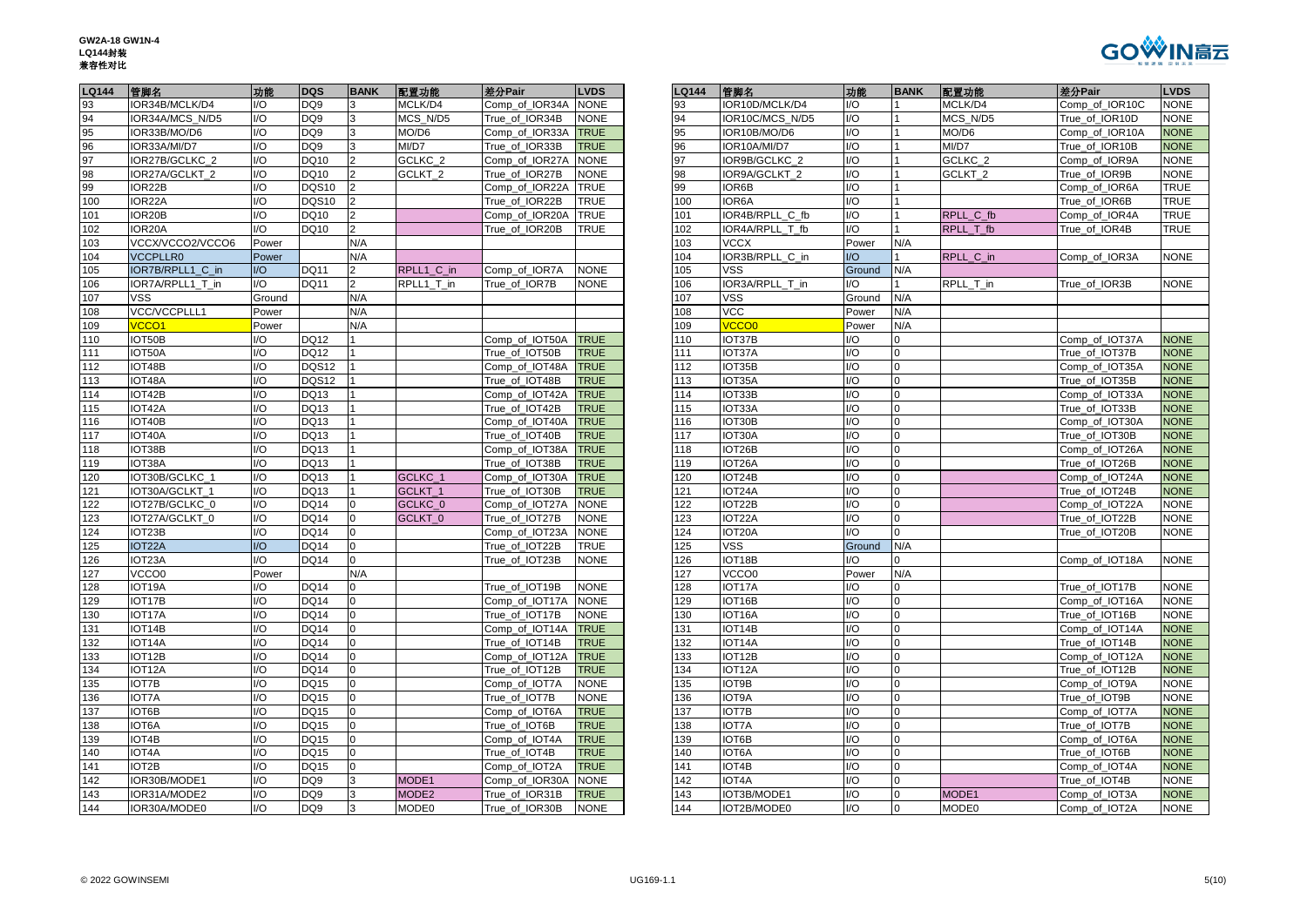

| <b>LQ144</b> | 管脚名                 | 功能                     | <b>DQS</b>      | <b>BANK</b>    | 配置功能               | 差分Pair         | <b>LVDS</b> | LQ144 | 管脚名                          | 功能                      | <b>BANK</b>    | 配置功能      | 差分Pair                           | <b>LVDS</b> |
|--------------|---------------------|------------------------|-----------------|----------------|--------------------|----------------|-------------|-------|------------------------------|-------------------------|----------------|-----------|----------------------------------|-------------|
| 93           | IOR34B/MCLK/D4      | $\mathsf{U}\mathsf{O}$ | DQ <sub>9</sub> | 3              | MCLK/D4            | Comp of IOR34A | <b>NONE</b> | 93    | IOR10D/MCLK/D4               | 1/O                     |                | MCLK/D4   | Comp_of_IOR10C                   | <b>NONE</b> |
| 94           | IOR34A/MCS N/D5     | $\mathsf{U}\mathsf{O}$ | DQ <sub>9</sub> |                | MCS N/D5           | True of IOR34B | <b>NONE</b> | 94    | IOR10C/MCS N/D5              | 1/O                     |                | MCS N/D5  | True of IOR10D                   | <b>NONE</b> |
| 95           | IOR33B/MO/D6        | $\mathsf{IO}$          | DQ9             |                | MO/D6              | Comp of IOR33A | <b>TRUE</b> | 95    | IOR10B/MO/D6                 | I/O                     |                | MO/D6     | Comp of IOR10A                   | <b>NONE</b> |
| 96<br>97     | IOR33A/MI/D7        | $\mathsf{U}\mathsf{O}$ | DQ <sub>9</sub> | 3              | MI/D7              | True of IOR33B | <b>TRUE</b> | 96    | IOR10A/MI/D7                 | 1/O                     |                | MI/D7     | True of IOR10B                   | <b>NONE</b> |
|              | IOR27B/GCLKC_2      | 1/O                    | DQ10            |                | GCLKC_2            | Comp_of_IOR27A | <b>NONE</b> | 97    | IOR9B/GCLKC_2                | I/O                     |                | GCLKC_2   | Comp_of_IOR9A                    | <b>NONE</b> |
| 98           | IOR27A/GCLKT_2      | 1/O                    | DQ10            |                | GCLKT_2            | True_of_IOR27B | <b>NONE</b> | 98    | IOR9A/GCLKT_2                | 1/O                     |                | GCLKT_2   | True_of_IOR9B                    | <b>NONE</b> |
| 99           | IOR22B              | I/O                    | DQS10           |                |                    | Comp_of_IOR22A | <b>TRUE</b> | 99    | IOR6B                        | I/O                     |                |           | Comp_of_IOR6A                    | <b>TRUE</b> |
| 100          | IOR22A              | $\mathsf{IO}$          | DQS10           |                |                    | True_of_IOR22B | <b>TRUE</b> | 100   | IOR6A                        | I/O                     |                |           | True of IOR6B                    | <b>TRUE</b> |
| 101          | IOR <sub>20</sub> B | $\mathsf{IO}$          | <b>DQ10</b>     | $\mathcal{P}$  |                    | Comp_of_IOR20A | <b>TRUE</b> | 101   | IOR4B/RPLL C fb              | I/O                     |                | RPLL_C_fb | Comp of IOR4A                    | <b>TRUE</b> |
| 102          | IOR20A              | $\mathsf{U}\mathsf{O}$ | <b>DQ10</b>     | $\overline{2}$ |                    | True_of_IOR20B | <b>TRUE</b> | 102   | IOR4A/RPLL T fb              | 1/O                     |                | RPLL T fb | True_of_IOR4B                    | <b>TRUE</b> |
| 103          | VCCX/VCCO2/VCCO6    | Power                  |                 | N/A            |                    |                |             | 103   | <b>VCCX</b>                  | Power                   | N/A            |           |                                  |             |
| 104          | <b>VCCPLLR0</b>     | Power                  |                 | N/A            |                    |                |             | 104   | IOR3B/RPLL C in              | $U$                     |                | RPLL C in | Comp of IOR3A                    | <b>NONE</b> |
| 105          | IOR7B/RPLL1_C_in    | $IVO$                  | <b>DQ11</b>     |                | RPLL1_C_in         | Comp_of_IOR7A  | <b>NONE</b> | 105   | VSS                          | Ground                  | N/A            |           |                                  |             |
| 106          | IOR7A/RPLL1_T_in    | I/O                    | <b>DQ11</b>     | $\mathfrak{p}$ | RPLL1_T_in         | True_of_IOR7B  | <b>NONE</b> | 106   | IOR3A/RPLL_T_in              | I/O                     |                | RPLL_T_in | True_of_IOR3B                    | <b>NONE</b> |
| 107          | <b>VSS</b>          | Ground                 |                 | N/A            |                    |                |             | 107   | <b>VSS</b>                   | Ground                  | N/A            |           |                                  |             |
| 108          | VCC/VCCPLLL1        | Power                  |                 | N/A            |                    |                |             | 108   | <b>VCC</b>                   | Power                   | N/A            |           |                                  |             |
| 109          | VCCO <sub>1</sub>   | Power                  |                 | N/A            |                    |                |             | 109   | <b>VCCO0</b>                 | Power                   | N/A            |           |                                  |             |
| 110          | IOT50B              | I/O                    | <b>DQ12</b>     |                |                    | Comp of IOT50A | <b>TRUE</b> | 110   | IOT37B                       | I/O                     | 0              |           | Comp_of_IOT37A                   | <b>NONE</b> |
| 111          | IOT50A              | I/O                    | <b>DQ12</b>     |                |                    | True of IOT50B | <b>TRUE</b> | 111   | IOT37A                       | I/O                     |                |           | True of IOT37B                   | <b>NONE</b> |
| 112          | IOT48B              | $\mathsf{U}\mathsf{O}$ | DQS12           |                |                    | Comp of IOT48A | <b>TRUE</b> | 112   | IOT35B                       | $UO$                    |                |           | Comp of IOT35A                   | <b>NONE</b> |
| 113          | IOT48A              | 1/O                    | DQS12           |                |                    | True_of_IOT48B | <b>TRUE</b> | 113   | IOT35A                       | I/O                     | $\Omega$       |           | True_of_IOT35B                   | <b>NONE</b> |
| 114          | IOT42B              | 1/O                    | DQ13            |                |                    | Comp_of_IOT42A | <b>TRUE</b> | 114   | IOT33B                       | I/O                     | $\Omega$       |           | Comp_of_IOT33A                   | <b>NONE</b> |
| 115          | IOT42A              | $\mathsf{U}\mathsf{O}$ | <b>DQ13</b>     |                |                    | True_of_IOT42B | <b>TRUE</b> | 115   | IOT33A                       | I/O                     | $\overline{0}$ |           | True_of_IOT33B                   | <b>NONE</b> |
| 116          | IOT40B              | 1/O                    | DQ13            |                |                    | Comp_of_IOT40A | <b>TRUE</b> | 116   | IOT30B                       | I/O                     |                |           | Comp_of_IOT30A                   | <b>NONE</b> |
| 117          | IOT40A              | $\mathsf{IO}$          | <b>DQ13</b>     |                |                    | True of IOT40B | <b>TRUE</b> | 117   | IOT30A                       | I/O                     |                |           | True of IOT30B                   | <b>NONE</b> |
| 118          | IOT38B              | $\mathsf{IO}$          | <b>DQ13</b>     |                |                    | Comp_of_IOT38A | <b>TRUE</b> | 118   | IOT26B                       | I/O                     | $\Omega$       |           | Comp_of_IOT26A                   | <b>NONE</b> |
| 119          | IOT38A              | $UO$                   | <b>DQ13</b>     |                |                    | True_of_IOT38B | <b>TRUE</b> | 119   | IOT26A                       | 1/O                     | $\Omega$       |           | True of IOT26B                   | <b>NONE</b> |
| 120          | IOT30B/GCLKC_1      | $\mathsf{U}\mathsf{O}$ | <b>DQ13</b>     |                | GCLKC_1            | Comp_of_IOT30A | <b>TRUE</b> | 120   | IOT24B                       | I/O                     | <sup>o</sup>   |           | Comp_of_IOT24A                   | <b>NONE</b> |
| 121          | IOT30A/GCLKT 1      | 1/O                    | DQ13            |                | GCLKT <sub>1</sub> | True_of_IOT30B | <b>TRUE</b> | 121   | IOT24A                       | 1/O                     | 0              |           | True_of_IOT24B                   | <b>NONE</b> |
| 122          | IOT27B/GCLKC 0      | $\mathsf{U}\mathsf{O}$ | <b>DQ14</b>     |                | GCLKC_0            | Comp_of_IOT27A | <b>NONE</b> | 122   | IOT22B                       | I/O                     |                |           | Comp_of_IOT22A                   | <b>NONE</b> |
| 123          | IOT27A/GCLKT_0      | 1/O                    | <b>DQ14</b>     |                | GCLKT_0            | True_of_IOT27B | <b>NONE</b> | 123   | IOT <sub>22</sub> A          | I/O                     |                |           |                                  | <b>NONE</b> |
| 124          | IOT23B              | $\mathsf{IO}$          | <b>DQ14</b>     | $\Omega$       |                    | Comp of IOT23A | <b>NONE</b> | 124   | IOT20A                       | I/O                     |                |           | True_of_IOT22B<br>True of IOT20B |             |
| 125          | IOT <sub>22</sub> A | $\mathsf{U}\mathsf{O}$ | DQ14            | $\Omega$       |                    | True_of_IOT22B | <b>TRUE</b> | 125   | <b>VSS</b>                   | Ground                  | N/A            |           |                                  | <b>NONE</b> |
|              |                     | $\mathsf{IO}$          | <b>DQ14</b>     |                |                    | True of IOT23B |             |       | IOT18B                       |                         |                |           |                                  |             |
| 126          | IOT23A              |                        |                 |                |                    |                | <b>NONE</b> | 126   |                              | I/O                     |                |           | Comp of IOT18A                   | <b>NONE</b> |
| 127          | VCCO <sub>0</sub>   | Power                  |                 | N/A            |                    |                |             | 127   | VCCO0<br>IOT <sub>17</sub> A | Power                   | N/A            |           |                                  |             |
| 128          | IOT <sub>19</sub> A | I/O                    | <b>DQ14</b>     |                |                    | True_of_IOT19B | <b>NONE</b> | 128   |                              | I/O                     |                |           | True_of_IOT17B                   | <b>NONE</b> |
| 129          | IOT17B              | $\mathsf{IO}$          | <b>DQ14</b>     |                |                    | Comp_of_IOT17A | <b>NONE</b> | 129   | IOT16B                       | I/O                     |                |           | Comp_of_IOT16A                   | <b>NONE</b> |
| 130          | IOT17A              | 1/O                    | <b>DQ14</b>     | $\Omega$       |                    | True_of_IOT17B | <b>NONE</b> | 130   | IOT16A                       | I/O                     |                |           | True of IOT16B                   | <b>NONE</b> |
| 131          | IOT14B              | $\mathsf{U}\mathsf{O}$ | <b>DQ14</b>     | 0              |                    | Comp_of_IOT14A | <b>TRUE</b> | 131   | IOT14B                       | I/O                     | $\Omega$       |           | Comp_of_IOT14A                   | <b>NONE</b> |
| 132          | IOT14A              | $\mathsf{IO}$          | <b>DQ14</b>     | $\overline{0}$ |                    | True of IOT14B | <b>TRUE</b> | 132   | IOT14A                       | I/O                     | $\overline{0}$ |           | True_of_IOT14B                   | <b>NONE</b> |
| 133          | IOT12B              | 1/O                    | <b>DQ14</b>     |                |                    | Comp_of_IOT12A | <b>TRUE</b> | 133   | IOT12B                       | I/O                     |                |           | Comp of IOT12A                   | <b>NONE</b> |
| 134          | IOT <sub>12</sub> A | $\mathsf{IO}$          | <b>DQ14</b>     |                |                    | True of IOT12B | <b>TRUE</b> | 134   | IOT <sub>12</sub> A          | $\mathsf{I}/\mathsf{O}$ |                |           | True of IOT12B                   | <b>NONE</b> |
| 135          | IOT7B               | $\mathsf{U}\mathsf{O}$ | <b>DQ15</b>     | $\overline{0}$ |                    | Comp_of_IOT7A  | <b>NONE</b> | 135   | IOT9B                        | $UO$                    | $\Omega$       |           | Comp of IOT9A                    | <b>NONE</b> |
| 136          | <b>IOT7A</b>        | 1/O                    | <b>DQ15</b>     | <sup>0</sup>   |                    | True_of_IOT7B  | <b>NONE</b> | 136   | IOT9A                        | I/O                     | $\Omega$       |           | True_of_IOT9B                    | <b>NONE</b> |
| 137          | IOT6B               | 1/O                    | <b>DQ15</b>     |                |                    | Comp_of_IOT6A  | <b>TRUE</b> | 137   | IOT7B                        | I/O                     |                |           | Comp_of_IOT7A                    | <b>NONE</b> |
| 138          | IOT6A               | 1/O                    | <b>DQ15</b>     | 0              |                    | True_of_IOT6B  | <b>TRUE</b> | 138   | <b>IOT7A</b>                 | I/O                     | $\Omega$       |           | True_of_IOT7B                    | <b>NONE</b> |
| 139          | IOT4B               | $\mathsf{IO}$          | <b>DQ15</b>     |                |                    | Comp_of_IOT4A  | <b>TRUE</b> | 139   | IOT6B                        | I/O                     |                |           | Comp_of_IOT6A                    | <b>NONE</b> |
| 140          | IOT <sub>4</sub> A  | $\mathsf{IO}$          | <b>DQ15</b>     |                |                    | True of IOT4B  | <b>TRUE</b> | 140   | IOT6A                        | I/O                     |                |           | True of IOT6B                    | <b>NONE</b> |
| 141          | IOT2B               | $\mathsf{U}\mathsf{O}$ | <b>DQ15</b>     | $\overline{0}$ |                    | Comp_of_IOT2A  | <b>TRUE</b> | 141   | IOT4B                        | 1/O                     | $\Omega$       |           | Comp_of_IOT4A                    | <b>NONE</b> |
| 142          | IOR30B/MODE1        | $\mathsf{U}\mathsf{O}$ | DQ <sub>9</sub> | 3              | MODE1              | Comp_of_IOR30A | <b>NONE</b> | 142   | IOT4A                        | $UO$                    | $\Omega$       |           | True_of_IOT4B                    | <b>NONE</b> |
| 143          | IOR31A/MODE2        | $\mathsf{U}\mathsf{O}$ | DQ <sub>9</sub> | 3              | MODE <sub>2</sub>  | True_of_IOR31B | <b>TRUE</b> | 143   | IOT3B/MODE1                  | $UO$                    | $\Omega$       | MODE1     | Comp_of_IOT3A                    | <b>NONE</b> |
| 144          | IOR30A/MODE0        | $1/\Omega$             | DO <sub>9</sub> | $\mathbf{R}$   | MODE0              | True of IOR30B | <b>NONE</b> | 144   | IOT2B/MODE0                  | $1/\Omega$              | $\Omega$       | MODE0     | Comp of IOT2A                    | <b>NONE</b> |

| IOR34B/MCLK/D4<br>$\mathsf{U}\mathsf{O}$<br>DQ <sub>9</sub><br>MCLK/D4<br>Comp of IOR34A<br><b>NONE</b><br>IOR10D/MCLK/D4<br>$UO$<br>MCLK/D4<br>Comp of IOR10C<br><b>NONE</b><br>93<br>93<br>IOR34A/MCS N/D5<br>I/O<br>DQ <sub>9</sub><br>MCS N/D5<br>IOR10C/MCS N/D5<br>MCS N/D5<br>94<br>True_of_IOR34B<br><b>NONE</b><br>94<br>1/O<br>True of IOR10D<br><b>NONE</b><br>95<br>IOR33B/MO/D6<br>$\mathsf{U}\mathsf{O}$<br>DQ <sub>9</sub><br>MO/D6<br><b>TRUE</b><br>95<br>IOR10B/MO/D6<br>$IVO$<br>MO/D6<br><b>NONE</b><br>Comp of IOR33A<br>Comp of IOR10A<br>DQ <sub>9</sub><br>$1/O$<br>MI/D7<br>96<br>IOR33A/MI/D7<br>$\mathsf{U}\mathsf{O}$<br>MI/D7<br>True_of_IOR33B<br><b>TRUE</b><br>96<br>IOR10A/MI/D7<br><b>NONE</b><br>True_of_IOR10B<br>IOR27B/GCLKC 2<br>1/O<br>DQ10<br>GCLKC <sub>2</sub><br>Comp_of_IOR27A<br><b>NONE</b><br>97<br>IOR9B/GCLKC 2<br>$UO$<br>GCLKC <sub>2</sub><br><b>NONE</b><br>97<br>Comp_of_IOR9A<br>IOR27A/GCLKT 2<br>1/O<br>DQ10<br>GCLKT <sub>2</sub><br>98<br>IOR9A/GCLKT 2<br>$UO$<br>GCLKT <sub>2</sub><br><b>NONE</b><br>98<br>True_of_IOR27B<br><b>NONE</b><br>True_of_IOR9B<br>99<br><b>DQS10</b><br><b>TRUE</b><br>1/O<br><b>TRUE</b><br>IOR22B<br>I/O<br>Comp of IOR22A<br>99<br>IOR6B<br>Comp_of_IOR6A<br>$1/O$<br>100<br>IOR22A<br>I/O<br>DQS10<br>True of IOR22B<br><b>TRUE</b><br>100<br>IOR6A<br><b>TRUE</b><br>True of IOR6B<br>IOR20B<br>I/O<br>DQ10<br><b>TRUE</b><br>IOR4B/RPLL_C_fb<br>I/O<br>RPLL_C_fb<br><b>TRUE</b><br>101<br>Comp_of_IOR20A<br>101<br>Comp_of_IOR4A<br>IOR20A<br>I/O<br><b>DQ10</b><br>True of IOR20B<br>102<br>IOR4A/RPLL T fb<br>I/O<br>102<br>TRUE<br>RPLL T fb<br>True_of_IOR4B<br>TRUE<br>103<br>VCCX/VCCO2/VCCO6<br>Power<br>N/A<br>103<br><b>VCCX</b><br>Power<br>N/A<br>N/A<br><b>VCCPLLR0</b><br>Power<br>104<br>IOR3B/RPLL C in<br>$\overline{U}$<br>RPLL C in<br>Comp of IOR3A<br><b>NONE</b><br>IOR7B/RPLL1 C in<br><b>DQ11</b><br>RPLL1_C_in<br>105<br><b>VSS</b><br>N/A<br>$\overline{U}$<br>Comp_of_IOR7A<br><b>NONE</b><br>Ground<br>IOR7A/RPLL1 T in<br>I/O<br><b>DQ11</b><br>$RPLL1_T$ in<br>106<br>IOR3A/RPLL T in<br>$UO$<br>RPLL T in<br><b>NONE</b><br>$\mathcal{P}$<br>True of IOR7B<br><b>NONE</b><br>True of IOR3B<br>VSS<br>N/A<br>107<br>VSS<br>Ground<br>Ground<br>N/A<br><b>VCC</b><br>VCC/VCCPLLL1<br>N/A<br>108<br>N/A<br>Power<br>Power<br>VCCO0<br>/CCO1<br>N/A<br>109<br>N/A<br>Power<br>Power<br>IOT50B<br>I/O<br><b>DQ12</b><br>110<br>IOT37B<br>$\mathsf{IO}$<br>$\Omega$<br>Comp_of_IOT50A<br><b>TRUE</b><br>Comp of IOT37A<br><b>NONE</b><br>I/O<br>IOT50A<br>DQ12<br><b>TRUE</b><br>111<br>IOT37A<br>$\mathsf{IO}$<br><b>NONE</b><br>True of IOT50B<br>$\Omega$<br>True of IOT37B<br>I/O<br>DQS12<br><b>TRUE</b><br>IOT35B<br>$\mathsf{IO}$<br><b>NONE</b><br>112<br>IOT48B<br>Comp_of_IOT48A<br>112<br>$\Omega$<br>Comp_of_IOT35A<br>IOT35A<br>$1/O$<br>113<br>IOT48A<br>I/O<br>DQS12<br><b>TRUE</b><br>113<br><b>NONE</b><br>True_of_IOT48B<br>$\Omega$<br>True_of_IOT35B<br><b>TRUE</b><br>$1/O$<br>114<br>IOT42B<br>I/O<br>DQ13<br>Comp_of_IOT42A<br>114<br>IOT33B<br>Comp_of_IOT33A<br><b>NONE</b><br>$\overline{0}$<br>I/O<br><b>DQ13</b><br>IOT33A<br>I/O<br>115<br>IOT42A<br><b>TRUE</b><br>115<br>$\Omega$<br><b>NONE</b><br>True of IOT42B<br>True of IOT33B<br>IOT40B<br>I/O<br>DQ13<br><b>TRUE</b><br>IOT30B<br>I/O<br><b>NONE</b><br>116<br>Comp of IOT40A<br>116<br>Comp_of_IOT30A<br>117<br>IOT <sub>40</sub> A<br>I/O<br>DQ13<br><b>TRUE</b><br>117<br>IOT30A<br>$\mathsf{IO}$<br><b>NONE</b><br>True of IOT40B<br>$\Omega$<br>True of IOT30B<br>$UO$<br>IOT38B<br>I/O<br>DQ13<br><b>TRUE</b><br>118<br>IOT26B<br>$\overline{0}$<br><b>NONE</b><br>118<br>Comp_of_IOT38A<br>Comp_of_IOT26A<br>119<br>IOT38A<br>I/O<br>DQ13<br><b>TRUE</b><br>119<br>IOT26A<br>I/O<br>$\overline{0}$<br><b>NONE</b><br>True_of_IOT38B<br>True_of_IOT26B<br>DQ13<br>IOT24B<br>$\mathsf{IO}$<br>120<br>IOT30B/GCLKC 1<br>I/O<br>GCLKC 1<br>Comp of IOT30A<br><b>TRUE</b><br>120<br>$\Omega$<br>Comp of IOT24A<br><b>NONE</b><br>I/O<br>DQ13<br>GCLKT 1<br>IOT <sub>24</sub> A<br>I/O<br>$\Omega$<br>121<br>IOT30A/GCLKT 1<br>True of IOT30B<br><b>TRUE</b><br>121<br>True_of_IOT24B<br><b>NONE</b><br>122<br>IOT27B/GCLKC_0<br>$\mathsf{U}\mathsf{O}$<br><b>DQ14</b><br>122<br>IOT22B<br>$UO$<br><b>NONE</b><br>GCLKC 0<br>Comp of IOT27A<br><b>NONE</b><br>$\Omega$<br>Comp of IOT22A<br><b>DQ14</b><br>UQ<br>123<br>IOT27A/GCLKT 0<br>1/O<br>IOT22A<br><b>NONE</b><br>GCLKT <sub>0</sub><br>True_of_IOT27B<br><b>NONE</b><br>123<br>$\Omega$<br>True_of_IOT22B<br>IOT23B<br>1/O<br><b>DQ14</b><br>124<br>IOT20A<br>$\mathsf{IO}$<br>True_of_IOT20B<br>124<br>Comp_of_IOT23A<br><b>NONE</b><br>$\Omega$<br><b>NONE</b><br>125<br>IOT22A<br>$\mathsf{I}/\mathsf{O}$<br><b>DQ14</b><br>True_of_IOT22B<br><b>TRUE</b><br>125<br>VSS<br>Ground<br>N/A<br>IOT <sub>23</sub> A<br>I/O<br><b>DQ14</b><br>IOT18B<br>126<br>True of IOT23B<br><b>NONE</b><br>126<br>I/O<br>Comp of IOT18A<br><b>NONE</b><br>127<br>VCCO <sub>0</sub><br>N/A<br>127<br>VCCO <sub>0</sub><br>N/A<br>Power<br>Power<br>IOT <sub>19</sub> A<br><b>DQ14</b><br>IOT <sub>17</sub> A<br>128<br>I/O<br>True of IOT19B<br><b>NONE</b><br>128<br>$\mathsf{U}\mathsf{O}$<br>True of IOT17B<br><b>NONE</b><br>$\Omega$<br>129<br>IOT17B<br>I/O<br><b>DQ14</b><br>129<br>IOT16B<br>I/O<br>$\overline{0}$<br>Comp_of_IOT17A<br><b>NONE</b><br>Comp_of_IOT16A<br><b>NONE</b><br>I/O<br><b>DQ14</b><br>$UO$<br>130<br>IOT17A<br>True of IOT17B<br><b>NONE</b><br>130<br>IOT16A<br>$\overline{0}$<br><b>NONE</b><br>True of IOT16B<br>IOT14B<br>IOT14B<br>I/O<br><b>DQ14</b><br><b>TRUE</b><br>I/O<br>$\Omega$<br><b>NONE</b><br>Comp_of_IOT14A<br>131<br>Comp_of_IOT14A<br>IOT <sub>14</sub> A<br>I/O<br><b>DQ14</b><br>132<br>IOT14A<br>$\mathsf{IO}$<br><b>NONE</b><br>True of IOT14B<br><b>TRUE</b><br>$\Omega$<br>True of IOT14B<br>IOT12B<br>I/O<br><b>DQ14</b><br><b>TRUE</b><br>133<br>IOT <sub>12</sub> B<br>$UO$<br><b>NONE</b><br>Comp of IOT12A<br>$\Omega$<br>Comp_of_IOT12A<br>I/O<br>I/O<br>IOT12A<br><b>DQ14</b><br><b>TRUE</b><br>134<br>IOT12A<br>$\Omega$<br><b>NONE</b><br>True_of_IOT12B<br>True_of_IOT12B<br><sup>0</sup><br>I/O<br>IOT7B<br>I/O<br><b>DQ15</b><br>135<br>IOT9B<br>$\overline{0}$<br><b>NONE</b><br>Comp_of_IOT7A<br><b>NONE</b><br>Comp_of_IOT9A<br><b>IOT7A</b><br>I/O<br><b>DQ15</b><br>True of IOT7B<br><b>NONE</b><br>136<br>IOT9A<br>$UO$<br>True of IOT9B<br><b>NONE</b><br>$\overline{0}$<br>IOT6B<br>I/O<br><b>DQ15</b><br>137<br>IOT7B<br>$1/O$<br>$\Omega$<br>Comp of IOT6A<br><b>TRUE</b><br><b>NONE</b><br>Comp of IOT7A<br>IOT6A<br>I/O<br><b>DQ15</b><br><b>TRUE</b><br><b>IOT7A</b><br>$1/O$<br><b>NONE</b><br>True of IOT6B<br>138<br>$\Omega$<br>True of IOT7B<br>UQ<br>IOT4B<br>$\mathsf{U}\mathsf{O}$<br><b>DQ15</b><br><b>TRUE</b><br>139<br>IOT6B<br><b>NONE</b><br>Comp of IOT4A<br>$\Omega$<br>Comp of IOT6A<br>$1/O$<br>IOT4A<br>$\mathsf{U}\mathsf{O}$<br><b>DQ15</b><br><b>TRUE</b><br>IOT6A<br><b>NONE</b><br>True_of_IOT4B<br>140<br>$\overline{0}$<br>True_of_IOT6B<br>IOT2B<br>1/O<br><b>DQ15</b><br><b>TRUE</b><br>141<br>IOT4B<br>$UO$<br><b>NONE</b><br>Comp_of_IOT2A<br>$\overline{0}$<br>Comp_of_IOT4A<br>IOR30B/MODE1<br>I/O<br>DQ <sub>9</sub><br>142<br>IOT <sub>4</sub> A<br>$\mathsf{IO}$<br>142<br>MODE1<br>Comp of IOR30A<br><b>NONE</b><br>$\Omega$<br>True of IOT4B<br><b>NONE</b><br>I/O<br>DQ <sub>9</sub><br>MODE <sub>2</sub><br><b>TRUE</b><br>IOT3B/MODE1<br>$\mathsf{IO}$<br>MODE1<br><b>NONE</b><br>143<br>IOR31A/MODE2<br>True of IOR31B<br>143<br>$\Omega$<br>Comp of IOT3A<br>IOR30A/MODE0<br>$IVO$<br>DQ <sub>9</sub><br>MODE0<br>144<br>IOT2B/MODE0<br>$UO$<br>$\overline{0}$<br>MODE0<br><b>NONE</b><br><sup>3</sup><br>True of IOR30B<br><b>NONE</b><br>Comp of IOT2A | <b>LQ144</b> | 管脚名 | 功能 | <b>DQS</b> | <b>BANK</b> | 配置功能 | 差分Pair | <b>LVDS</b> | <b>LQ144</b> | 管脚名 | 功能 | <b>BANK</b> | 配置功能 | 差分Pair | <b>LVDS</b> |
|--------------------------------------------------------------------------------------------------------------------------------------------------------------------------------------------------------------------------------------------------------------------------------------------------------------------------------------------------------------------------------------------------------------------------------------------------------------------------------------------------------------------------------------------------------------------------------------------------------------------------------------------------------------------------------------------------------------------------------------------------------------------------------------------------------------------------------------------------------------------------------------------------------------------------------------------------------------------------------------------------------------------------------------------------------------------------------------------------------------------------------------------------------------------------------------------------------------------------------------------------------------------------------------------------------------------------------------------------------------------------------------------------------------------------------------------------------------------------------------------------------------------------------------------------------------------------------------------------------------------------------------------------------------------------------------------------------------------------------------------------------------------------------------------------------------------------------------------------------------------------------------------------------------------------------------------------------------------------------------------------------------------------------------------------------------------------------------------------------------------------------------------------------------------------------------------------------------------------------------------------------------------------------------------------------------------------------------------------------------------------------------------------------------------------------------------------------------------------------------------------------------------------------------------------------------------------------------------------------------------------------------------------------------------------------------------------------------------------------------------------------------------------------------------------------------------------------------------------------------------------------------------------------------------------------------------------------------------------------------------------------------------------------------------------------------------------------------------------------------------------------------------------------------------------------------------------------------------------------------------------------------------------------------------------------------------------------------------------------------------------------------------------------------------------------------------------------------------------------------------------------------------------------------------------------------------------------------------------------------------------------------------------------------------------------------------------------------------------------------------------------------------------------------------------------------------------------------------------------------------------------------------------------------------------------------------------------------------------------------------------------------------------------------------------------------------------------------------------------------------------------------------------------------------------------------------------------------------------------------------------------------------------------------------------------------------------------------------------------------------------------------------------------------------------------------------------------------------------------------------------------------------------------------------------------------------------------------------------------------------------------------------------------------------------------------------------------------------------------------------------------------------------------------------------------------------------------------------------------------------------------------------------------------------------------------------------------------------------------------------------------------------------------------------------------------------------------------------------------------------------------------------------------------------------------------------------------------------------------------------------------------------------------------------------------------------------------------------------------------------------------------------------------------------------------------------------------------------------------------------------------------------------------------------------------------------------------------------------------------------------------------------------------------------------------------------------------------------------------------------------------------------------------------------------------------------------------------------------------------------------------------------------------------------------------------------------------------------------------------------------------------------------------------------------------------------------------------------------------------------------------------------------------------------------------------------------------------------------------------------------------------------------------------------------------------------------------------------------------------------------------------------------------------------------------------------------------------------------------------------------------------------------------------------------------------------------------------------------------------------------------------------------------------------------------------------------------------------------------------------------------------------------------------------------------------------------------------------------------------------------------------------------------------------------------------------------------------------------------------------------------------------------------------------------------------------------------------------------------------------------------------------------------------------------------------------------------------------------------------------------------------------------------------------------------------------------------------------------------------------------------------------------------------------------------------------------------------------------------------------------------------------------------------------------------------------------------------------------------------------------------------------------------------------------------------------------------------------------------------------------------------------------------------------------------------------------------------------------|--------------|-----|----|------------|-------------|------|--------|-------------|--------------|-----|----|-------------|------|--------|-------------|
|                                                                                                                                                                                                                                                                                                                                                                                                                                                                                                                                                                                                                                                                                                                                                                                                                                                                                                                                                                                                                                                                                                                                                                                                                                                                                                                                                                                                                                                                                                                                                                                                                                                                                                                                                                                                                                                                                                                                                                                                                                                                                                                                                                                                                                                                                                                                                                                                                                                                                                                                                                                                                                                                                                                                                                                                                                                                                                                                                                                                                                                                                                                                                                                                                                                                                                                                                                                                                                                                                                                                                                                                                                                                                                                                                                                                                                                                                                                                                                                                                                                                                                                                                                                                                                                                                                                                                                                                                                                                                                                                                                                                                                                                                                                                                                                                                                                                                                                                                                                                                                                                                                                                                                                                                                                                                                                                                                                                                                                                                                                                                                                                                                                                                                                                                                                                                                                                                                                                                                                                                                                                                                                                                                                                                                                                                                                                                                                                                                                                                                                                                                                                                                                                                                                                                                                                                                                                                                                                                                                                                                                                                                                                                                                                                                                                                                                                                                                                                                                                                                                                                                                                                                                                                                                                                                                                                                                  |              |     |    |            |             |      |        |             |              |     |    |             |      |        |             |
|                                                                                                                                                                                                                                                                                                                                                                                                                                                                                                                                                                                                                                                                                                                                                                                                                                                                                                                                                                                                                                                                                                                                                                                                                                                                                                                                                                                                                                                                                                                                                                                                                                                                                                                                                                                                                                                                                                                                                                                                                                                                                                                                                                                                                                                                                                                                                                                                                                                                                                                                                                                                                                                                                                                                                                                                                                                                                                                                                                                                                                                                                                                                                                                                                                                                                                                                                                                                                                                                                                                                                                                                                                                                                                                                                                                                                                                                                                                                                                                                                                                                                                                                                                                                                                                                                                                                                                                                                                                                                                                                                                                                                                                                                                                                                                                                                                                                                                                                                                                                                                                                                                                                                                                                                                                                                                                                                                                                                                                                                                                                                                                                                                                                                                                                                                                                                                                                                                                                                                                                                                                                                                                                                                                                                                                                                                                                                                                                                                                                                                                                                                                                                                                                                                                                                                                                                                                                                                                                                                                                                                                                                                                                                                                                                                                                                                                                                                                                                                                                                                                                                                                                                                                                                                                                                                                                                                                  |              |     |    |            |             |      |        |             |              |     |    |             |      |        |             |
|                                                                                                                                                                                                                                                                                                                                                                                                                                                                                                                                                                                                                                                                                                                                                                                                                                                                                                                                                                                                                                                                                                                                                                                                                                                                                                                                                                                                                                                                                                                                                                                                                                                                                                                                                                                                                                                                                                                                                                                                                                                                                                                                                                                                                                                                                                                                                                                                                                                                                                                                                                                                                                                                                                                                                                                                                                                                                                                                                                                                                                                                                                                                                                                                                                                                                                                                                                                                                                                                                                                                                                                                                                                                                                                                                                                                                                                                                                                                                                                                                                                                                                                                                                                                                                                                                                                                                                                                                                                                                                                                                                                                                                                                                                                                                                                                                                                                                                                                                                                                                                                                                                                                                                                                                                                                                                                                                                                                                                                                                                                                                                                                                                                                                                                                                                                                                                                                                                                                                                                                                                                                                                                                                                                                                                                                                                                                                                                                                                                                                                                                                                                                                                                                                                                                                                                                                                                                                                                                                                                                                                                                                                                                                                                                                                                                                                                                                                                                                                                                                                                                                                                                                                                                                                                                                                                                                                                  |              |     |    |            |             |      |        |             |              |     |    |             |      |        |             |
|                                                                                                                                                                                                                                                                                                                                                                                                                                                                                                                                                                                                                                                                                                                                                                                                                                                                                                                                                                                                                                                                                                                                                                                                                                                                                                                                                                                                                                                                                                                                                                                                                                                                                                                                                                                                                                                                                                                                                                                                                                                                                                                                                                                                                                                                                                                                                                                                                                                                                                                                                                                                                                                                                                                                                                                                                                                                                                                                                                                                                                                                                                                                                                                                                                                                                                                                                                                                                                                                                                                                                                                                                                                                                                                                                                                                                                                                                                                                                                                                                                                                                                                                                                                                                                                                                                                                                                                                                                                                                                                                                                                                                                                                                                                                                                                                                                                                                                                                                                                                                                                                                                                                                                                                                                                                                                                                                                                                                                                                                                                                                                                                                                                                                                                                                                                                                                                                                                                                                                                                                                                                                                                                                                                                                                                                                                                                                                                                                                                                                                                                                                                                                                                                                                                                                                                                                                                                                                                                                                                                                                                                                                                                                                                                                                                                                                                                                                                                                                                                                                                                                                                                                                                                                                                                                                                                                                                  |              |     |    |            |             |      |        |             |              |     |    |             |      |        |             |
|                                                                                                                                                                                                                                                                                                                                                                                                                                                                                                                                                                                                                                                                                                                                                                                                                                                                                                                                                                                                                                                                                                                                                                                                                                                                                                                                                                                                                                                                                                                                                                                                                                                                                                                                                                                                                                                                                                                                                                                                                                                                                                                                                                                                                                                                                                                                                                                                                                                                                                                                                                                                                                                                                                                                                                                                                                                                                                                                                                                                                                                                                                                                                                                                                                                                                                                                                                                                                                                                                                                                                                                                                                                                                                                                                                                                                                                                                                                                                                                                                                                                                                                                                                                                                                                                                                                                                                                                                                                                                                                                                                                                                                                                                                                                                                                                                                                                                                                                                                                                                                                                                                                                                                                                                                                                                                                                                                                                                                                                                                                                                                                                                                                                                                                                                                                                                                                                                                                                                                                                                                                                                                                                                                                                                                                                                                                                                                                                                                                                                                                                                                                                                                                                                                                                                                                                                                                                                                                                                                                                                                                                                                                                                                                                                                                                                                                                                                                                                                                                                                                                                                                                                                                                                                                                                                                                                                                  |              |     |    |            |             |      |        |             |              |     |    |             |      |        |             |
|                                                                                                                                                                                                                                                                                                                                                                                                                                                                                                                                                                                                                                                                                                                                                                                                                                                                                                                                                                                                                                                                                                                                                                                                                                                                                                                                                                                                                                                                                                                                                                                                                                                                                                                                                                                                                                                                                                                                                                                                                                                                                                                                                                                                                                                                                                                                                                                                                                                                                                                                                                                                                                                                                                                                                                                                                                                                                                                                                                                                                                                                                                                                                                                                                                                                                                                                                                                                                                                                                                                                                                                                                                                                                                                                                                                                                                                                                                                                                                                                                                                                                                                                                                                                                                                                                                                                                                                                                                                                                                                                                                                                                                                                                                                                                                                                                                                                                                                                                                                                                                                                                                                                                                                                                                                                                                                                                                                                                                                                                                                                                                                                                                                                                                                                                                                                                                                                                                                                                                                                                                                                                                                                                                                                                                                                                                                                                                                                                                                                                                                                                                                                                                                                                                                                                                                                                                                                                                                                                                                                                                                                                                                                                                                                                                                                                                                                                                                                                                                                                                                                                                                                                                                                                                                                                                                                                                                  |              |     |    |            |             |      |        |             |              |     |    |             |      |        |             |
|                                                                                                                                                                                                                                                                                                                                                                                                                                                                                                                                                                                                                                                                                                                                                                                                                                                                                                                                                                                                                                                                                                                                                                                                                                                                                                                                                                                                                                                                                                                                                                                                                                                                                                                                                                                                                                                                                                                                                                                                                                                                                                                                                                                                                                                                                                                                                                                                                                                                                                                                                                                                                                                                                                                                                                                                                                                                                                                                                                                                                                                                                                                                                                                                                                                                                                                                                                                                                                                                                                                                                                                                                                                                                                                                                                                                                                                                                                                                                                                                                                                                                                                                                                                                                                                                                                                                                                                                                                                                                                                                                                                                                                                                                                                                                                                                                                                                                                                                                                                                                                                                                                                                                                                                                                                                                                                                                                                                                                                                                                                                                                                                                                                                                                                                                                                                                                                                                                                                                                                                                                                                                                                                                                                                                                                                                                                                                                                                                                                                                                                                                                                                                                                                                                                                                                                                                                                                                                                                                                                                                                                                                                                                                                                                                                                                                                                                                                                                                                                                                                                                                                                                                                                                                                                                                                                                                                                  |              |     |    |            |             |      |        |             |              |     |    |             |      |        |             |
|                                                                                                                                                                                                                                                                                                                                                                                                                                                                                                                                                                                                                                                                                                                                                                                                                                                                                                                                                                                                                                                                                                                                                                                                                                                                                                                                                                                                                                                                                                                                                                                                                                                                                                                                                                                                                                                                                                                                                                                                                                                                                                                                                                                                                                                                                                                                                                                                                                                                                                                                                                                                                                                                                                                                                                                                                                                                                                                                                                                                                                                                                                                                                                                                                                                                                                                                                                                                                                                                                                                                                                                                                                                                                                                                                                                                                                                                                                                                                                                                                                                                                                                                                                                                                                                                                                                                                                                                                                                                                                                                                                                                                                                                                                                                                                                                                                                                                                                                                                                                                                                                                                                                                                                                                                                                                                                                                                                                                                                                                                                                                                                                                                                                                                                                                                                                                                                                                                                                                                                                                                                                                                                                                                                                                                                                                                                                                                                                                                                                                                                                                                                                                                                                                                                                                                                                                                                                                                                                                                                                                                                                                                                                                                                                                                                                                                                                                                                                                                                                                                                                                                                                                                                                                                                                                                                                                                                  |              |     |    |            |             |      |        |             |              |     |    |             |      |        |             |
|                                                                                                                                                                                                                                                                                                                                                                                                                                                                                                                                                                                                                                                                                                                                                                                                                                                                                                                                                                                                                                                                                                                                                                                                                                                                                                                                                                                                                                                                                                                                                                                                                                                                                                                                                                                                                                                                                                                                                                                                                                                                                                                                                                                                                                                                                                                                                                                                                                                                                                                                                                                                                                                                                                                                                                                                                                                                                                                                                                                                                                                                                                                                                                                                                                                                                                                                                                                                                                                                                                                                                                                                                                                                                                                                                                                                                                                                                                                                                                                                                                                                                                                                                                                                                                                                                                                                                                                                                                                                                                                                                                                                                                                                                                                                                                                                                                                                                                                                                                                                                                                                                                                                                                                                                                                                                                                                                                                                                                                                                                                                                                                                                                                                                                                                                                                                                                                                                                                                                                                                                                                                                                                                                                                                                                                                                                                                                                                                                                                                                                                                                                                                                                                                                                                                                                                                                                                                                                                                                                                                                                                                                                                                                                                                                                                                                                                                                                                                                                                                                                                                                                                                                                                                                                                                                                                                                                                  |              |     |    |            |             |      |        |             |              |     |    |             |      |        |             |
|                                                                                                                                                                                                                                                                                                                                                                                                                                                                                                                                                                                                                                                                                                                                                                                                                                                                                                                                                                                                                                                                                                                                                                                                                                                                                                                                                                                                                                                                                                                                                                                                                                                                                                                                                                                                                                                                                                                                                                                                                                                                                                                                                                                                                                                                                                                                                                                                                                                                                                                                                                                                                                                                                                                                                                                                                                                                                                                                                                                                                                                                                                                                                                                                                                                                                                                                                                                                                                                                                                                                                                                                                                                                                                                                                                                                                                                                                                                                                                                                                                                                                                                                                                                                                                                                                                                                                                                                                                                                                                                                                                                                                                                                                                                                                                                                                                                                                                                                                                                                                                                                                                                                                                                                                                                                                                                                                                                                                                                                                                                                                                                                                                                                                                                                                                                                                                                                                                                                                                                                                                                                                                                                                                                                                                                                                                                                                                                                                                                                                                                                                                                                                                                                                                                                                                                                                                                                                                                                                                                                                                                                                                                                                                                                                                                                                                                                                                                                                                                                                                                                                                                                                                                                                                                                                                                                                                                  |              |     |    |            |             |      |        |             |              |     |    |             |      |        |             |
|                                                                                                                                                                                                                                                                                                                                                                                                                                                                                                                                                                                                                                                                                                                                                                                                                                                                                                                                                                                                                                                                                                                                                                                                                                                                                                                                                                                                                                                                                                                                                                                                                                                                                                                                                                                                                                                                                                                                                                                                                                                                                                                                                                                                                                                                                                                                                                                                                                                                                                                                                                                                                                                                                                                                                                                                                                                                                                                                                                                                                                                                                                                                                                                                                                                                                                                                                                                                                                                                                                                                                                                                                                                                                                                                                                                                                                                                                                                                                                                                                                                                                                                                                                                                                                                                                                                                                                                                                                                                                                                                                                                                                                                                                                                                                                                                                                                                                                                                                                                                                                                                                                                                                                                                                                                                                                                                                                                                                                                                                                                                                                                                                                                                                                                                                                                                                                                                                                                                                                                                                                                                                                                                                                                                                                                                                                                                                                                                                                                                                                                                                                                                                                                                                                                                                                                                                                                                                                                                                                                                                                                                                                                                                                                                                                                                                                                                                                                                                                                                                                                                                                                                                                                                                                                                                                                                                                                  |              |     |    |            |             |      |        |             |              |     |    |             |      |        |             |
|                                                                                                                                                                                                                                                                                                                                                                                                                                                                                                                                                                                                                                                                                                                                                                                                                                                                                                                                                                                                                                                                                                                                                                                                                                                                                                                                                                                                                                                                                                                                                                                                                                                                                                                                                                                                                                                                                                                                                                                                                                                                                                                                                                                                                                                                                                                                                                                                                                                                                                                                                                                                                                                                                                                                                                                                                                                                                                                                                                                                                                                                                                                                                                                                                                                                                                                                                                                                                                                                                                                                                                                                                                                                                                                                                                                                                                                                                                                                                                                                                                                                                                                                                                                                                                                                                                                                                                                                                                                                                                                                                                                                                                                                                                                                                                                                                                                                                                                                                                                                                                                                                                                                                                                                                                                                                                                                                                                                                                                                                                                                                                                                                                                                                                                                                                                                                                                                                                                                                                                                                                                                                                                                                                                                                                                                                                                                                                                                                                                                                                                                                                                                                                                                                                                                                                                                                                                                                                                                                                                                                                                                                                                                                                                                                                                                                                                                                                                                                                                                                                                                                                                                                                                                                                                                                                                                                                                  |              |     |    |            |             |      |        |             |              |     |    |             |      |        |             |
|                                                                                                                                                                                                                                                                                                                                                                                                                                                                                                                                                                                                                                                                                                                                                                                                                                                                                                                                                                                                                                                                                                                                                                                                                                                                                                                                                                                                                                                                                                                                                                                                                                                                                                                                                                                                                                                                                                                                                                                                                                                                                                                                                                                                                                                                                                                                                                                                                                                                                                                                                                                                                                                                                                                                                                                                                                                                                                                                                                                                                                                                                                                                                                                                                                                                                                                                                                                                                                                                                                                                                                                                                                                                                                                                                                                                                                                                                                                                                                                                                                                                                                                                                                                                                                                                                                                                                                                                                                                                                                                                                                                                                                                                                                                                                                                                                                                                                                                                                                                                                                                                                                                                                                                                                                                                                                                                                                                                                                                                                                                                                                                                                                                                                                                                                                                                                                                                                                                                                                                                                                                                                                                                                                                                                                                                                                                                                                                                                                                                                                                                                                                                                                                                                                                                                                                                                                                                                                                                                                                                                                                                                                                                                                                                                                                                                                                                                                                                                                                                                                                                                                                                                                                                                                                                                                                                                                                  | 104          |     |    |            |             |      |        |             |              |     |    |             |      |        |             |
|                                                                                                                                                                                                                                                                                                                                                                                                                                                                                                                                                                                                                                                                                                                                                                                                                                                                                                                                                                                                                                                                                                                                                                                                                                                                                                                                                                                                                                                                                                                                                                                                                                                                                                                                                                                                                                                                                                                                                                                                                                                                                                                                                                                                                                                                                                                                                                                                                                                                                                                                                                                                                                                                                                                                                                                                                                                                                                                                                                                                                                                                                                                                                                                                                                                                                                                                                                                                                                                                                                                                                                                                                                                                                                                                                                                                                                                                                                                                                                                                                                                                                                                                                                                                                                                                                                                                                                                                                                                                                                                                                                                                                                                                                                                                                                                                                                                                                                                                                                                                                                                                                                                                                                                                                                                                                                                                                                                                                                                                                                                                                                                                                                                                                                                                                                                                                                                                                                                                                                                                                                                                                                                                                                                                                                                                                                                                                                                                                                                                                                                                                                                                                                                                                                                                                                                                                                                                                                                                                                                                                                                                                                                                                                                                                                                                                                                                                                                                                                                                                                                                                                                                                                                                                                                                                                                                                                                  | 105          |     |    |            |             |      |        |             |              |     |    |             |      |        |             |
|                                                                                                                                                                                                                                                                                                                                                                                                                                                                                                                                                                                                                                                                                                                                                                                                                                                                                                                                                                                                                                                                                                                                                                                                                                                                                                                                                                                                                                                                                                                                                                                                                                                                                                                                                                                                                                                                                                                                                                                                                                                                                                                                                                                                                                                                                                                                                                                                                                                                                                                                                                                                                                                                                                                                                                                                                                                                                                                                                                                                                                                                                                                                                                                                                                                                                                                                                                                                                                                                                                                                                                                                                                                                                                                                                                                                                                                                                                                                                                                                                                                                                                                                                                                                                                                                                                                                                                                                                                                                                                                                                                                                                                                                                                                                                                                                                                                                                                                                                                                                                                                                                                                                                                                                                                                                                                                                                                                                                                                                                                                                                                                                                                                                                                                                                                                                                                                                                                                                                                                                                                                                                                                                                                                                                                                                                                                                                                                                                                                                                                                                                                                                                                                                                                                                                                                                                                                                                                                                                                                                                                                                                                                                                                                                                                                                                                                                                                                                                                                                                                                                                                                                                                                                                                                                                                                                                                                  | 106          |     |    |            |             |      |        |             |              |     |    |             |      |        |             |
|                                                                                                                                                                                                                                                                                                                                                                                                                                                                                                                                                                                                                                                                                                                                                                                                                                                                                                                                                                                                                                                                                                                                                                                                                                                                                                                                                                                                                                                                                                                                                                                                                                                                                                                                                                                                                                                                                                                                                                                                                                                                                                                                                                                                                                                                                                                                                                                                                                                                                                                                                                                                                                                                                                                                                                                                                                                                                                                                                                                                                                                                                                                                                                                                                                                                                                                                                                                                                                                                                                                                                                                                                                                                                                                                                                                                                                                                                                                                                                                                                                                                                                                                                                                                                                                                                                                                                                                                                                                                                                                                                                                                                                                                                                                                                                                                                                                                                                                                                                                                                                                                                                                                                                                                                                                                                                                                                                                                                                                                                                                                                                                                                                                                                                                                                                                                                                                                                                                                                                                                                                                                                                                                                                                                                                                                                                                                                                                                                                                                                                                                                                                                                                                                                                                                                                                                                                                                                                                                                                                                                                                                                                                                                                                                                                                                                                                                                                                                                                                                                                                                                                                                                                                                                                                                                                                                                                                  | 107          |     |    |            |             |      |        |             |              |     |    |             |      |        |             |
|                                                                                                                                                                                                                                                                                                                                                                                                                                                                                                                                                                                                                                                                                                                                                                                                                                                                                                                                                                                                                                                                                                                                                                                                                                                                                                                                                                                                                                                                                                                                                                                                                                                                                                                                                                                                                                                                                                                                                                                                                                                                                                                                                                                                                                                                                                                                                                                                                                                                                                                                                                                                                                                                                                                                                                                                                                                                                                                                                                                                                                                                                                                                                                                                                                                                                                                                                                                                                                                                                                                                                                                                                                                                                                                                                                                                                                                                                                                                                                                                                                                                                                                                                                                                                                                                                                                                                                                                                                                                                                                                                                                                                                                                                                                                                                                                                                                                                                                                                                                                                                                                                                                                                                                                                                                                                                                                                                                                                                                                                                                                                                                                                                                                                                                                                                                                                                                                                                                                                                                                                                                                                                                                                                                                                                                                                                                                                                                                                                                                                                                                                                                                                                                                                                                                                                                                                                                                                                                                                                                                                                                                                                                                                                                                                                                                                                                                                                                                                                                                                                                                                                                                                                                                                                                                                                                                                                                  | 108          |     |    |            |             |      |        |             |              |     |    |             |      |        |             |
|                                                                                                                                                                                                                                                                                                                                                                                                                                                                                                                                                                                                                                                                                                                                                                                                                                                                                                                                                                                                                                                                                                                                                                                                                                                                                                                                                                                                                                                                                                                                                                                                                                                                                                                                                                                                                                                                                                                                                                                                                                                                                                                                                                                                                                                                                                                                                                                                                                                                                                                                                                                                                                                                                                                                                                                                                                                                                                                                                                                                                                                                                                                                                                                                                                                                                                                                                                                                                                                                                                                                                                                                                                                                                                                                                                                                                                                                                                                                                                                                                                                                                                                                                                                                                                                                                                                                                                                                                                                                                                                                                                                                                                                                                                                                                                                                                                                                                                                                                                                                                                                                                                                                                                                                                                                                                                                                                                                                                                                                                                                                                                                                                                                                                                                                                                                                                                                                                                                                                                                                                                                                                                                                                                                                                                                                                                                                                                                                                                                                                                                                                                                                                                                                                                                                                                                                                                                                                                                                                                                                                                                                                                                                                                                                                                                                                                                                                                                                                                                                                                                                                                                                                                                                                                                                                                                                                                                  | 109          |     |    |            |             |      |        |             |              |     |    |             |      |        |             |
|                                                                                                                                                                                                                                                                                                                                                                                                                                                                                                                                                                                                                                                                                                                                                                                                                                                                                                                                                                                                                                                                                                                                                                                                                                                                                                                                                                                                                                                                                                                                                                                                                                                                                                                                                                                                                                                                                                                                                                                                                                                                                                                                                                                                                                                                                                                                                                                                                                                                                                                                                                                                                                                                                                                                                                                                                                                                                                                                                                                                                                                                                                                                                                                                                                                                                                                                                                                                                                                                                                                                                                                                                                                                                                                                                                                                                                                                                                                                                                                                                                                                                                                                                                                                                                                                                                                                                                                                                                                                                                                                                                                                                                                                                                                                                                                                                                                                                                                                                                                                                                                                                                                                                                                                                                                                                                                                                                                                                                                                                                                                                                                                                                                                                                                                                                                                                                                                                                                                                                                                                                                                                                                                                                                                                                                                                                                                                                                                                                                                                                                                                                                                                                                                                                                                                                                                                                                                                                                                                                                                                                                                                                                                                                                                                                                                                                                                                                                                                                                                                                                                                                                                                                                                                                                                                                                                                                                  | 110          |     |    |            |             |      |        |             |              |     |    |             |      |        |             |
|                                                                                                                                                                                                                                                                                                                                                                                                                                                                                                                                                                                                                                                                                                                                                                                                                                                                                                                                                                                                                                                                                                                                                                                                                                                                                                                                                                                                                                                                                                                                                                                                                                                                                                                                                                                                                                                                                                                                                                                                                                                                                                                                                                                                                                                                                                                                                                                                                                                                                                                                                                                                                                                                                                                                                                                                                                                                                                                                                                                                                                                                                                                                                                                                                                                                                                                                                                                                                                                                                                                                                                                                                                                                                                                                                                                                                                                                                                                                                                                                                                                                                                                                                                                                                                                                                                                                                                                                                                                                                                                                                                                                                                                                                                                                                                                                                                                                                                                                                                                                                                                                                                                                                                                                                                                                                                                                                                                                                                                                                                                                                                                                                                                                                                                                                                                                                                                                                                                                                                                                                                                                                                                                                                                                                                                                                                                                                                                                                                                                                                                                                                                                                                                                                                                                                                                                                                                                                                                                                                                                                                                                                                                                                                                                                                                                                                                                                                                                                                                                                                                                                                                                                                                                                                                                                                                                                                                  | 111          |     |    |            |             |      |        |             |              |     |    |             |      |        |             |
|                                                                                                                                                                                                                                                                                                                                                                                                                                                                                                                                                                                                                                                                                                                                                                                                                                                                                                                                                                                                                                                                                                                                                                                                                                                                                                                                                                                                                                                                                                                                                                                                                                                                                                                                                                                                                                                                                                                                                                                                                                                                                                                                                                                                                                                                                                                                                                                                                                                                                                                                                                                                                                                                                                                                                                                                                                                                                                                                                                                                                                                                                                                                                                                                                                                                                                                                                                                                                                                                                                                                                                                                                                                                                                                                                                                                                                                                                                                                                                                                                                                                                                                                                                                                                                                                                                                                                                                                                                                                                                                                                                                                                                                                                                                                                                                                                                                                                                                                                                                                                                                                                                                                                                                                                                                                                                                                                                                                                                                                                                                                                                                                                                                                                                                                                                                                                                                                                                                                                                                                                                                                                                                                                                                                                                                                                                                                                                                                                                                                                                                                                                                                                                                                                                                                                                                                                                                                                                                                                                                                                                                                                                                                                                                                                                                                                                                                                                                                                                                                                                                                                                                                                                                                                                                                                                                                                                                  |              |     |    |            |             |      |        |             |              |     |    |             |      |        |             |
|                                                                                                                                                                                                                                                                                                                                                                                                                                                                                                                                                                                                                                                                                                                                                                                                                                                                                                                                                                                                                                                                                                                                                                                                                                                                                                                                                                                                                                                                                                                                                                                                                                                                                                                                                                                                                                                                                                                                                                                                                                                                                                                                                                                                                                                                                                                                                                                                                                                                                                                                                                                                                                                                                                                                                                                                                                                                                                                                                                                                                                                                                                                                                                                                                                                                                                                                                                                                                                                                                                                                                                                                                                                                                                                                                                                                                                                                                                                                                                                                                                                                                                                                                                                                                                                                                                                                                                                                                                                                                                                                                                                                                                                                                                                                                                                                                                                                                                                                                                                                                                                                                                                                                                                                                                                                                                                                                                                                                                                                                                                                                                                                                                                                                                                                                                                                                                                                                                                                                                                                                                                                                                                                                                                                                                                                                                                                                                                                                                                                                                                                                                                                                                                                                                                                                                                                                                                                                                                                                                                                                                                                                                                                                                                                                                                                                                                                                                                                                                                                                                                                                                                                                                                                                                                                                                                                                                                  |              |     |    |            |             |      |        |             |              |     |    |             |      |        |             |
|                                                                                                                                                                                                                                                                                                                                                                                                                                                                                                                                                                                                                                                                                                                                                                                                                                                                                                                                                                                                                                                                                                                                                                                                                                                                                                                                                                                                                                                                                                                                                                                                                                                                                                                                                                                                                                                                                                                                                                                                                                                                                                                                                                                                                                                                                                                                                                                                                                                                                                                                                                                                                                                                                                                                                                                                                                                                                                                                                                                                                                                                                                                                                                                                                                                                                                                                                                                                                                                                                                                                                                                                                                                                                                                                                                                                                                                                                                                                                                                                                                                                                                                                                                                                                                                                                                                                                                                                                                                                                                                                                                                                                                                                                                                                                                                                                                                                                                                                                                                                                                                                                                                                                                                                                                                                                                                                                                                                                                                                                                                                                                                                                                                                                                                                                                                                                                                                                                                                                                                                                                                                                                                                                                                                                                                                                                                                                                                                                                                                                                                                                                                                                                                                                                                                                                                                                                                                                                                                                                                                                                                                                                                                                                                                                                                                                                                                                                                                                                                                                                                                                                                                                                                                                                                                                                                                                                                  |              |     |    |            |             |      |        |             |              |     |    |             |      |        |             |
|                                                                                                                                                                                                                                                                                                                                                                                                                                                                                                                                                                                                                                                                                                                                                                                                                                                                                                                                                                                                                                                                                                                                                                                                                                                                                                                                                                                                                                                                                                                                                                                                                                                                                                                                                                                                                                                                                                                                                                                                                                                                                                                                                                                                                                                                                                                                                                                                                                                                                                                                                                                                                                                                                                                                                                                                                                                                                                                                                                                                                                                                                                                                                                                                                                                                                                                                                                                                                                                                                                                                                                                                                                                                                                                                                                                                                                                                                                                                                                                                                                                                                                                                                                                                                                                                                                                                                                                                                                                                                                                                                                                                                                                                                                                                                                                                                                                                                                                                                                                                                                                                                                                                                                                                                                                                                                                                                                                                                                                                                                                                                                                                                                                                                                                                                                                                                                                                                                                                                                                                                                                                                                                                                                                                                                                                                                                                                                                                                                                                                                                                                                                                                                                                                                                                                                                                                                                                                                                                                                                                                                                                                                                                                                                                                                                                                                                                                                                                                                                                                                                                                                                                                                                                                                                                                                                                                                                  |              |     |    |            |             |      |        |             |              |     |    |             |      |        |             |
|                                                                                                                                                                                                                                                                                                                                                                                                                                                                                                                                                                                                                                                                                                                                                                                                                                                                                                                                                                                                                                                                                                                                                                                                                                                                                                                                                                                                                                                                                                                                                                                                                                                                                                                                                                                                                                                                                                                                                                                                                                                                                                                                                                                                                                                                                                                                                                                                                                                                                                                                                                                                                                                                                                                                                                                                                                                                                                                                                                                                                                                                                                                                                                                                                                                                                                                                                                                                                                                                                                                                                                                                                                                                                                                                                                                                                                                                                                                                                                                                                                                                                                                                                                                                                                                                                                                                                                                                                                                                                                                                                                                                                                                                                                                                                                                                                                                                                                                                                                                                                                                                                                                                                                                                                                                                                                                                                                                                                                                                                                                                                                                                                                                                                                                                                                                                                                                                                                                                                                                                                                                                                                                                                                                                                                                                                                                                                                                                                                                                                                                                                                                                                                                                                                                                                                                                                                                                                                                                                                                                                                                                                                                                                                                                                                                                                                                                                                                                                                                                                                                                                                                                                                                                                                                                                                                                                                                  |              |     |    |            |             |      |        |             |              |     |    |             |      |        |             |
|                                                                                                                                                                                                                                                                                                                                                                                                                                                                                                                                                                                                                                                                                                                                                                                                                                                                                                                                                                                                                                                                                                                                                                                                                                                                                                                                                                                                                                                                                                                                                                                                                                                                                                                                                                                                                                                                                                                                                                                                                                                                                                                                                                                                                                                                                                                                                                                                                                                                                                                                                                                                                                                                                                                                                                                                                                                                                                                                                                                                                                                                                                                                                                                                                                                                                                                                                                                                                                                                                                                                                                                                                                                                                                                                                                                                                                                                                                                                                                                                                                                                                                                                                                                                                                                                                                                                                                                                                                                                                                                                                                                                                                                                                                                                                                                                                                                                                                                                                                                                                                                                                                                                                                                                                                                                                                                                                                                                                                                                                                                                                                                                                                                                                                                                                                                                                                                                                                                                                                                                                                                                                                                                                                                                                                                                                                                                                                                                                                                                                                                                                                                                                                                                                                                                                                                                                                                                                                                                                                                                                                                                                                                                                                                                                                                                                                                                                                                                                                                                                                                                                                                                                                                                                                                                                                                                                                                  |              |     |    |            |             |      |        |             |              |     |    |             |      |        |             |
|                                                                                                                                                                                                                                                                                                                                                                                                                                                                                                                                                                                                                                                                                                                                                                                                                                                                                                                                                                                                                                                                                                                                                                                                                                                                                                                                                                                                                                                                                                                                                                                                                                                                                                                                                                                                                                                                                                                                                                                                                                                                                                                                                                                                                                                                                                                                                                                                                                                                                                                                                                                                                                                                                                                                                                                                                                                                                                                                                                                                                                                                                                                                                                                                                                                                                                                                                                                                                                                                                                                                                                                                                                                                                                                                                                                                                                                                                                                                                                                                                                                                                                                                                                                                                                                                                                                                                                                                                                                                                                                                                                                                                                                                                                                                                                                                                                                                                                                                                                                                                                                                                                                                                                                                                                                                                                                                                                                                                                                                                                                                                                                                                                                                                                                                                                                                                                                                                                                                                                                                                                                                                                                                                                                                                                                                                                                                                                                                                                                                                                                                                                                                                                                                                                                                                                                                                                                                                                                                                                                                                                                                                                                                                                                                                                                                                                                                                                                                                                                                                                                                                                                                                                                                                                                                                                                                                                                  |              |     |    |            |             |      |        |             |              |     |    |             |      |        |             |
|                                                                                                                                                                                                                                                                                                                                                                                                                                                                                                                                                                                                                                                                                                                                                                                                                                                                                                                                                                                                                                                                                                                                                                                                                                                                                                                                                                                                                                                                                                                                                                                                                                                                                                                                                                                                                                                                                                                                                                                                                                                                                                                                                                                                                                                                                                                                                                                                                                                                                                                                                                                                                                                                                                                                                                                                                                                                                                                                                                                                                                                                                                                                                                                                                                                                                                                                                                                                                                                                                                                                                                                                                                                                                                                                                                                                                                                                                                                                                                                                                                                                                                                                                                                                                                                                                                                                                                                                                                                                                                                                                                                                                                                                                                                                                                                                                                                                                                                                                                                                                                                                                                                                                                                                                                                                                                                                                                                                                                                                                                                                                                                                                                                                                                                                                                                                                                                                                                                                                                                                                                                                                                                                                                                                                                                                                                                                                                                                                                                                                                                                                                                                                                                                                                                                                                                                                                                                                                                                                                                                                                                                                                                                                                                                                                                                                                                                                                                                                                                                                                                                                                                                                                                                                                                                                                                                                                                  |              |     |    |            |             |      |        |             |              |     |    |             |      |        |             |
|                                                                                                                                                                                                                                                                                                                                                                                                                                                                                                                                                                                                                                                                                                                                                                                                                                                                                                                                                                                                                                                                                                                                                                                                                                                                                                                                                                                                                                                                                                                                                                                                                                                                                                                                                                                                                                                                                                                                                                                                                                                                                                                                                                                                                                                                                                                                                                                                                                                                                                                                                                                                                                                                                                                                                                                                                                                                                                                                                                                                                                                                                                                                                                                                                                                                                                                                                                                                                                                                                                                                                                                                                                                                                                                                                                                                                                                                                                                                                                                                                                                                                                                                                                                                                                                                                                                                                                                                                                                                                                                                                                                                                                                                                                                                                                                                                                                                                                                                                                                                                                                                                                                                                                                                                                                                                                                                                                                                                                                                                                                                                                                                                                                                                                                                                                                                                                                                                                                                                                                                                                                                                                                                                                                                                                                                                                                                                                                                                                                                                                                                                                                                                                                                                                                                                                                                                                                                                                                                                                                                                                                                                                                                                                                                                                                                                                                                                                                                                                                                                                                                                                                                                                                                                                                                                                                                                                                  |              |     |    |            |             |      |        |             |              |     |    |             |      |        |             |
|                                                                                                                                                                                                                                                                                                                                                                                                                                                                                                                                                                                                                                                                                                                                                                                                                                                                                                                                                                                                                                                                                                                                                                                                                                                                                                                                                                                                                                                                                                                                                                                                                                                                                                                                                                                                                                                                                                                                                                                                                                                                                                                                                                                                                                                                                                                                                                                                                                                                                                                                                                                                                                                                                                                                                                                                                                                                                                                                                                                                                                                                                                                                                                                                                                                                                                                                                                                                                                                                                                                                                                                                                                                                                                                                                                                                                                                                                                                                                                                                                                                                                                                                                                                                                                                                                                                                                                                                                                                                                                                                                                                                                                                                                                                                                                                                                                                                                                                                                                                                                                                                                                                                                                                                                                                                                                                                                                                                                                                                                                                                                                                                                                                                                                                                                                                                                                                                                                                                                                                                                                                                                                                                                                                                                                                                                                                                                                                                                                                                                                                                                                                                                                                                                                                                                                                                                                                                                                                                                                                                                                                                                                                                                                                                                                                                                                                                                                                                                                                                                                                                                                                                                                                                                                                                                                                                                                                  |              |     |    |            |             |      |        |             |              |     |    |             |      |        |             |
|                                                                                                                                                                                                                                                                                                                                                                                                                                                                                                                                                                                                                                                                                                                                                                                                                                                                                                                                                                                                                                                                                                                                                                                                                                                                                                                                                                                                                                                                                                                                                                                                                                                                                                                                                                                                                                                                                                                                                                                                                                                                                                                                                                                                                                                                                                                                                                                                                                                                                                                                                                                                                                                                                                                                                                                                                                                                                                                                                                                                                                                                                                                                                                                                                                                                                                                                                                                                                                                                                                                                                                                                                                                                                                                                                                                                                                                                                                                                                                                                                                                                                                                                                                                                                                                                                                                                                                                                                                                                                                                                                                                                                                                                                                                                                                                                                                                                                                                                                                                                                                                                                                                                                                                                                                                                                                                                                                                                                                                                                                                                                                                                                                                                                                                                                                                                                                                                                                                                                                                                                                                                                                                                                                                                                                                                                                                                                                                                                                                                                                                                                                                                                                                                                                                                                                                                                                                                                                                                                                                                                                                                                                                                                                                                                                                                                                                                                                                                                                                                                                                                                                                                                                                                                                                                                                                                                                                  |              |     |    |            |             |      |        |             |              |     |    |             |      |        |             |
|                                                                                                                                                                                                                                                                                                                                                                                                                                                                                                                                                                                                                                                                                                                                                                                                                                                                                                                                                                                                                                                                                                                                                                                                                                                                                                                                                                                                                                                                                                                                                                                                                                                                                                                                                                                                                                                                                                                                                                                                                                                                                                                                                                                                                                                                                                                                                                                                                                                                                                                                                                                                                                                                                                                                                                                                                                                                                                                                                                                                                                                                                                                                                                                                                                                                                                                                                                                                                                                                                                                                                                                                                                                                                                                                                                                                                                                                                                                                                                                                                                                                                                                                                                                                                                                                                                                                                                                                                                                                                                                                                                                                                                                                                                                                                                                                                                                                                                                                                                                                                                                                                                                                                                                                                                                                                                                                                                                                                                                                                                                                                                                                                                                                                                                                                                                                                                                                                                                                                                                                                                                                                                                                                                                                                                                                                                                                                                                                                                                                                                                                                                                                                                                                                                                                                                                                                                                                                                                                                                                                                                                                                                                                                                                                                                                                                                                                                                                                                                                                                                                                                                                                                                                                                                                                                                                                                                                  |              |     |    |            |             |      |        |             |              |     |    |             |      |        |             |
|                                                                                                                                                                                                                                                                                                                                                                                                                                                                                                                                                                                                                                                                                                                                                                                                                                                                                                                                                                                                                                                                                                                                                                                                                                                                                                                                                                                                                                                                                                                                                                                                                                                                                                                                                                                                                                                                                                                                                                                                                                                                                                                                                                                                                                                                                                                                                                                                                                                                                                                                                                                                                                                                                                                                                                                                                                                                                                                                                                                                                                                                                                                                                                                                                                                                                                                                                                                                                                                                                                                                                                                                                                                                                                                                                                                                                                                                                                                                                                                                                                                                                                                                                                                                                                                                                                                                                                                                                                                                                                                                                                                                                                                                                                                                                                                                                                                                                                                                                                                                                                                                                                                                                                                                                                                                                                                                                                                                                                                                                                                                                                                                                                                                                                                                                                                                                                                                                                                                                                                                                                                                                                                                                                                                                                                                                                                                                                                                                                                                                                                                                                                                                                                                                                                                                                                                                                                                                                                                                                                                                                                                                                                                                                                                                                                                                                                                                                                                                                                                                                                                                                                                                                                                                                                                                                                                                                                  |              |     |    |            |             |      |        |             |              |     |    |             |      |        |             |
|                                                                                                                                                                                                                                                                                                                                                                                                                                                                                                                                                                                                                                                                                                                                                                                                                                                                                                                                                                                                                                                                                                                                                                                                                                                                                                                                                                                                                                                                                                                                                                                                                                                                                                                                                                                                                                                                                                                                                                                                                                                                                                                                                                                                                                                                                                                                                                                                                                                                                                                                                                                                                                                                                                                                                                                                                                                                                                                                                                                                                                                                                                                                                                                                                                                                                                                                                                                                                                                                                                                                                                                                                                                                                                                                                                                                                                                                                                                                                                                                                                                                                                                                                                                                                                                                                                                                                                                                                                                                                                                                                                                                                                                                                                                                                                                                                                                                                                                                                                                                                                                                                                                                                                                                                                                                                                                                                                                                                                                                                                                                                                                                                                                                                                                                                                                                                                                                                                                                                                                                                                                                                                                                                                                                                                                                                                                                                                                                                                                                                                                                                                                                                                                                                                                                                                                                                                                                                                                                                                                                                                                                                                                                                                                                                                                                                                                                                                                                                                                                                                                                                                                                                                                                                                                                                                                                                                                  |              |     |    |            |             |      |        |             |              |     |    |             |      |        |             |
|                                                                                                                                                                                                                                                                                                                                                                                                                                                                                                                                                                                                                                                                                                                                                                                                                                                                                                                                                                                                                                                                                                                                                                                                                                                                                                                                                                                                                                                                                                                                                                                                                                                                                                                                                                                                                                                                                                                                                                                                                                                                                                                                                                                                                                                                                                                                                                                                                                                                                                                                                                                                                                                                                                                                                                                                                                                                                                                                                                                                                                                                                                                                                                                                                                                                                                                                                                                                                                                                                                                                                                                                                                                                                                                                                                                                                                                                                                                                                                                                                                                                                                                                                                                                                                                                                                                                                                                                                                                                                                                                                                                                                                                                                                                                                                                                                                                                                                                                                                                                                                                                                                                                                                                                                                                                                                                                                                                                                                                                                                                                                                                                                                                                                                                                                                                                                                                                                                                                                                                                                                                                                                                                                                                                                                                                                                                                                                                                                                                                                                                                                                                                                                                                                                                                                                                                                                                                                                                                                                                                                                                                                                                                                                                                                                                                                                                                                                                                                                                                                                                                                                                                                                                                                                                                                                                                                                                  |              |     |    |            |             |      |        |             |              |     |    |             |      |        |             |
|                                                                                                                                                                                                                                                                                                                                                                                                                                                                                                                                                                                                                                                                                                                                                                                                                                                                                                                                                                                                                                                                                                                                                                                                                                                                                                                                                                                                                                                                                                                                                                                                                                                                                                                                                                                                                                                                                                                                                                                                                                                                                                                                                                                                                                                                                                                                                                                                                                                                                                                                                                                                                                                                                                                                                                                                                                                                                                                                                                                                                                                                                                                                                                                                                                                                                                                                                                                                                                                                                                                                                                                                                                                                                                                                                                                                                                                                                                                                                                                                                                                                                                                                                                                                                                                                                                                                                                                                                                                                                                                                                                                                                                                                                                                                                                                                                                                                                                                                                                                                                                                                                                                                                                                                                                                                                                                                                                                                                                                                                                                                                                                                                                                                                                                                                                                                                                                                                                                                                                                                                                                                                                                                                                                                                                                                                                                                                                                                                                                                                                                                                                                                                                                                                                                                                                                                                                                                                                                                                                                                                                                                                                                                                                                                                                                                                                                                                                                                                                                                                                                                                                                                                                                                                                                                                                                                                                                  |              |     |    |            |             |      |        |             |              |     |    |             |      |        |             |
|                                                                                                                                                                                                                                                                                                                                                                                                                                                                                                                                                                                                                                                                                                                                                                                                                                                                                                                                                                                                                                                                                                                                                                                                                                                                                                                                                                                                                                                                                                                                                                                                                                                                                                                                                                                                                                                                                                                                                                                                                                                                                                                                                                                                                                                                                                                                                                                                                                                                                                                                                                                                                                                                                                                                                                                                                                                                                                                                                                                                                                                                                                                                                                                                                                                                                                                                                                                                                                                                                                                                                                                                                                                                                                                                                                                                                                                                                                                                                                                                                                                                                                                                                                                                                                                                                                                                                                                                                                                                                                                                                                                                                                                                                                                                                                                                                                                                                                                                                                                                                                                                                                                                                                                                                                                                                                                                                                                                                                                                                                                                                                                                                                                                                                                                                                                                                                                                                                                                                                                                                                                                                                                                                                                                                                                                                                                                                                                                                                                                                                                                                                                                                                                                                                                                                                                                                                                                                                                                                                                                                                                                                                                                                                                                                                                                                                                                                                                                                                                                                                                                                                                                                                                                                                                                                                                                                                                  |              |     |    |            |             |      |        |             |              |     |    |             |      |        |             |
|                                                                                                                                                                                                                                                                                                                                                                                                                                                                                                                                                                                                                                                                                                                                                                                                                                                                                                                                                                                                                                                                                                                                                                                                                                                                                                                                                                                                                                                                                                                                                                                                                                                                                                                                                                                                                                                                                                                                                                                                                                                                                                                                                                                                                                                                                                                                                                                                                                                                                                                                                                                                                                                                                                                                                                                                                                                                                                                                                                                                                                                                                                                                                                                                                                                                                                                                                                                                                                                                                                                                                                                                                                                                                                                                                                                                                                                                                                                                                                                                                                                                                                                                                                                                                                                                                                                                                                                                                                                                                                                                                                                                                                                                                                                                                                                                                                                                                                                                                                                                                                                                                                                                                                                                                                                                                                                                                                                                                                                                                                                                                                                                                                                                                                                                                                                                                                                                                                                                                                                                                                                                                                                                                                                                                                                                                                                                                                                                                                                                                                                                                                                                                                                                                                                                                                                                                                                                                                                                                                                                                                                                                                                                                                                                                                                                                                                                                                                                                                                                                                                                                                                                                                                                                                                                                                                                                                                  |              |     |    |            |             |      |        |             |              |     |    |             |      |        |             |
|                                                                                                                                                                                                                                                                                                                                                                                                                                                                                                                                                                                                                                                                                                                                                                                                                                                                                                                                                                                                                                                                                                                                                                                                                                                                                                                                                                                                                                                                                                                                                                                                                                                                                                                                                                                                                                                                                                                                                                                                                                                                                                                                                                                                                                                                                                                                                                                                                                                                                                                                                                                                                                                                                                                                                                                                                                                                                                                                                                                                                                                                                                                                                                                                                                                                                                                                                                                                                                                                                                                                                                                                                                                                                                                                                                                                                                                                                                                                                                                                                                                                                                                                                                                                                                                                                                                                                                                                                                                                                                                                                                                                                                                                                                                                                                                                                                                                                                                                                                                                                                                                                                                                                                                                                                                                                                                                                                                                                                                                                                                                                                                                                                                                                                                                                                                                                                                                                                                                                                                                                                                                                                                                                                                                                                                                                                                                                                                                                                                                                                                                                                                                                                                                                                                                                                                                                                                                                                                                                                                                                                                                                                                                                                                                                                                                                                                                                                                                                                                                                                                                                                                                                                                                                                                                                                                                                                                  |              |     |    |            |             |      |        |             |              |     |    |             |      |        |             |
|                                                                                                                                                                                                                                                                                                                                                                                                                                                                                                                                                                                                                                                                                                                                                                                                                                                                                                                                                                                                                                                                                                                                                                                                                                                                                                                                                                                                                                                                                                                                                                                                                                                                                                                                                                                                                                                                                                                                                                                                                                                                                                                                                                                                                                                                                                                                                                                                                                                                                                                                                                                                                                                                                                                                                                                                                                                                                                                                                                                                                                                                                                                                                                                                                                                                                                                                                                                                                                                                                                                                                                                                                                                                                                                                                                                                                                                                                                                                                                                                                                                                                                                                                                                                                                                                                                                                                                                                                                                                                                                                                                                                                                                                                                                                                                                                                                                                                                                                                                                                                                                                                                                                                                                                                                                                                                                                                                                                                                                                                                                                                                                                                                                                                                                                                                                                                                                                                                                                                                                                                                                                                                                                                                                                                                                                                                                                                                                                                                                                                                                                                                                                                                                                                                                                                                                                                                                                                                                                                                                                                                                                                                                                                                                                                                                                                                                                                                                                                                                                                                                                                                                                                                                                                                                                                                                                                                                  |              |     |    |            |             |      |        |             |              |     |    |             |      |        |             |
|                                                                                                                                                                                                                                                                                                                                                                                                                                                                                                                                                                                                                                                                                                                                                                                                                                                                                                                                                                                                                                                                                                                                                                                                                                                                                                                                                                                                                                                                                                                                                                                                                                                                                                                                                                                                                                                                                                                                                                                                                                                                                                                                                                                                                                                                                                                                                                                                                                                                                                                                                                                                                                                                                                                                                                                                                                                                                                                                                                                                                                                                                                                                                                                                                                                                                                                                                                                                                                                                                                                                                                                                                                                                                                                                                                                                                                                                                                                                                                                                                                                                                                                                                                                                                                                                                                                                                                                                                                                                                                                                                                                                                                                                                                                                                                                                                                                                                                                                                                                                                                                                                                                                                                                                                                                                                                                                                                                                                                                                                                                                                                                                                                                                                                                                                                                                                                                                                                                                                                                                                                                                                                                                                                                                                                                                                                                                                                                                                                                                                                                                                                                                                                                                                                                                                                                                                                                                                                                                                                                                                                                                                                                                                                                                                                                                                                                                                                                                                                                                                                                                                                                                                                                                                                                                                                                                                                                  | 131          |     |    |            |             |      |        |             |              |     |    |             |      |        |             |
|                                                                                                                                                                                                                                                                                                                                                                                                                                                                                                                                                                                                                                                                                                                                                                                                                                                                                                                                                                                                                                                                                                                                                                                                                                                                                                                                                                                                                                                                                                                                                                                                                                                                                                                                                                                                                                                                                                                                                                                                                                                                                                                                                                                                                                                                                                                                                                                                                                                                                                                                                                                                                                                                                                                                                                                                                                                                                                                                                                                                                                                                                                                                                                                                                                                                                                                                                                                                                                                                                                                                                                                                                                                                                                                                                                                                                                                                                                                                                                                                                                                                                                                                                                                                                                                                                                                                                                                                                                                                                                                                                                                                                                                                                                                                                                                                                                                                                                                                                                                                                                                                                                                                                                                                                                                                                                                                                                                                                                                                                                                                                                                                                                                                                                                                                                                                                                                                                                                                                                                                                                                                                                                                                                                                                                                                                                                                                                                                                                                                                                                                                                                                                                                                                                                                                                                                                                                                                                                                                                                                                                                                                                                                                                                                                                                                                                                                                                                                                                                                                                                                                                                                                                                                                                                                                                                                                                                  | 132          |     |    |            |             |      |        |             |              |     |    |             |      |        |             |
|                                                                                                                                                                                                                                                                                                                                                                                                                                                                                                                                                                                                                                                                                                                                                                                                                                                                                                                                                                                                                                                                                                                                                                                                                                                                                                                                                                                                                                                                                                                                                                                                                                                                                                                                                                                                                                                                                                                                                                                                                                                                                                                                                                                                                                                                                                                                                                                                                                                                                                                                                                                                                                                                                                                                                                                                                                                                                                                                                                                                                                                                                                                                                                                                                                                                                                                                                                                                                                                                                                                                                                                                                                                                                                                                                                                                                                                                                                                                                                                                                                                                                                                                                                                                                                                                                                                                                                                                                                                                                                                                                                                                                                                                                                                                                                                                                                                                                                                                                                                                                                                                                                                                                                                                                                                                                                                                                                                                                                                                                                                                                                                                                                                                                                                                                                                                                                                                                                                                                                                                                                                                                                                                                                                                                                                                                                                                                                                                                                                                                                                                                                                                                                                                                                                                                                                                                                                                                                                                                                                                                                                                                                                                                                                                                                                                                                                                                                                                                                                                                                                                                                                                                                                                                                                                                                                                                                                  | 133          |     |    |            |             |      |        |             |              |     |    |             |      |        |             |
|                                                                                                                                                                                                                                                                                                                                                                                                                                                                                                                                                                                                                                                                                                                                                                                                                                                                                                                                                                                                                                                                                                                                                                                                                                                                                                                                                                                                                                                                                                                                                                                                                                                                                                                                                                                                                                                                                                                                                                                                                                                                                                                                                                                                                                                                                                                                                                                                                                                                                                                                                                                                                                                                                                                                                                                                                                                                                                                                                                                                                                                                                                                                                                                                                                                                                                                                                                                                                                                                                                                                                                                                                                                                                                                                                                                                                                                                                                                                                                                                                                                                                                                                                                                                                                                                                                                                                                                                                                                                                                                                                                                                                                                                                                                                                                                                                                                                                                                                                                                                                                                                                                                                                                                                                                                                                                                                                                                                                                                                                                                                                                                                                                                                                                                                                                                                                                                                                                                                                                                                                                                                                                                                                                                                                                                                                                                                                                                                                                                                                                                                                                                                                                                                                                                                                                                                                                                                                                                                                                                                                                                                                                                                                                                                                                                                                                                                                                                                                                                                                                                                                                                                                                                                                                                                                                                                                                                  | 134          |     |    |            |             |      |        |             |              |     |    |             |      |        |             |
|                                                                                                                                                                                                                                                                                                                                                                                                                                                                                                                                                                                                                                                                                                                                                                                                                                                                                                                                                                                                                                                                                                                                                                                                                                                                                                                                                                                                                                                                                                                                                                                                                                                                                                                                                                                                                                                                                                                                                                                                                                                                                                                                                                                                                                                                                                                                                                                                                                                                                                                                                                                                                                                                                                                                                                                                                                                                                                                                                                                                                                                                                                                                                                                                                                                                                                                                                                                                                                                                                                                                                                                                                                                                                                                                                                                                                                                                                                                                                                                                                                                                                                                                                                                                                                                                                                                                                                                                                                                                                                                                                                                                                                                                                                                                                                                                                                                                                                                                                                                                                                                                                                                                                                                                                                                                                                                                                                                                                                                                                                                                                                                                                                                                                                                                                                                                                                                                                                                                                                                                                                                                                                                                                                                                                                                                                                                                                                                                                                                                                                                                                                                                                                                                                                                                                                                                                                                                                                                                                                                                                                                                                                                                                                                                                                                                                                                                                                                                                                                                                                                                                                                                                                                                                                                                                                                                                                                  | 135          |     |    |            |             |      |        |             |              |     |    |             |      |        |             |
|                                                                                                                                                                                                                                                                                                                                                                                                                                                                                                                                                                                                                                                                                                                                                                                                                                                                                                                                                                                                                                                                                                                                                                                                                                                                                                                                                                                                                                                                                                                                                                                                                                                                                                                                                                                                                                                                                                                                                                                                                                                                                                                                                                                                                                                                                                                                                                                                                                                                                                                                                                                                                                                                                                                                                                                                                                                                                                                                                                                                                                                                                                                                                                                                                                                                                                                                                                                                                                                                                                                                                                                                                                                                                                                                                                                                                                                                                                                                                                                                                                                                                                                                                                                                                                                                                                                                                                                                                                                                                                                                                                                                                                                                                                                                                                                                                                                                                                                                                                                                                                                                                                                                                                                                                                                                                                                                                                                                                                                                                                                                                                                                                                                                                                                                                                                                                                                                                                                                                                                                                                                                                                                                                                                                                                                                                                                                                                                                                                                                                                                                                                                                                                                                                                                                                                                                                                                                                                                                                                                                                                                                                                                                                                                                                                                                                                                                                                                                                                                                                                                                                                                                                                                                                                                                                                                                                                                  | 136          |     |    |            |             |      |        |             |              |     |    |             |      |        |             |
|                                                                                                                                                                                                                                                                                                                                                                                                                                                                                                                                                                                                                                                                                                                                                                                                                                                                                                                                                                                                                                                                                                                                                                                                                                                                                                                                                                                                                                                                                                                                                                                                                                                                                                                                                                                                                                                                                                                                                                                                                                                                                                                                                                                                                                                                                                                                                                                                                                                                                                                                                                                                                                                                                                                                                                                                                                                                                                                                                                                                                                                                                                                                                                                                                                                                                                                                                                                                                                                                                                                                                                                                                                                                                                                                                                                                                                                                                                                                                                                                                                                                                                                                                                                                                                                                                                                                                                                                                                                                                                                                                                                                                                                                                                                                                                                                                                                                                                                                                                                                                                                                                                                                                                                                                                                                                                                                                                                                                                                                                                                                                                                                                                                                                                                                                                                                                                                                                                                                                                                                                                                                                                                                                                                                                                                                                                                                                                                                                                                                                                                                                                                                                                                                                                                                                                                                                                                                                                                                                                                                                                                                                                                                                                                                                                                                                                                                                                                                                                                                                                                                                                                                                                                                                                                                                                                                                                                  | 137          |     |    |            |             |      |        |             |              |     |    |             |      |        |             |
|                                                                                                                                                                                                                                                                                                                                                                                                                                                                                                                                                                                                                                                                                                                                                                                                                                                                                                                                                                                                                                                                                                                                                                                                                                                                                                                                                                                                                                                                                                                                                                                                                                                                                                                                                                                                                                                                                                                                                                                                                                                                                                                                                                                                                                                                                                                                                                                                                                                                                                                                                                                                                                                                                                                                                                                                                                                                                                                                                                                                                                                                                                                                                                                                                                                                                                                                                                                                                                                                                                                                                                                                                                                                                                                                                                                                                                                                                                                                                                                                                                                                                                                                                                                                                                                                                                                                                                                                                                                                                                                                                                                                                                                                                                                                                                                                                                                                                                                                                                                                                                                                                                                                                                                                                                                                                                                                                                                                                                                                                                                                                                                                                                                                                                                                                                                                                                                                                                                                                                                                                                                                                                                                                                                                                                                                                                                                                                                                                                                                                                                                                                                                                                                                                                                                                                                                                                                                                                                                                                                                                                                                                                                                                                                                                                                                                                                                                                                                                                                                                                                                                                                                                                                                                                                                                                                                                                                  | 138          |     |    |            |             |      |        |             |              |     |    |             |      |        |             |
|                                                                                                                                                                                                                                                                                                                                                                                                                                                                                                                                                                                                                                                                                                                                                                                                                                                                                                                                                                                                                                                                                                                                                                                                                                                                                                                                                                                                                                                                                                                                                                                                                                                                                                                                                                                                                                                                                                                                                                                                                                                                                                                                                                                                                                                                                                                                                                                                                                                                                                                                                                                                                                                                                                                                                                                                                                                                                                                                                                                                                                                                                                                                                                                                                                                                                                                                                                                                                                                                                                                                                                                                                                                                                                                                                                                                                                                                                                                                                                                                                                                                                                                                                                                                                                                                                                                                                                                                                                                                                                                                                                                                                                                                                                                                                                                                                                                                                                                                                                                                                                                                                                                                                                                                                                                                                                                                                                                                                                                                                                                                                                                                                                                                                                                                                                                                                                                                                                                                                                                                                                                                                                                                                                                                                                                                                                                                                                                                                                                                                                                                                                                                                                                                                                                                                                                                                                                                                                                                                                                                                                                                                                                                                                                                                                                                                                                                                                                                                                                                                                                                                                                                                                                                                                                                                                                                                                                  | 139          |     |    |            |             |      |        |             |              |     |    |             |      |        |             |
|                                                                                                                                                                                                                                                                                                                                                                                                                                                                                                                                                                                                                                                                                                                                                                                                                                                                                                                                                                                                                                                                                                                                                                                                                                                                                                                                                                                                                                                                                                                                                                                                                                                                                                                                                                                                                                                                                                                                                                                                                                                                                                                                                                                                                                                                                                                                                                                                                                                                                                                                                                                                                                                                                                                                                                                                                                                                                                                                                                                                                                                                                                                                                                                                                                                                                                                                                                                                                                                                                                                                                                                                                                                                                                                                                                                                                                                                                                                                                                                                                                                                                                                                                                                                                                                                                                                                                                                                                                                                                                                                                                                                                                                                                                                                                                                                                                                                                                                                                                                                                                                                                                                                                                                                                                                                                                                                                                                                                                                                                                                                                                                                                                                                                                                                                                                                                                                                                                                                                                                                                                                                                                                                                                                                                                                                                                                                                                                                                                                                                                                                                                                                                                                                                                                                                                                                                                                                                                                                                                                                                                                                                                                                                                                                                                                                                                                                                                                                                                                                                                                                                                                                                                                                                                                                                                                                                                                  | 140          |     |    |            |             |      |        |             |              |     |    |             |      |        |             |
|                                                                                                                                                                                                                                                                                                                                                                                                                                                                                                                                                                                                                                                                                                                                                                                                                                                                                                                                                                                                                                                                                                                                                                                                                                                                                                                                                                                                                                                                                                                                                                                                                                                                                                                                                                                                                                                                                                                                                                                                                                                                                                                                                                                                                                                                                                                                                                                                                                                                                                                                                                                                                                                                                                                                                                                                                                                                                                                                                                                                                                                                                                                                                                                                                                                                                                                                                                                                                                                                                                                                                                                                                                                                                                                                                                                                                                                                                                                                                                                                                                                                                                                                                                                                                                                                                                                                                                                                                                                                                                                                                                                                                                                                                                                                                                                                                                                                                                                                                                                                                                                                                                                                                                                                                                                                                                                                                                                                                                                                                                                                                                                                                                                                                                                                                                                                                                                                                                                                                                                                                                                                                                                                                                                                                                                                                                                                                                                                                                                                                                                                                                                                                                                                                                                                                                                                                                                                                                                                                                                                                                                                                                                                                                                                                                                                                                                                                                                                                                                                                                                                                                                                                                                                                                                                                                                                                                                  | 141          |     |    |            |             |      |        |             |              |     |    |             |      |        |             |
|                                                                                                                                                                                                                                                                                                                                                                                                                                                                                                                                                                                                                                                                                                                                                                                                                                                                                                                                                                                                                                                                                                                                                                                                                                                                                                                                                                                                                                                                                                                                                                                                                                                                                                                                                                                                                                                                                                                                                                                                                                                                                                                                                                                                                                                                                                                                                                                                                                                                                                                                                                                                                                                                                                                                                                                                                                                                                                                                                                                                                                                                                                                                                                                                                                                                                                                                                                                                                                                                                                                                                                                                                                                                                                                                                                                                                                                                                                                                                                                                                                                                                                                                                                                                                                                                                                                                                                                                                                                                                                                                                                                                                                                                                                                                                                                                                                                                                                                                                                                                                                                                                                                                                                                                                                                                                                                                                                                                                                                                                                                                                                                                                                                                                                                                                                                                                                                                                                                                                                                                                                                                                                                                                                                                                                                                                                                                                                                                                                                                                                                                                                                                                                                                                                                                                                                                                                                                                                                                                                                                                                                                                                                                                                                                                                                                                                                                                                                                                                                                                                                                                                                                                                                                                                                                                                                                                                                  |              |     |    |            |             |      |        |             |              |     |    |             |      |        |             |
|                                                                                                                                                                                                                                                                                                                                                                                                                                                                                                                                                                                                                                                                                                                                                                                                                                                                                                                                                                                                                                                                                                                                                                                                                                                                                                                                                                                                                                                                                                                                                                                                                                                                                                                                                                                                                                                                                                                                                                                                                                                                                                                                                                                                                                                                                                                                                                                                                                                                                                                                                                                                                                                                                                                                                                                                                                                                                                                                                                                                                                                                                                                                                                                                                                                                                                                                                                                                                                                                                                                                                                                                                                                                                                                                                                                                                                                                                                                                                                                                                                                                                                                                                                                                                                                                                                                                                                                                                                                                                                                                                                                                                                                                                                                                                                                                                                                                                                                                                                                                                                                                                                                                                                                                                                                                                                                                                                                                                                                                                                                                                                                                                                                                                                                                                                                                                                                                                                                                                                                                                                                                                                                                                                                                                                                                                                                                                                                                                                                                                                                                                                                                                                                                                                                                                                                                                                                                                                                                                                                                                                                                                                                                                                                                                                                                                                                                                                                                                                                                                                                                                                                                                                                                                                                                                                                                                                                  |              |     |    |            |             |      |        |             |              |     |    |             |      |        |             |
|                                                                                                                                                                                                                                                                                                                                                                                                                                                                                                                                                                                                                                                                                                                                                                                                                                                                                                                                                                                                                                                                                                                                                                                                                                                                                                                                                                                                                                                                                                                                                                                                                                                                                                                                                                                                                                                                                                                                                                                                                                                                                                                                                                                                                                                                                                                                                                                                                                                                                                                                                                                                                                                                                                                                                                                                                                                                                                                                                                                                                                                                                                                                                                                                                                                                                                                                                                                                                                                                                                                                                                                                                                                                                                                                                                                                                                                                                                                                                                                                                                                                                                                                                                                                                                                                                                                                                                                                                                                                                                                                                                                                                                                                                                                                                                                                                                                                                                                                                                                                                                                                                                                                                                                                                                                                                                                                                                                                                                                                                                                                                                                                                                                                                                                                                                                                                                                                                                                                                                                                                                                                                                                                                                                                                                                                                                                                                                                                                                                                                                                                                                                                                                                                                                                                                                                                                                                                                                                                                                                                                                                                                                                                                                                                                                                                                                                                                                                                                                                                                                                                                                                                                                                                                                                                                                                                                                                  | 144          |     |    |            |             |      |        |             |              |     |    |             |      |        |             |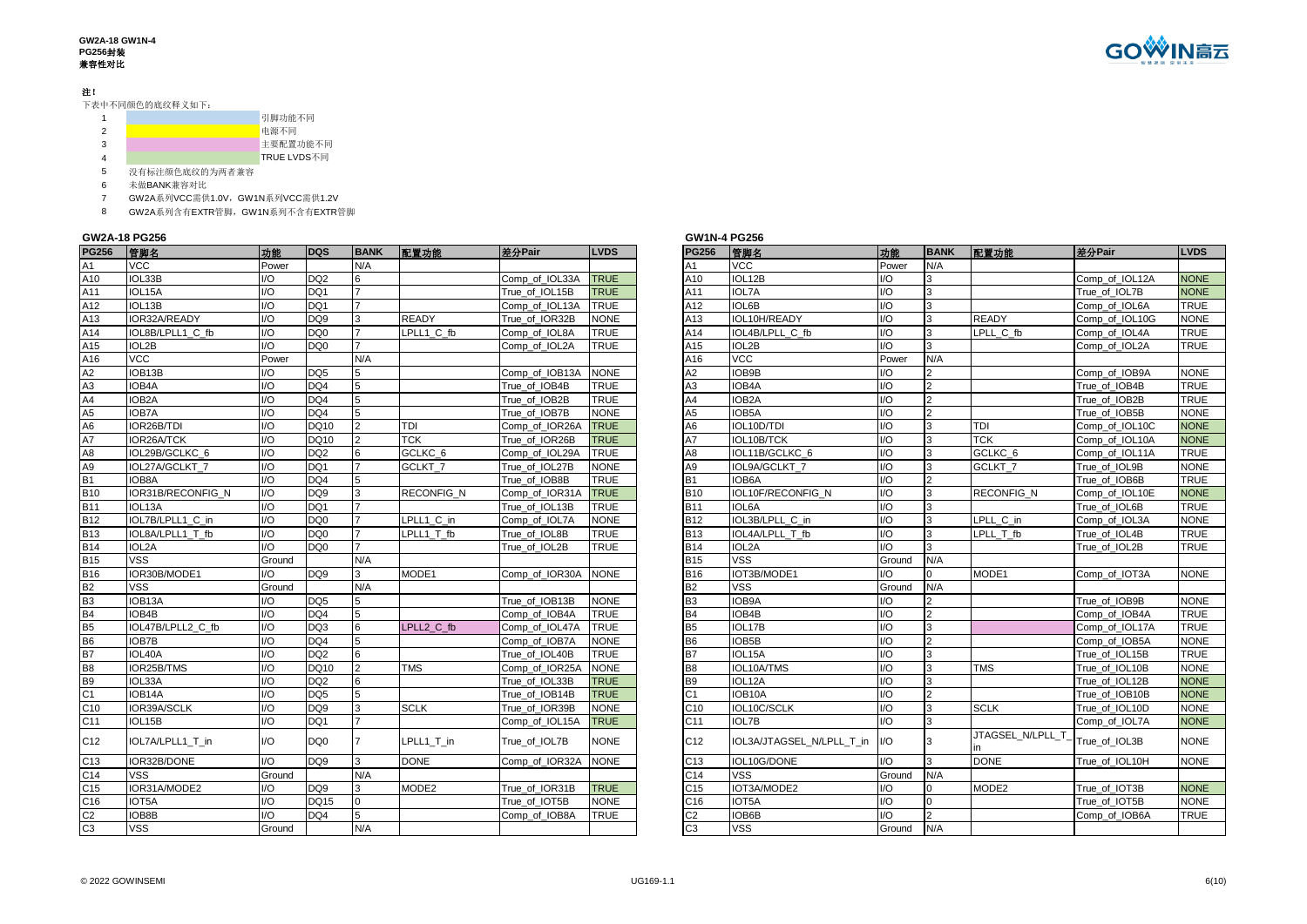# 注!

下表中不同颜色的底纹释义如下:

|  | 引脚功能不同      |
|--|-------------|
|  | 电源不同        |
|  | 主要配置功能不同    |
|  | TRUE LVDS不同 |

5 没有标注颜色底纹的为两者兼容

6 未做BANK兼容对比<br>7 GW2A系列VCC需供

7 GW2A系列VCC需供1.0V,GW1N系列VCC需供1.2V

8 GW2A系列含有EXTR管脚,GW1N系列不含有EXTR管脚

#### **GW2A-18 PG256**

| <b>PG256</b>    | 管脚名                 | 功能                      | <b>DQS</b>      | <b>BANK</b>    | 配置功能               | 差分Pair         | <b>LVDS</b> | <b>PG256</b>    | 管脚名                       | 功能               | <b>BANK</b>    | 配置功能              | 差分Pair         | <b>LVDS</b> |
|-----------------|---------------------|-------------------------|-----------------|----------------|--------------------|----------------|-------------|-----------------|---------------------------|------------------|----------------|-------------------|----------------|-------------|
| A1              | <b>VCC</b>          | Power                   |                 | N/A            |                    |                |             | A <sub>1</sub>  | <b>VCC</b>                | Power            | N/A            |                   |                |             |
| A10             | IOL33B              | I/O                     | DQ <sub>2</sub> | 6              |                    | Comp of IOL33A | <b>TRUE</b> | A10             | IOL12B                    | I/O              | 3              |                   | Comp of IOL12A | <b>NONE</b> |
| A11             | IOL15A              | $\mathsf{U}\mathsf{O}$  | DQ1             |                |                    | True of IOL15B | <b>TRUE</b> | A11             | IOL7A                     | $\overline{O}$   | 3              |                   | True of IOL7B  | <b>NONE</b> |
| A12             | IOL13B              | $\mathsf{I}/\mathsf{O}$ | DQ1             |                |                    | Comp of IOL13A | <b>TRUE</b> | A12             | <b>IOL6B</b>              | $U$ O            | 3              |                   | Comp of IOL6A  | <b>TRUE</b> |
| A13             | IOR32A/READY        | $\mathsf{I}/\mathsf{O}$ | DQ <sub>9</sub> | 3              | <b>READY</b>       | True of IOR32B | <b>NONE</b> | A13             | IOL10H/READY              | $U$ O            | 3              | <b>READY</b>      | Comp of IOL10G | <b>NONE</b> |
| A14             | IOL8B/LPLL1 C fb    | I/O                     | DQ0             |                | LPLL1 C fb         | Comp_of_IOL8A  | <b>TRUE</b> | A14             | IOL4B/LPLL C fb           | I/O              | 3              | LPLL_C_fb         | Comp of IOL4A  | TRUE        |
| A15             | IOL2B               | I/O                     | DQ0             |                |                    | Comp_of_IOL2A  | <b>TRUE</b> | A15             | IOL2B                     | I/O              | 3              |                   | Comp_of_IOL2A  | <b>TRUE</b> |
| A16             | <b>VCC</b>          | Power                   |                 | N/A            |                    |                |             | A16             | <b>VCC</b>                | Power            | N/A            |                   |                |             |
| A2              | IOB13B              | I/O                     | DQ <sub>5</sub> | 5              |                    | Comp_of_IOB13A | <b>NONE</b> | A2              | IOB9B                     | I/O              | $\overline{2}$ |                   | Comp_of_IOB9A  | <b>NONE</b> |
| A3              | IOB4A               | $\overline{1/O}$        | DQ4             | 5              |                    | True of IOB4B  | <b>TRUE</b> | A <sub>3</sub>  | IOB4A                     | $\overline{O}$   | $\overline{2}$ |                   | True of IOB4B  | <b>TRUE</b> |
| A4              | IOB <sub>2</sub> A  | $\mathsf{I}/\mathsf{O}$ | DQ4             | 5              |                    | True of IOB2B  | <b>TRUE</b> | A4              | IOB <sub>2</sub> A        | $U$ O            | $\overline{2}$ |                   | True of IOB2B  | <b>TRUE</b> |
| A5              | <b>IOB7A</b>        | $1/O$                   | DQ4             | 5              |                    | True of IOB7B  | <b>NONE</b> | A <sub>5</sub>  | IOB5A                     | $\overline{O}$   | $\overline{2}$ |                   | True of IOB5B  | <b>NONE</b> |
| A <sub>6</sub>  | IOR26B/TDI          | $\overline{1/O}$        | <b>DQ10</b>     |                | TDI                | Comp of IOR26A | <b>TRUE</b> | A6              | IOL10D/TDI                | I/O              | 3              | TDI               | Comp of IOL10C | <b>NONE</b> |
| A7              | IOR26A/TCK          | $\mathsf{I}/\mathsf{O}$ | <b>DQ10</b>     | $\overline{2}$ | <b>TCK</b>         | True_of_IOR26B | <b>TRUE</b> | A7              | IOL10B/TCK                | I/O              | 3              | <b>TCK</b>        | Comp_of_IOL10A | <b>NONE</b> |
| A <sub>8</sub>  | IOL29B/GCLKC 6      | $\mathsf{I}/\mathsf{O}$ | DQ <sub>2</sub> | 6              | GCLKC <sub>6</sub> | Comp_of_IOL29A | <b>TRUE</b> | A8              | IOL11B/GCLKC 6            | I/O              | 3              | GCLKC_6           | Comp_of_IOL11A | <b>TRUE</b> |
| A9              | IOL27A/GCLKT_7      | I/O                     | DQ1             |                | GCLKT <sub>7</sub> | True_of_IOL27B | <b>NONE</b> | A9              | IOL9A/GCLKT_7             | I/O              | 3              | GCLKT 7           | True_of_IOL9B  | <b>NONE</b> |
| <b>B1</b>       | IOB8A               | 1/O                     | DQ4             |                |                    | True of IOB8B  | <b>TRUE</b> | <b>B1</b>       | IOB6A                     | $U$ O            | $\overline{2}$ |                   | True of IOB6B  | <b>TRUE</b> |
| <b>B10</b>      | IOR31B/RECONFIG N   | $1/O$                   | DQ <sub>9</sub> | 3              | <b>RECONFIG N</b>  | Comp of IOR31A | <b>TRUE</b> | <b>B10</b>      | IOL10F/RECONFIG N         | $U$ O            | 3              | <b>RECONFIG N</b> | Comp of IOL10E | <b>NONE</b> |
| <b>B11</b>      | IOL <sub>13</sub> A | $\mathsf{U}\mathsf{O}$  | DQ1             |                |                    | True of IOL13B | <b>TRUE</b> | <b>B11</b>      | IOL6A                     | $U$ O            | 3              |                   | True of IOL6B  | TRUE        |
| <b>B12</b>      | IOL7B/LPLL1 C in    | $\mathsf{I}/\mathsf{O}$ | DQ0             |                | LPLL1 C in         | Comp_of_IOL7A  | <b>NONE</b> | <b>B12</b>      | IOL3B/LPLL C in           | <u>Ю</u>         | 3              | LPLL C in         | Comp_of_IOL3A  | <b>NONE</b> |
| <b>B13</b>      | IOL8A/LPLL1 T fb    | I/O                     | DQ0             |                | LPLL1 T fb         | True_of_IOL8B  | <b>TRUE</b> | <b>B13</b>      | IOL4A/LPLL T fb           | I/O              | 3              | LPLL T fb         | True_of_IOL4B  | TRUE        |
| <b>B14</b>      | IOL2A               | 1/O                     | DQ0             |                |                    | True_of_IOL2B  | TRUE        | <b>B14</b>      | IOL2A                     | I/O              | 3              |                   | True_of_IOL2B  | <b>TRUE</b> |
| <b>B15</b>      | <b>VSS</b>          | Ground                  |                 | N/A            |                    |                |             | <b>B15</b>      | <b>VSS</b>                | Ground           | N/A            |                   |                |             |
| <b>B16</b>      | IOR30B/MODE1        | 1/O                     | DQ <sub>9</sub> | 3              | MODE1              | Comp of IOR30A | <b>NONE</b> | <b>B16</b>      | IOT3B/MODE1               | I/O              |                | MODE1             | Comp_of_IOT3A  | <b>NONE</b> |
| <b>B2</b>       | <b>VSS</b>          | Ground                  |                 | N/A            |                    |                |             | <b>B2</b>       | <b>VSS</b>                | Ground           | N/A            |                   |                |             |
| B <sub>3</sub>  | IOB <sub>13</sub> A | 1/O                     | DQ <sub>5</sub> | 5              |                    | True of IOB13B | <b>NONE</b> | B <sub>3</sub>  | IOB9A                     | $U$ O            | $\overline{2}$ |                   | True of IOB9B  | <b>NONE</b> |
| B4              | IOB4B               | I/O                     | DQ4             | 5              |                    | Comp of IOB4A  | <b>TRUE</b> | <b>B4</b>       | IOB4B                     | <u>Ю</u>         | $\overline{2}$ |                   | Comp of IOB4A  | TRUE        |
| B <sub>5</sub>  | IOL47B/LPLL2 C fb   | I/O                     | DQ3             | 6              | LPLL2 C fb         | Comp_of_IOL47A | <b>TRUE</b> | B <sub>5</sub>  | IOL17B                    | I/O              | 3              |                   | Comp_of_IOL17A | <b>TRUE</b> |
| <b>B6</b>       | <b>IOB7B</b>        | I/O                     | DQ4             | 5              |                    | Comp_of_IOB7A  | <b>NONE</b> | B <sub>6</sub>  | IOB5B                     | I/O              | $\overline{2}$ |                   | Comp_of_IOB5A  | NONE        |
| B7              | IOL40A              | $\mathsf{I}/\mathsf{O}$ | DQ <sub>2</sub> | 6              |                    | True of IOL40B | <b>TRUE</b> | <b>B7</b>       | IOL15A                    | $U$ O            | 3              |                   | True_of_IOL15B | <b>TRUE</b> |
| <b>B8</b>       | IOR25B/TMS          | I/O                     | DQ10            | $\mathcal{P}$  | <b>TMS</b>         | Comp_of_IOR25A | <b>NONE</b> | <b>B8</b>       | IOL10A/TMS                | I/O              | 3              | <b>TMS</b>        | True_of_IOL10B | <b>NONE</b> |
| <b>B9</b>       | IOL33A              | $\mathsf{I}/\mathsf{O}$ | DQ <sub>2</sub> | 6              |                    | True of IOL33B | <b>TRUE</b> | B <sub>9</sub>  | IOL12A                    | 1/O              | 3              |                   | True of IOL12B | <b>NONE</b> |
| C <sub>1</sub>  | IOB14A              | $\mathsf{I}/\mathsf{O}$ | DQ <sub>5</sub> | 5              |                    | True of IOB14B | <b>TRUE</b> | C <sub>1</sub>  | IOB10A                    | $\overline{1/O}$ | $\overline{2}$ |                   | True of IOB10B | <b>NONE</b> |
| C10             | IOR39A/SCLK         | $\mathsf{I}/\mathsf{O}$ | DQ <sub>9</sub> | 3              | <b>SCLK</b>        | True of IOR39B | <b>NONE</b> | C <sub>10</sub> | IOL10C/SCLK               | $U$ O            | 3              | <b>SCLK</b>       | True of IOL10D | <b>NONE</b> |
| C11             | IOL15B              | $\mathsf{I}/\mathsf{O}$ | DQ1             |                |                    | Comp_of_IOL15A | <b>TRUE</b> | C11             | <b>IOL7B</b>              | $\overline{O}$   | 3              |                   | Comp of IOL7A  | <b>NONE</b> |
|                 |                     |                         |                 |                |                    |                |             |                 |                           |                  |                | JTAGSEL N/LPLL T  |                |             |
| C12             | IOL7A/LPLL1 T in    | $\mathsf{IO}$           | DQ0             |                | LPLL1 T in         | True of IOL7B  | <b>NONE</b> | C12             | IOL3A/JTAGSEL N/LPLL T in | I/O              | 3              |                   | True_of_IOL3B  | <b>NONE</b> |
| C <sub>13</sub> | IOR32B/DONE         | 1/O                     | DQ <sub>9</sub> | 3              | <b>DONE</b>        | Comp_of_IOR32A | <b>NONE</b> | C <sub>13</sub> | IOL10G/DONE               | 1/O              | $\mathbf{B}$   | <b>DONE</b>       | True of IOL10H | <b>NONE</b> |
| C14             | VSS                 | Ground                  |                 | N/A            |                    |                |             | C14             | <b>VSS</b>                | Ground           | N/A            |                   |                |             |
| C <sub>15</sub> | IOR31A/MODE2        | 1/O                     | DQ <sub>9</sub> | 3              | MODE2              | True of IOR31B | <b>TRUE</b> | C <sub>15</sub> | IOT3A/MODE2               | $U$ O            | $\overline{0}$ | MODE2             | True of IOT3B  | <b>NONE</b> |
| C16             | IOT5A               | I/O                     | <b>DQ15</b>     | $\Omega$       |                    | True of IOT5B  | <b>NONE</b> | C16             | IOT5A                     | <u>Ю</u>         | $\Omega$       |                   | True of IOT5B  | <b>NONE</b> |
| C <sub>2</sub>  | IOB8B               | $\mathsf{I}/\mathsf{O}$ | DQ4             | 5              |                    | Comp_of_IOB8A  | <b>TRUE</b> | C <sub>2</sub>  | IOB6B                     | U                | $\overline{2}$ |                   | Comp_of_IOB6A  | <b>TRUE</b> |
| C <sub>3</sub>  | <b>VSS</b>          | Ground                  |                 | N/A            |                    |                |             | C <sub>3</sub>  | <b>VSS</b>                | Ground           | N/A            |                   |                |             |

| 差分Pair<br>管脚名<br>功能<br><b>BANK</b><br><b>LVDS</b><br>配置功能<br><b>VCC</b><br>Power<br>N/A<br>A1<br>IOL12B<br>1/O<br><b>NONE</b><br>A10<br>3<br>Comp of IOL12A<br>$\overline{3}$<br>1/O<br>A11<br><b>IOL7A</b><br>True of IOL7B<br><b>NONE</b><br>1/O<br>A12<br>IOL6B<br>3<br>Comp of IOL6A<br><b>TRUE</b><br>1/O<br>3<br>IOL10H/READY<br><b>READY</b><br>Comp of IOL10G<br><b>NONE</b><br>A13<br>3<br>Ī/O<br>A14<br>LPLL C fb<br><b>TRUE</b><br>IOL4B/LPLL C fb<br>Comp of IOL4A<br>1/O<br>3<br>A15<br>IOL2B<br>Comp of IOL2A<br><b>TRUE</b><br>A16<br>VCC<br>Power<br>N/A<br>I/O<br>$\overline{2}$<br>A2<br>IOB9B<br>Comp_of_IOB9A<br><b>NONE</b><br>A <sub>3</sub><br>1/O<br>$\overline{2}$<br><b>TRUE</b><br>IOB4A<br>True of IOB4B<br>$\overline{2}$<br>I/O<br><b>TRUE</b><br>A4<br>IOB2A<br>True of IOB2B<br>$\overline{2}$<br>1/O<br>A5<br><b>NONE</b><br>IOB5A<br>True of IOB5B<br>1/O<br>$\overline{3}$<br><b>NONE</b><br>A6<br>IOL10D/TDI<br><b>TDI</b><br>Comp of IOL10C<br>3<br>IOL10B/TCK<br>1/O<br><b>TCK</b><br><b>NONE</b><br>A7<br>Comp of IOL10A<br>$\overline{3}$<br>1/O<br>A8<br>IOL11B/GCLKC_6<br>GCLKC_6<br>Comp_of_IOL11A<br>TRUE<br>3<br>1/O<br>A9<br>IOL9A/GCLKT 7<br>GCLKT <sub>7</sub><br>True_of_IOL9B<br><b>NONE</b><br>1/O<br>$\overline{2}$<br><b>TRUE</b><br><b>B1</b><br>IOB6A<br>True_of_IOB6B<br>$\overline{3}$<br><b>B10</b><br>IOL10F/RECONFIG N<br>1/O<br><b>RECONFIG N</b><br>Comp_of_IOL10E<br><b>NONE</b><br>3<br>I/O<br><b>B11</b><br>IOL6A<br><b>TRUE</b><br>True of IOL6B<br>1/O<br>3<br><b>NONE</b><br><b>B12</b><br>IOL3B/LPLL C in<br>LPLL C in<br>Comp_of_IOL3A<br>3<br><b>B13</b><br>I/O<br>IOL4A/LPLL T fb<br>LPLL T fb<br>True of IOL4B<br>TRUE<br>1/O<br>3<br><b>B14</b><br>IOL2A<br>True of IOL2B<br>TRUE<br>$\overline{\text{v}}$ ss<br><b>B15</b><br>N/A<br>Ground<br><b>B16</b><br>1/O<br>IOT3B/MODE1<br>$\Omega$<br>MODE1<br>Comp of IOT3A<br><b>NONE</b><br>VSS<br>N/A<br><b>B2</b><br>Ground<br>$\overline{2}$<br>B <sub>3</sub><br>IOB9A<br>1/O<br>True_of_IOB9B<br><b>NONE</b><br>1/O<br>$\overline{2}$<br>B4<br>IOB4B<br>Comp of IOB4A<br><b>TRUE</b><br>1/O<br>$\overline{3}$<br>B <sub>5</sub><br>Comp_of_IOL17A<br><b>TRUE</b><br>IOL17B<br>$\overline{2}$<br>1/O<br>B <sub>6</sub><br>IOB5B<br>Comp_of_IOB5A<br><b>NONE</b><br>1/O<br>3<br>B7<br>IOL15A<br>True of IOL15B<br><b>TRUE</b><br>3<br>I/O<br><b>TMS</b><br>B <sub>8</sub><br>IOL10A/TMS<br>True_of_IOL10B<br><b>NONE</b><br>I/O<br>3<br>B <sub>9</sub><br>IOL12A<br><b>NONE</b><br>True of IOL12B<br>1/O<br>$\overline{2}$<br>C <sub>1</sub><br><b>NONE</b><br>IOB <sub>10</sub> A<br>True of IOB10B<br>IOL10C/SCLK<br>I/O<br>$\overline{3}$<br><b>SCLK</b><br><b>NONE</b><br>C10<br>True of IOL10D<br>1/O<br>3<br>C11<br><b>IOL7B</b><br>Comp of IOL7A<br><b>NONE</b><br>JTAGSEL N/LPLL T<br>C <sub>12</sub><br>IOL3A/JTAGSEL N/LPLL T in<br>1/O<br>3<br>True of IOL3B<br><b>NONE</b><br>in<br>1/O<br>3<br><b>DONE</b><br>C <sub>13</sub><br>IOL10G/DONE<br><b>NONE</b><br>True of IOL10H<br>C14<br><b>VSS</b><br>Ground<br>N/A<br>IOT3A/MODE2<br>1/O<br>C <sub>15</sub><br>$\Omega$<br>MODE2<br>True of IOT3B<br><b>NONE</b><br>$\mathbf 0$<br>I/O<br>C16<br>IOT5A<br>True of IOT5B<br><b>NONE</b> |                | <b>GW1N-4 PG256</b> |     |                |               |             |
|--------------------------------------------------------------------------------------------------------------------------------------------------------------------------------------------------------------------------------------------------------------------------------------------------------------------------------------------------------------------------------------------------------------------------------------------------------------------------------------------------------------------------------------------------------------------------------------------------------------------------------------------------------------------------------------------------------------------------------------------------------------------------------------------------------------------------------------------------------------------------------------------------------------------------------------------------------------------------------------------------------------------------------------------------------------------------------------------------------------------------------------------------------------------------------------------------------------------------------------------------------------------------------------------------------------------------------------------------------------------------------------------------------------------------------------------------------------------------------------------------------------------------------------------------------------------------------------------------------------------------------------------------------------------------------------------------------------------------------------------------------------------------------------------------------------------------------------------------------------------------------------------------------------------------------------------------------------------------------------------------------------------------------------------------------------------------------------------------------------------------------------------------------------------------------------------------------------------------------------------------------------------------------------------------------------------------------------------------------------------------------------------------------------------------------------------------------------------------------------------------------------------------------------------------------------------------------------------------------------------------------------------------------------------------------------------------------------------------------------------------------------------------------------------------------------------------------------------------------------------------------------------------------------------------------------------------------------------------------------------------------------------------------------------------------------------------------------------------------------------------------------------------------------------------------------------------------------------------------|----------------|---------------------|-----|----------------|---------------|-------------|
|                                                                                                                                                                                                                                                                                                                                                                                                                                                                                                                                                                                                                                                                                                                                                                                                                                                                                                                                                                                                                                                                                                                                                                                                                                                                                                                                                                                                                                                                                                                                                                                                                                                                                                                                                                                                                                                                                                                                                                                                                                                                                                                                                                                                                                                                                                                                                                                                                                                                                                                                                                                                                                                                                                                                                                                                                                                                                                                                                                                                                                                                                                                                                                                                                                | <b>PG256</b>   |                     |     |                |               |             |
|                                                                                                                                                                                                                                                                                                                                                                                                                                                                                                                                                                                                                                                                                                                                                                                                                                                                                                                                                                                                                                                                                                                                                                                                                                                                                                                                                                                                                                                                                                                                                                                                                                                                                                                                                                                                                                                                                                                                                                                                                                                                                                                                                                                                                                                                                                                                                                                                                                                                                                                                                                                                                                                                                                                                                                                                                                                                                                                                                                                                                                                                                                                                                                                                                                |                |                     |     |                |               |             |
|                                                                                                                                                                                                                                                                                                                                                                                                                                                                                                                                                                                                                                                                                                                                                                                                                                                                                                                                                                                                                                                                                                                                                                                                                                                                                                                                                                                                                                                                                                                                                                                                                                                                                                                                                                                                                                                                                                                                                                                                                                                                                                                                                                                                                                                                                                                                                                                                                                                                                                                                                                                                                                                                                                                                                                                                                                                                                                                                                                                                                                                                                                                                                                                                                                |                |                     |     |                |               |             |
|                                                                                                                                                                                                                                                                                                                                                                                                                                                                                                                                                                                                                                                                                                                                                                                                                                                                                                                                                                                                                                                                                                                                                                                                                                                                                                                                                                                                                                                                                                                                                                                                                                                                                                                                                                                                                                                                                                                                                                                                                                                                                                                                                                                                                                                                                                                                                                                                                                                                                                                                                                                                                                                                                                                                                                                                                                                                                                                                                                                                                                                                                                                                                                                                                                |                |                     |     |                |               |             |
|                                                                                                                                                                                                                                                                                                                                                                                                                                                                                                                                                                                                                                                                                                                                                                                                                                                                                                                                                                                                                                                                                                                                                                                                                                                                                                                                                                                                                                                                                                                                                                                                                                                                                                                                                                                                                                                                                                                                                                                                                                                                                                                                                                                                                                                                                                                                                                                                                                                                                                                                                                                                                                                                                                                                                                                                                                                                                                                                                                                                                                                                                                                                                                                                                                |                |                     |     |                |               |             |
|                                                                                                                                                                                                                                                                                                                                                                                                                                                                                                                                                                                                                                                                                                                                                                                                                                                                                                                                                                                                                                                                                                                                                                                                                                                                                                                                                                                                                                                                                                                                                                                                                                                                                                                                                                                                                                                                                                                                                                                                                                                                                                                                                                                                                                                                                                                                                                                                                                                                                                                                                                                                                                                                                                                                                                                                                                                                                                                                                                                                                                                                                                                                                                                                                                |                |                     |     |                |               |             |
|                                                                                                                                                                                                                                                                                                                                                                                                                                                                                                                                                                                                                                                                                                                                                                                                                                                                                                                                                                                                                                                                                                                                                                                                                                                                                                                                                                                                                                                                                                                                                                                                                                                                                                                                                                                                                                                                                                                                                                                                                                                                                                                                                                                                                                                                                                                                                                                                                                                                                                                                                                                                                                                                                                                                                                                                                                                                                                                                                                                                                                                                                                                                                                                                                                |                |                     |     |                |               |             |
|                                                                                                                                                                                                                                                                                                                                                                                                                                                                                                                                                                                                                                                                                                                                                                                                                                                                                                                                                                                                                                                                                                                                                                                                                                                                                                                                                                                                                                                                                                                                                                                                                                                                                                                                                                                                                                                                                                                                                                                                                                                                                                                                                                                                                                                                                                                                                                                                                                                                                                                                                                                                                                                                                                                                                                                                                                                                                                                                                                                                                                                                                                                                                                                                                                |                |                     |     |                |               |             |
|                                                                                                                                                                                                                                                                                                                                                                                                                                                                                                                                                                                                                                                                                                                                                                                                                                                                                                                                                                                                                                                                                                                                                                                                                                                                                                                                                                                                                                                                                                                                                                                                                                                                                                                                                                                                                                                                                                                                                                                                                                                                                                                                                                                                                                                                                                                                                                                                                                                                                                                                                                                                                                                                                                                                                                                                                                                                                                                                                                                                                                                                                                                                                                                                                                |                |                     |     |                |               |             |
|                                                                                                                                                                                                                                                                                                                                                                                                                                                                                                                                                                                                                                                                                                                                                                                                                                                                                                                                                                                                                                                                                                                                                                                                                                                                                                                                                                                                                                                                                                                                                                                                                                                                                                                                                                                                                                                                                                                                                                                                                                                                                                                                                                                                                                                                                                                                                                                                                                                                                                                                                                                                                                                                                                                                                                                                                                                                                                                                                                                                                                                                                                                                                                                                                                |                |                     |     |                |               |             |
|                                                                                                                                                                                                                                                                                                                                                                                                                                                                                                                                                                                                                                                                                                                                                                                                                                                                                                                                                                                                                                                                                                                                                                                                                                                                                                                                                                                                                                                                                                                                                                                                                                                                                                                                                                                                                                                                                                                                                                                                                                                                                                                                                                                                                                                                                                                                                                                                                                                                                                                                                                                                                                                                                                                                                                                                                                                                                                                                                                                                                                                                                                                                                                                                                                |                |                     |     |                |               |             |
|                                                                                                                                                                                                                                                                                                                                                                                                                                                                                                                                                                                                                                                                                                                                                                                                                                                                                                                                                                                                                                                                                                                                                                                                                                                                                                                                                                                                                                                                                                                                                                                                                                                                                                                                                                                                                                                                                                                                                                                                                                                                                                                                                                                                                                                                                                                                                                                                                                                                                                                                                                                                                                                                                                                                                                                                                                                                                                                                                                                                                                                                                                                                                                                                                                |                |                     |     |                |               |             |
|                                                                                                                                                                                                                                                                                                                                                                                                                                                                                                                                                                                                                                                                                                                                                                                                                                                                                                                                                                                                                                                                                                                                                                                                                                                                                                                                                                                                                                                                                                                                                                                                                                                                                                                                                                                                                                                                                                                                                                                                                                                                                                                                                                                                                                                                                                                                                                                                                                                                                                                                                                                                                                                                                                                                                                                                                                                                                                                                                                                                                                                                                                                                                                                                                                |                |                     |     |                |               |             |
|                                                                                                                                                                                                                                                                                                                                                                                                                                                                                                                                                                                                                                                                                                                                                                                                                                                                                                                                                                                                                                                                                                                                                                                                                                                                                                                                                                                                                                                                                                                                                                                                                                                                                                                                                                                                                                                                                                                                                                                                                                                                                                                                                                                                                                                                                                                                                                                                                                                                                                                                                                                                                                                                                                                                                                                                                                                                                                                                                                                                                                                                                                                                                                                                                                |                |                     |     |                |               |             |
|                                                                                                                                                                                                                                                                                                                                                                                                                                                                                                                                                                                                                                                                                                                                                                                                                                                                                                                                                                                                                                                                                                                                                                                                                                                                                                                                                                                                                                                                                                                                                                                                                                                                                                                                                                                                                                                                                                                                                                                                                                                                                                                                                                                                                                                                                                                                                                                                                                                                                                                                                                                                                                                                                                                                                                                                                                                                                                                                                                                                                                                                                                                                                                                                                                |                |                     |     |                |               |             |
|                                                                                                                                                                                                                                                                                                                                                                                                                                                                                                                                                                                                                                                                                                                                                                                                                                                                                                                                                                                                                                                                                                                                                                                                                                                                                                                                                                                                                                                                                                                                                                                                                                                                                                                                                                                                                                                                                                                                                                                                                                                                                                                                                                                                                                                                                                                                                                                                                                                                                                                                                                                                                                                                                                                                                                                                                                                                                                                                                                                                                                                                                                                                                                                                                                |                |                     |     |                |               |             |
|                                                                                                                                                                                                                                                                                                                                                                                                                                                                                                                                                                                                                                                                                                                                                                                                                                                                                                                                                                                                                                                                                                                                                                                                                                                                                                                                                                                                                                                                                                                                                                                                                                                                                                                                                                                                                                                                                                                                                                                                                                                                                                                                                                                                                                                                                                                                                                                                                                                                                                                                                                                                                                                                                                                                                                                                                                                                                                                                                                                                                                                                                                                                                                                                                                |                |                     |     |                |               |             |
|                                                                                                                                                                                                                                                                                                                                                                                                                                                                                                                                                                                                                                                                                                                                                                                                                                                                                                                                                                                                                                                                                                                                                                                                                                                                                                                                                                                                                                                                                                                                                                                                                                                                                                                                                                                                                                                                                                                                                                                                                                                                                                                                                                                                                                                                                                                                                                                                                                                                                                                                                                                                                                                                                                                                                                                                                                                                                                                                                                                                                                                                                                                                                                                                                                |                |                     |     |                |               |             |
|                                                                                                                                                                                                                                                                                                                                                                                                                                                                                                                                                                                                                                                                                                                                                                                                                                                                                                                                                                                                                                                                                                                                                                                                                                                                                                                                                                                                                                                                                                                                                                                                                                                                                                                                                                                                                                                                                                                                                                                                                                                                                                                                                                                                                                                                                                                                                                                                                                                                                                                                                                                                                                                                                                                                                                                                                                                                                                                                                                                                                                                                                                                                                                                                                                |                |                     |     |                |               |             |
|                                                                                                                                                                                                                                                                                                                                                                                                                                                                                                                                                                                                                                                                                                                                                                                                                                                                                                                                                                                                                                                                                                                                                                                                                                                                                                                                                                                                                                                                                                                                                                                                                                                                                                                                                                                                                                                                                                                                                                                                                                                                                                                                                                                                                                                                                                                                                                                                                                                                                                                                                                                                                                                                                                                                                                                                                                                                                                                                                                                                                                                                                                                                                                                                                                |                |                     |     |                |               |             |
|                                                                                                                                                                                                                                                                                                                                                                                                                                                                                                                                                                                                                                                                                                                                                                                                                                                                                                                                                                                                                                                                                                                                                                                                                                                                                                                                                                                                                                                                                                                                                                                                                                                                                                                                                                                                                                                                                                                                                                                                                                                                                                                                                                                                                                                                                                                                                                                                                                                                                                                                                                                                                                                                                                                                                                                                                                                                                                                                                                                                                                                                                                                                                                                                                                |                |                     |     |                |               |             |
|                                                                                                                                                                                                                                                                                                                                                                                                                                                                                                                                                                                                                                                                                                                                                                                                                                                                                                                                                                                                                                                                                                                                                                                                                                                                                                                                                                                                                                                                                                                                                                                                                                                                                                                                                                                                                                                                                                                                                                                                                                                                                                                                                                                                                                                                                                                                                                                                                                                                                                                                                                                                                                                                                                                                                                                                                                                                                                                                                                                                                                                                                                                                                                                                                                |                |                     |     |                |               |             |
|                                                                                                                                                                                                                                                                                                                                                                                                                                                                                                                                                                                                                                                                                                                                                                                                                                                                                                                                                                                                                                                                                                                                                                                                                                                                                                                                                                                                                                                                                                                                                                                                                                                                                                                                                                                                                                                                                                                                                                                                                                                                                                                                                                                                                                                                                                                                                                                                                                                                                                                                                                                                                                                                                                                                                                                                                                                                                                                                                                                                                                                                                                                                                                                                                                |                |                     |     |                |               |             |
|                                                                                                                                                                                                                                                                                                                                                                                                                                                                                                                                                                                                                                                                                                                                                                                                                                                                                                                                                                                                                                                                                                                                                                                                                                                                                                                                                                                                                                                                                                                                                                                                                                                                                                                                                                                                                                                                                                                                                                                                                                                                                                                                                                                                                                                                                                                                                                                                                                                                                                                                                                                                                                                                                                                                                                                                                                                                                                                                                                                                                                                                                                                                                                                                                                |                |                     |     |                |               |             |
|                                                                                                                                                                                                                                                                                                                                                                                                                                                                                                                                                                                                                                                                                                                                                                                                                                                                                                                                                                                                                                                                                                                                                                                                                                                                                                                                                                                                                                                                                                                                                                                                                                                                                                                                                                                                                                                                                                                                                                                                                                                                                                                                                                                                                                                                                                                                                                                                                                                                                                                                                                                                                                                                                                                                                                                                                                                                                                                                                                                                                                                                                                                                                                                                                                |                |                     |     |                |               |             |
|                                                                                                                                                                                                                                                                                                                                                                                                                                                                                                                                                                                                                                                                                                                                                                                                                                                                                                                                                                                                                                                                                                                                                                                                                                                                                                                                                                                                                                                                                                                                                                                                                                                                                                                                                                                                                                                                                                                                                                                                                                                                                                                                                                                                                                                                                                                                                                                                                                                                                                                                                                                                                                                                                                                                                                                                                                                                                                                                                                                                                                                                                                                                                                                                                                |                |                     |     |                |               |             |
|                                                                                                                                                                                                                                                                                                                                                                                                                                                                                                                                                                                                                                                                                                                                                                                                                                                                                                                                                                                                                                                                                                                                                                                                                                                                                                                                                                                                                                                                                                                                                                                                                                                                                                                                                                                                                                                                                                                                                                                                                                                                                                                                                                                                                                                                                                                                                                                                                                                                                                                                                                                                                                                                                                                                                                                                                                                                                                                                                                                                                                                                                                                                                                                                                                |                |                     |     |                |               |             |
|                                                                                                                                                                                                                                                                                                                                                                                                                                                                                                                                                                                                                                                                                                                                                                                                                                                                                                                                                                                                                                                                                                                                                                                                                                                                                                                                                                                                                                                                                                                                                                                                                                                                                                                                                                                                                                                                                                                                                                                                                                                                                                                                                                                                                                                                                                                                                                                                                                                                                                                                                                                                                                                                                                                                                                                                                                                                                                                                                                                                                                                                                                                                                                                                                                |                |                     |     |                |               |             |
|                                                                                                                                                                                                                                                                                                                                                                                                                                                                                                                                                                                                                                                                                                                                                                                                                                                                                                                                                                                                                                                                                                                                                                                                                                                                                                                                                                                                                                                                                                                                                                                                                                                                                                                                                                                                                                                                                                                                                                                                                                                                                                                                                                                                                                                                                                                                                                                                                                                                                                                                                                                                                                                                                                                                                                                                                                                                                                                                                                                                                                                                                                                                                                                                                                |                |                     |     |                |               |             |
|                                                                                                                                                                                                                                                                                                                                                                                                                                                                                                                                                                                                                                                                                                                                                                                                                                                                                                                                                                                                                                                                                                                                                                                                                                                                                                                                                                                                                                                                                                                                                                                                                                                                                                                                                                                                                                                                                                                                                                                                                                                                                                                                                                                                                                                                                                                                                                                                                                                                                                                                                                                                                                                                                                                                                                                                                                                                                                                                                                                                                                                                                                                                                                                                                                |                |                     |     |                |               |             |
|                                                                                                                                                                                                                                                                                                                                                                                                                                                                                                                                                                                                                                                                                                                                                                                                                                                                                                                                                                                                                                                                                                                                                                                                                                                                                                                                                                                                                                                                                                                                                                                                                                                                                                                                                                                                                                                                                                                                                                                                                                                                                                                                                                                                                                                                                                                                                                                                                                                                                                                                                                                                                                                                                                                                                                                                                                                                                                                                                                                                                                                                                                                                                                                                                                |                |                     |     |                |               |             |
|                                                                                                                                                                                                                                                                                                                                                                                                                                                                                                                                                                                                                                                                                                                                                                                                                                                                                                                                                                                                                                                                                                                                                                                                                                                                                                                                                                                                                                                                                                                                                                                                                                                                                                                                                                                                                                                                                                                                                                                                                                                                                                                                                                                                                                                                                                                                                                                                                                                                                                                                                                                                                                                                                                                                                                                                                                                                                                                                                                                                                                                                                                                                                                                                                                |                |                     |     |                |               |             |
|                                                                                                                                                                                                                                                                                                                                                                                                                                                                                                                                                                                                                                                                                                                                                                                                                                                                                                                                                                                                                                                                                                                                                                                                                                                                                                                                                                                                                                                                                                                                                                                                                                                                                                                                                                                                                                                                                                                                                                                                                                                                                                                                                                                                                                                                                                                                                                                                                                                                                                                                                                                                                                                                                                                                                                                                                                                                                                                                                                                                                                                                                                                                                                                                                                |                |                     |     |                |               |             |
|                                                                                                                                                                                                                                                                                                                                                                                                                                                                                                                                                                                                                                                                                                                                                                                                                                                                                                                                                                                                                                                                                                                                                                                                                                                                                                                                                                                                                                                                                                                                                                                                                                                                                                                                                                                                                                                                                                                                                                                                                                                                                                                                                                                                                                                                                                                                                                                                                                                                                                                                                                                                                                                                                                                                                                                                                                                                                                                                                                                                                                                                                                                                                                                                                                |                |                     |     |                |               |             |
|                                                                                                                                                                                                                                                                                                                                                                                                                                                                                                                                                                                                                                                                                                                                                                                                                                                                                                                                                                                                                                                                                                                                                                                                                                                                                                                                                                                                                                                                                                                                                                                                                                                                                                                                                                                                                                                                                                                                                                                                                                                                                                                                                                                                                                                                                                                                                                                                                                                                                                                                                                                                                                                                                                                                                                                                                                                                                                                                                                                                                                                                                                                                                                                                                                |                |                     |     |                |               |             |
|                                                                                                                                                                                                                                                                                                                                                                                                                                                                                                                                                                                                                                                                                                                                                                                                                                                                                                                                                                                                                                                                                                                                                                                                                                                                                                                                                                                                                                                                                                                                                                                                                                                                                                                                                                                                                                                                                                                                                                                                                                                                                                                                                                                                                                                                                                                                                                                                                                                                                                                                                                                                                                                                                                                                                                                                                                                                                                                                                                                                                                                                                                                                                                                                                                |                |                     |     |                |               |             |
|                                                                                                                                                                                                                                                                                                                                                                                                                                                                                                                                                                                                                                                                                                                                                                                                                                                                                                                                                                                                                                                                                                                                                                                                                                                                                                                                                                                                                                                                                                                                                                                                                                                                                                                                                                                                                                                                                                                                                                                                                                                                                                                                                                                                                                                                                                                                                                                                                                                                                                                                                                                                                                                                                                                                                                                                                                                                                                                                                                                                                                                                                                                                                                                                                                |                |                     |     |                |               |             |
|                                                                                                                                                                                                                                                                                                                                                                                                                                                                                                                                                                                                                                                                                                                                                                                                                                                                                                                                                                                                                                                                                                                                                                                                                                                                                                                                                                                                                                                                                                                                                                                                                                                                                                                                                                                                                                                                                                                                                                                                                                                                                                                                                                                                                                                                                                                                                                                                                                                                                                                                                                                                                                                                                                                                                                                                                                                                                                                                                                                                                                                                                                                                                                                                                                |                |                     |     |                |               |             |
|                                                                                                                                                                                                                                                                                                                                                                                                                                                                                                                                                                                                                                                                                                                                                                                                                                                                                                                                                                                                                                                                                                                                                                                                                                                                                                                                                                                                                                                                                                                                                                                                                                                                                                                                                                                                                                                                                                                                                                                                                                                                                                                                                                                                                                                                                                                                                                                                                                                                                                                                                                                                                                                                                                                                                                                                                                                                                                                                                                                                                                                                                                                                                                                                                                |                |                     |     |                |               |             |
|                                                                                                                                                                                                                                                                                                                                                                                                                                                                                                                                                                                                                                                                                                                                                                                                                                                                                                                                                                                                                                                                                                                                                                                                                                                                                                                                                                                                                                                                                                                                                                                                                                                                                                                                                                                                                                                                                                                                                                                                                                                                                                                                                                                                                                                                                                                                                                                                                                                                                                                                                                                                                                                                                                                                                                                                                                                                                                                                                                                                                                                                                                                                                                                                                                |                |                     |     |                |               |             |
|                                                                                                                                                                                                                                                                                                                                                                                                                                                                                                                                                                                                                                                                                                                                                                                                                                                                                                                                                                                                                                                                                                                                                                                                                                                                                                                                                                                                                                                                                                                                                                                                                                                                                                                                                                                                                                                                                                                                                                                                                                                                                                                                                                                                                                                                                                                                                                                                                                                                                                                                                                                                                                                                                                                                                                                                                                                                                                                                                                                                                                                                                                                                                                                                                                |                |                     |     |                |               |             |
|                                                                                                                                                                                                                                                                                                                                                                                                                                                                                                                                                                                                                                                                                                                                                                                                                                                                                                                                                                                                                                                                                                                                                                                                                                                                                                                                                                                                                                                                                                                                                                                                                                                                                                                                                                                                                                                                                                                                                                                                                                                                                                                                                                                                                                                                                                                                                                                                                                                                                                                                                                                                                                                                                                                                                                                                                                                                                                                                                                                                                                                                                                                                                                                                                                | C <sub>2</sub> | IOB6B               | I/O | $\overline{2}$ | Comp of IOB6A | <b>TRUE</b> |

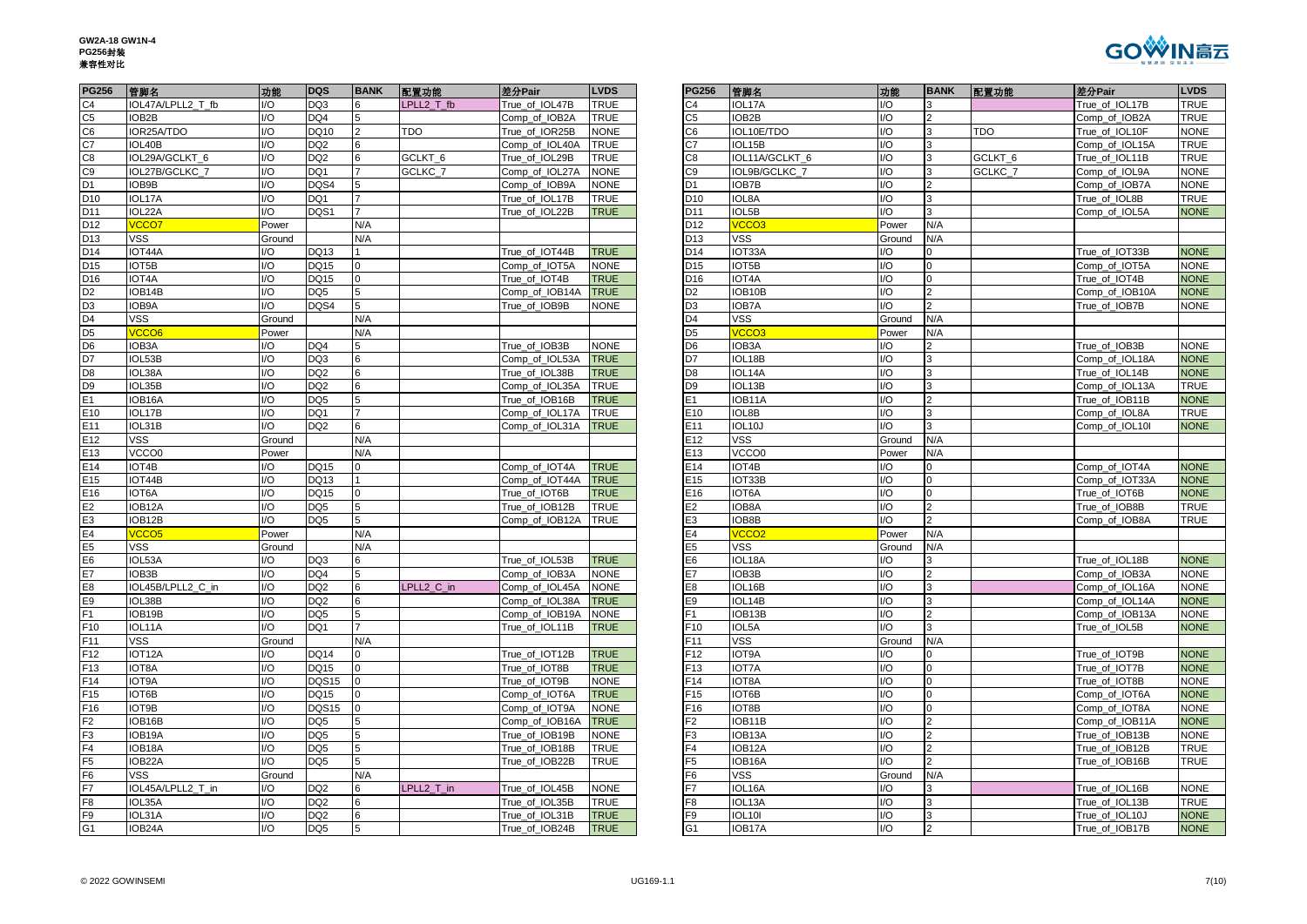

| <b>PG256</b>    | 管脚名               | 功能                      | <b>DQS</b>      | <b>BANK</b>    | 配置功能       | 差分Pair         | <b>LVDS</b> | <b>PG256</b>    | 管脚名               | 功能     | <b>BANK</b>    | 配置功能       | 差分Pair         | <b>LVDS</b> |
|-----------------|-------------------|-------------------------|-----------------|----------------|------------|----------------|-------------|-----------------|-------------------|--------|----------------|------------|----------------|-------------|
| C <sub>4</sub>  | IOL47A/LPLL2 T fb | I/O                     | DQ3             | 6              | LPLL2 T fb | True of IOL47B | <b>TRUE</b> | C4              | IOL17A            | I/O    | 3              |            | True of IOL17B | TRUE        |
| C <sub>5</sub>  | IOB2B             | I/O                     | DQ4             | 5              |            | Comp_of_IOB2A  | <b>TRUE</b> | C <sub>5</sub>  | IOB2B             | I/O    | $\overline{2}$ |            | Comp_of_IOB2A  | TRUE        |
| C6              | IOR25A/TDO        | $\mathsf{I}/\mathsf{O}$ | DQ10            | $\overline{2}$ | <b>TDO</b> | True_of_IOR25B | <b>NONE</b> | C6              | IOL10E/TDO        | I/O    | $\overline{3}$ | <b>TDO</b> | True_of_IOL10F | <b>NONE</b> |
| C <sub>7</sub>  | IOL40B            | I/O                     | DQ <sub>2</sub> | 6              |            | Comp_of_IOL40A | TRUE        | C7              | IOL15B            | I/O    | 3              |            | Comp_of_IOL15A | TRUE        |
| C8              | IOL29A/GCLKT_6    | I/O                     | DQ <sub>2</sub> |                | GCLKT_6    | True_of_IOL29B | TRUE        | C <sub>8</sub>  | IOL11A/GCLKT_6    | I/O    | 3              | GCLKT_6    | True_of_IOL11B | TRUE        |
| C <sub>9</sub>  | IOL27B/GCLKC_7    | I/O                     | DQ1             |                | GCLKC_7    | Comp_of_IOL27A | <b>VONE</b> | C <sub>9</sub>  | IOL9B/GCLKC 7     | I/O    | $\overline{3}$ | GCLKC_7    | Comp_of_IOL9A  | <b>NONE</b> |
| D1              | IOB9B             | $\mathsf{I}/\mathsf{O}$ | DQS4            |                |            | Comp_of_IOB9A  | <b>NONE</b> | D <sub>1</sub>  | IOB7B             | I/O    | $\overline{2}$ |            | Comp_of_IOB7A  | <b>NONE</b> |
| D <sub>10</sub> | IOL17A            | I/O                     | DQ1             |                |            | True_of_IOL17B | <b>TRUE</b> | D <sub>10</sub> | IOL8A             | I/O    | 3              |            | True_of_IOL8B  | TRUE        |
| D11             | IOL22A            | I/O                     | DQS1            |                |            | True_of_IOL22B | <b>TRUE</b> | D11             | IOL5B             | I/O    | 3              |            | Comp_of_IOL5A  | <b>NONE</b> |
| D12             | vcco7             | Power                   |                 | N/A            |            |                |             | D12             | VCCO <sub>3</sub> | Power  | N/A            |            |                |             |
| D13             | <b>VSS</b>        | Ground                  |                 | N/A            |            |                |             | D <sub>13</sub> | <b>VSS</b>        | Ground | N/A            |            |                |             |
| D14             | IOT44A            | I/O                     | DQ13            |                |            | True_of_IOT44B | <b>TRUE</b> | D <sub>14</sub> | IOT33A            | I/O    | 0              |            | True_of_IOT33B | <b>NONE</b> |
| D <sub>15</sub> | IOT5B             | I/O                     | DQ15            |                |            | Comp_of_IOT5A  | <b>NONE</b> | D <sub>15</sub> | IOT5B             | I/O    | $\overline{0}$ |            | Comp_of_IOT5A  | <b>NONE</b> |
| D <sub>16</sub> | IOT4A             | $\mathsf{I}/\mathsf{O}$ | <b>DQ15</b>     | $\Omega$       |            | True of IOT4B  | <b>TRUE</b> | D <sub>16</sub> | IOT4A             | 1/O    | $\overline{0}$ |            | True of IOT4B  | <b>NONE</b> |
| D <sub>2</sub>  | IOB14B            | $\mathsf{I}/\mathsf{O}$ | DQ5             |                |            | Comp_of_IOB14A | <b>TRUE</b> | D <sub>2</sub>  | IOB10B            | I/O    |                |            | Comp_of_IOB10A | <b>NONE</b> |
| D <sub>3</sub>  | IOB9A             | I/O                     | DQS4            | 5              |            | True_of_IOB9B  | <b>NONE</b> | D <sub>3</sub>  | IOB7A             | I/O    | $\overline{2}$ |            | True_of_IOB7B  | <b>NONE</b> |
| D <sub>4</sub>  | <b>VSS</b>        | Ground                  |                 | N/A            |            |                |             | D4              | <b>VSS</b>        | Ground | N/A            |            |                |             |
| D <sub>5</sub>  | /CCO6             | Power                   |                 | N/A            |            |                |             | D <sub>5</sub>  | VCCO <sub>3</sub> | Power  | N/A            |            |                |             |
| D <sub>6</sub>  | IOB3A             | I/O                     | DQ4             |                |            | True_of_IOB3B  | <b>NONE</b> | D <sub>6</sub>  | IOB3A             | I/O    | $\overline{2}$ |            | True_of_IOB3B  | <b>NONE</b> |
| D <sub>7</sub>  | IOL53B            | I/O                     | DQ3             | 6              |            | Comp_of_IOL53A | <b>TRUE</b> | D7              | IOL18B            | I/O    | 3              |            | Comp_of_IOL18A | <b>NONE</b> |
| D <sub>8</sub>  | IOL38A            | $\mathsf{I}/\mathsf{O}$ | DQ <sub>2</sub> | 6              |            | True_of_IOL38B | <b>TRUE</b> | D <sub>8</sub>  | IOL14A            | I/O    | $\overline{3}$ |            | True_of_IOL14B | <b>NONE</b> |
| D <sub>9</sub>  | IOL35B            | I/O                     | DQ <sub>2</sub> | 6              |            | Comp_of_IOL35A | <b>TRUE</b> | D <sub>9</sub>  | IOL13B            | I/O    | 3              |            | Comp_of_IOL13A | TRUE        |
| E1              | IOB16A            | I/O                     | DQ5             | 5              |            | True_of_IOB16B | <b>TRUE</b> | E1              | IOB11A            | I/O    | $\overline{2}$ |            | True_of_IOB11B | <b>NONE</b> |
| E10             | IOL17B            | $\mathsf{I}/\mathsf{O}$ | DQ1             |                |            | Comp_of_IOL17A | <b>TRUE</b> | E10             | IOL8B             | I/O    | $\overline{3}$ |            | Comp_of_IOL8A  | TRUE        |
| E11             | IOL31B            | I/O                     | DQ <sub>2</sub> | 6              |            | Comp_of_IOL31A | <b>TRUE</b> | E11             | IOL10J            | I/O    | 3              |            | Comp_of_IOL10I | <b>NONE</b> |
| E12             | <b>VSS</b>        | Ground                  |                 | N/A            |            |                |             | E12             | <b>VSS</b>        | Ground | N/A            |            |                |             |
| E13             | VCCO0             | Power                   |                 | N/A            |            |                |             | E13             | VCCO0             | Power  | N/A            |            |                |             |
| E14             | IOT4B             | $\mathsf{I}/\mathsf{O}$ | <b>DQ15</b>     | $\Omega$       |            | Comp of IOT4A  | <b>TRUE</b> | E14             | IOT4B             | I/O    | $\mathbf 0$    |            | Comp of IOT4A  | <b>NONE</b> |
| E15             | IOT44B            | I/O                     | <b>DQ13</b>     |                |            | Comp_of_IOT44A | <b>TRUE</b> | E15             | IOT33B            | I/O    | $\mathbf 0$    |            | Comp_of_IOT33A | <b>NONE</b> |
| E16             | IOT6A             | I/O                     | DQ15            | $\Omega$       |            | True_of_IOT6B  | <b>TRUE</b> | E16             | IOT6A             | I/O    | $\overline{0}$ |            | True_of_IOT6B  | <b>NONE</b> |
| E2              | IOB12A            | 1/O                     | DQ <sub>5</sub> | 5              |            | True of IOB12B | <b>TRUE</b> | E <sub>2</sub>  | IOB8A             | I/O    | $\overline{2}$ |            | True of IOB8B  | TRUE        |
| E <sub>3</sub>  | IOB12B            | $\mathsf{IO}$           | DQ <sub>5</sub> | 5              |            | Comp_of_IOB12A | <b>TRUE</b> | E3              | IOB8B             | I/O    | $\overline{2}$ |            | Comp_of_IOB8A  | TRUE        |
| E4              | /CCO <sub>5</sub> | Power                   |                 | N/A            |            |                |             | E4              | VCCO <sub>2</sub> | Power  | N/A            |            |                |             |
| E <sub>5</sub>  | <b>VSS</b>        | Ground                  |                 | N/A            |            |                |             | E <sub>5</sub>  | <b>VSS</b>        | Ground | N/A            |            |                |             |
| E <sub>6</sub>  | IOL53A            | $\mathsf{I}/\mathsf{O}$ | DQ3             | 6              |            | True_of_IOL53B | <b>TRUE</b> | E6              | IOL18A            | I/O    | 3              |            | True of IOL18B | <b>NONE</b> |
| E7              | IOB3B             | $\mathsf{I}/\mathsf{O}$ | DQ4             |                |            | Comp_of_IOB3A  | <b>NONE</b> | E7              | IOB3B             | I/O    | $\overline{2}$ |            | Comp_of_IOB3A  | <b>NONE</b> |
| E <sub>8</sub>  | IOL45B/LPLL2_C_in | I/O                     | DQ <sub>2</sub> |                | LPLL2_C_in | Comp_of_IOL45A | <b>NONE</b> | E8              | IOL16B            | I/O    | 3              |            | Comp_of_IOL16A | <b>NONE</b> |
| E9              | IOL38B            | $\mathsf{I}/\mathsf{O}$ | DQ <sub>2</sub> | 6              |            | Comp_of_IOL38A | <b>TRUE</b> | E9              | IOL14B            | I/O    | 3              |            | Comp_of_IOL14A | <b>NONE</b> |
| F1              | IOB19B            | 1/O                     | DQ <sub>5</sub> |                |            | Comp_of_IOB19A | <b>NONE</b> | F1              | IOB13B            | I/O    | $\overline{2}$ |            | Comp_of_IOB13A | <b>NONE</b> |
| F10             | IOL11A            | I/O                     | DQ1             | $\overline{7}$ |            | True_of_IOL11B | <b>TRUE</b> | F <sub>10</sub> | IOL5A             | I/O    | 3              |            | True_of_IOL5B  | <b>NONE</b> |
| F11             | <b>VSS</b>        | Ground                  |                 | N/A            |            |                |             | F <sub>11</sub> | <b>VSS</b>        | Ground | N/A            |            |                |             |
| F12             | IOT12A            | 1/O                     | <b>DQ14</b>     | $\Omega$       |            | True_of_IOT12B | <b>TRUE</b> | F12             | IOT9A             | I/O    | $\Omega$       |            | True_of_IOT9B  | <b>NONE</b> |
| F13             | IOT8A             | I/O                     | <b>DQ15</b>     | $\Omega$       |            | True_of_IOT8B  | <b>TRUE</b> | F <sub>13</sub> | <b>IOT7A</b>      | I/O    | $\mathbf 0$    |            | True_of_IOT7B  | <b>NONE</b> |
| F14             | IOT9A             | $\mathsf{I}/\mathsf{O}$ | <b>DQS15</b>    | $\overline{0}$ |            | True_of_IOT9B  | <b>NONE</b> | F14             | IOT8A             | I/O    | $\overline{0}$ |            | True_of_IOT8B  | <b>NONE</b> |
| F <sub>15</sub> | IOT6B             | 1/O                     | DQ15            |                |            | Comp_of_IOT6A  | <b>TRUE</b> | F <sub>15</sub> | IOT6B             | I/O    | $\Omega$       |            | Comp_of_IOT6A  | <b>NONE</b> |
| F16             | IOT9B             | $\mathsf{I}/\mathsf{O}$ | DQS15           | $\Omega$       |            | Comp_of_IOT9A  | <b>NONE</b> | F <sub>16</sub> | IOT8B             | I/O    | $\overline{0}$ |            | Comp_of_IOT8A  | <b>NONE</b> |
| F2              | IOB16B            | I/O                     | DQ <sub>5</sub> | 5              |            | Comp_of_IOB16A | <b>TRUE</b> | F <sub>2</sub>  | IOB11B            | I/O    | $\overline{2}$ |            | Comp_of_IOB11A | <b>NONE</b> |
| F <sub>3</sub>  | IOB19A            | $\mathsf{I}/\mathsf{O}$ | DQ <sub>5</sub> |                |            | True_of_IOB19B | <b>NONE</b> | F3              | IOB13A            | I/O    |                |            | True_of_IOB13B | <b>NONE</b> |
| F4              | IOB18A            | $\mathsf{I}/\mathsf{O}$ | DQ <sub>5</sub> | 5              |            | True_of_IOB18B | <b>TRUE</b> | F4              | IOB12A            | I/O    | $\overline{2}$ |            | True_of_IOB12B | TRUE        |
| F5              | IOB22A            | $\mathsf{I}/\mathsf{O}$ | DQ <sub>5</sub> | 5              |            | True_of_IOB22B | <b>TRUE</b> | F <sub>5</sub>  | IOB16A            | I/O    | $\mathcal{P}$  |            | True_of_IOB16B | TRUE        |
| F <sub>6</sub>  | <b>VSS</b>        | Ground                  |                 | N/A            |            |                |             | F6              | <b>VSS</b>        | Ground | N/A            |            |                |             |
| F7              | IOL45A/LPLL2 T in | $\mathsf{I}/\mathsf{O}$ | DQ <sub>2</sub> |                | LPLL2 T in | True of IOL45B | <b>NONE</b> | F7              | IOL16A            | I/O    | 3              |            | True of IOL16B | <b>NONE</b> |
| F <sub>8</sub>  | IOL35A            | I/O                     | DQ <sub>2</sub> | 6              |            | True_of_IOL35B | <b>TRUE</b> | F8              | IOL13A            | I/O    | 3              |            | True_of_IOL13B | TRUE        |
| F9              | IOL31A            | $\mathsf{I}/\mathsf{O}$ | DQ <sub>2</sub> | 6              |            | True_of_IOL31B | <b>TRUE</b> | F9              | <b>IOL10I</b>     | I/O    | $\overline{3}$ |            | True_of_IOL10J | <b>NONE</b> |
| G <sub>1</sub>  | IOB24A            | $\mathsf{I}/\mathsf{O}$ | DQ <sub>5</sub> | 5              |            | True of IOB24B | <b>TRUE</b> | G <sub>1</sub>  | IOB17A            | 1/O    | $\overline{2}$ |            | True_of_IOB17B | <b>NONE</b> |

| <b>PG256</b>    | 管脚名               | 功能     | <b>BANK</b>             | 配置功能       | 差分Pair         | <b>LVDS</b> |
|-----------------|-------------------|--------|-------------------------|------------|----------------|-------------|
| C4              | IOL17A            | I/O    | 3                       |            | True_of_IOL17B | <b>TRUE</b> |
| C <sub>5</sub>  | IOB2B             | I/O    | $\overline{2}$          |            | Comp of IOB2A  | <b>TRUE</b> |
| C6              | IOL10E/TDO        | I/O    | 3                       | <b>TDO</b> | True_of_IOL10F | <b>NONE</b> |
| C7              | IOL15B            | 1/O    | 3                       |            | Comp_of_IOL15A | TRUE        |
| C8              | IOL11A/GCLKT_6    | I/O    | 3                       | GCLKT_6    | True_of_IOL11B | <b>TRUE</b> |
| C <sub>9</sub>  | IOL9B/GCLKC_7     | I/O    | 3                       | GCLKC_7    | Comp_of_IOL9A  | <b>NONE</b> |
| D <sub>1</sub>  | IOB7B             | 1/O    | $\overline{2}$          |            | Comp_of_IOB7A  | <b>NONE</b> |
| D <sub>10</sub> | IOL8A             | I/O    | $\overline{3}$          |            | True_of_IOL8B  | <b>TRUE</b> |
| D11             | IOL5B             | I/O    | 3                       |            | Comp_of_IOL5A  | <b>NONE</b> |
| D12             | VCCO <sub>3</sub> | Power  | N/A                     |            |                |             |
| D13             | VSS               | Ground | N/A                     |            |                |             |
| D14             | IOT33A            | I/O    | 0                       |            | True_of_IOT33B | <b>NONE</b> |
| D <sub>15</sub> | IOT5B             | I/O    | $\overline{0}$          |            | Comp_of_IOT5A  | <b>NONE</b> |
| D16             | IOT4A             | I/O    | $\pmb{0}$               |            | True_of_IOT4B  | <b>NONE</b> |
| D <sub>2</sub>  | IOB10B            | I/O    | $\overline{2}$          |            | Comp of IOB10A | <b>NONE</b> |
| D <sub>3</sub>  | IOB7A             | 1/O    | $\overline{2}$          |            | True of IOB7B  | <b>NONE</b> |
| D4              | VSS               | Ground | N/A                     |            |                |             |
| D <sub>5</sub>  | VCCO <sub>3</sub> | Power  | N/A                     |            |                |             |
| D6              | IOB3A             | I/O    | $\overline{2}$          |            | True_of_IOB3B  | <b>NONE</b> |
| D7              | IOL18B            | I/O    | $\overline{3}$          |            | Comp_of_IOL18A | <b>NONE</b> |
| D8              | IOL14A            | 1/O    | 3                       |            | True_of_IOL14B | <b>NONE</b> |
| D <sub>9</sub>  | IOL13B            | I/O    | 3                       |            | Comp of IOL13A | <b>TRUE</b> |
| E1              | IOB11A            | I/O    | $\overline{2}$          |            | True_of_IOB11B | <b>NONE</b> |
| E10             | IOL8B             | 1/O    | 3                       |            | Comp_of_IOL8A  | TRUE        |
| E11             | IOL10J            | I/O    | 3                       |            | Comp_of_IOL10I | <b>NONE</b> |
| E12             | VSS               | Ground | N/A                     |            |                |             |
| E13             | VCCO0             | Power  | N/A                     |            |                |             |
| E14             | IOT4B             | 1/O    | 0                       |            | Comp_of_IOT4A  | <b>NONE</b> |
| E <sub>15</sub> | IOT33B            | I/O    | $\overline{0}$          |            | Comp of IOT33A | <b>NONE</b> |
| E16             | IOT6A             | 1/O    | 0                       |            | True of IOT6B  | <b>NONE</b> |
| E <sub>2</sub>  | IOB8A             | I/O    | $\overline{2}$          |            | True_of_IOB8B  | TRUE        |
| E3              | IOB8B             | I/O    | $\overline{2}$          |            | Comp_of_IOB8A  | TRUE        |
| E4              | VCCO <sub>2</sub> | Power  | N/A                     |            |                |             |
| E <sub>5</sub>  | <b>VSS</b>        | Ground | N/A                     |            |                |             |
| E <sub>6</sub>  | IOL18A            | I/O    | 3                       |            | True_of_IOL18B | <b>NONE</b> |
| E7              | IOB3B             | 1/O    | $\overline{2}$          |            | Comp of IOB3A  | <b>NONE</b> |
| E8              | IOL16B            | I/O    | 3                       |            | Comp_of_IOL16A | <b>NONE</b> |
| E9              | IOL14B            | I/O    | 3                       |            | Comp_of_IOL14A | <b>NONE</b> |
| F1              | IOB13B            | I/O    | $\overline{2}$          |            | Comp_of_IOB13A | <b>NONE</b> |
| F <sub>10</sub> | IOL5A             | I/O    | $\overline{3}$          |            | True_of_IOL5B  | <b>NONE</b> |
| F11             | <b>VSS</b>        | Ground | N/A                     |            |                |             |
| F <sub>12</sub> | IOT9A             | I/O    | 0                       |            | True of IOT9B  | <b>NONE</b> |
| F <sub>13</sub> | <b>IOT7A</b>      | I/O    | $\overline{0}$          |            | True_of_IOT7B  | <b>NONE</b> |
| F14             | IOT8A             | 1/O    | $\overline{0}$          |            | True_of_IOT8B  | <b>NONE</b> |
| F <sub>15</sub> | IOT6B             | I/O    | $\overline{0}$          |            | Comp of IOT6A  | <b>NONE</b> |
| F16             | IOT8B             | I/O    | 0                       |            | Comp_of_IOT8A  | <b>NONE</b> |
| F2              | IOB11B            | I/O    | $\overline{\mathbf{c}}$ |            | Comp_of_IOB11A | <b>NONE</b> |
| F <sub>3</sub>  | IOB13A            | I/O    | $\overline{c}$          |            | True_of_IOB13B | <b>NONE</b> |
| F <sub>4</sub>  | IOB12A            | 1/O    | $\overline{2}$          |            | True_of_IOB12B | TRUE        |
| F <sub>5</sub>  | IOB16A            | 1/O    | $\overline{2}$          |            | True of IOB16B | TRUE        |
| F6              | <b>VSS</b>        | Ground | N/A                     |            |                |             |
| F7              | IOL16A            | I/O    | 3                       |            | True_of_IOL16B | <b>NONE</b> |
| F8              | IOL13A            | I/O    | 3                       |            | True_of_IOL13B | TRUE        |
| F9              | <b>IOL10I</b>     | I/O    | 3                       |            | True_of_IOL10J | <b>NONE</b> |
| G <sub>1</sub>  | IOB17A            | I/O    | $\overline{2}$          |            | True_of_IOB17B | <b>NONE</b> |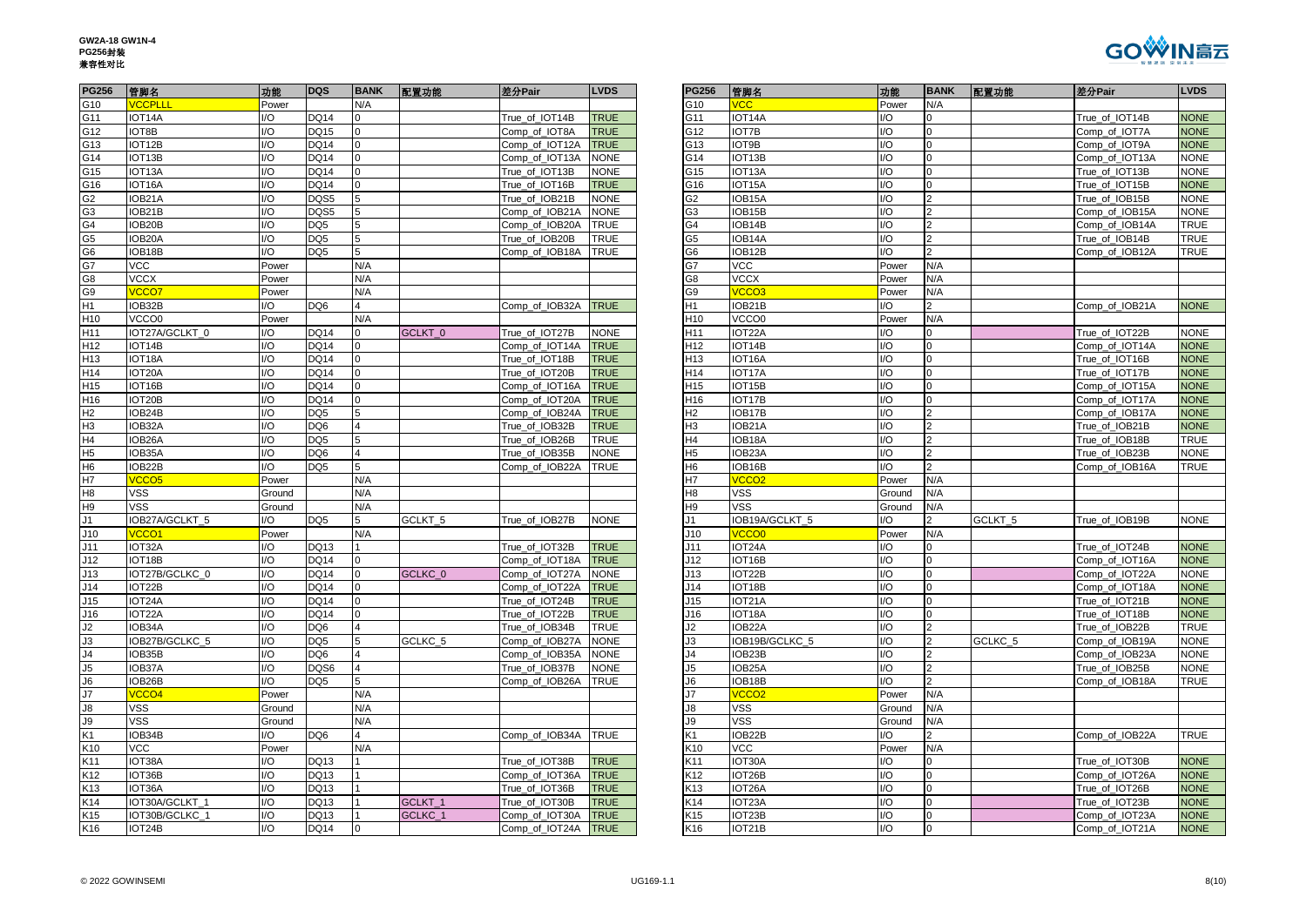| GW2A-18 GW1N-4 |
|----------------|
| <b>PG256封装</b> |
| 兼容性对比          |



| <b>PG256</b>                       | 管脚名                 | 功能                      | <b>DQS</b>      | <b>BANK</b>    | 配置功能    | 差分Pair         | <b>LVDS</b> | <b>PG256</b>    | 管脚名               | 功能            | <b>BANK</b>    | 配置功能    | 差分Pair         | <b>LVDS</b> |
|------------------------------------|---------------------|-------------------------|-----------------|----------------|---------|----------------|-------------|-----------------|-------------------|---------------|----------------|---------|----------------|-------------|
| G10                                | <b>VCCPLLI</b>      | Power                   |                 | N/A            |         |                |             | G10             | <b>VCC</b>        | Power         | N/A            |         |                |             |
| G11                                | IOT14A              | I/O                     | <b>DQ14</b>     |                |         | True_of_IOT14B | <b>TRUE</b> | G11             | IOT14A            | I/O           | 0              |         | True_of_IOT14B | <b>NONE</b> |
| G12                                | IOT8B               | $\mathsf{I}/\mathsf{O}$ | <b>DQ15</b>     |                |         | Comp_of_IOT8A  | <b>TRUE</b> | G12             | <b>IOT7B</b>      | 1/O           |                |         | Comp_of_IOT7A  | <b>NONE</b> |
| G13                                | IOT12B              | I/O                     | <b>DQ14</b>     | $\overline{0}$ |         | Comp_of_IOT12A | <b>TRUE</b> | G13             | IOT9B             | I/O           | $\overline{0}$ |         | Comp_of_IOT9A  | <b>NONE</b> |
| G14                                | IOT13B              | $\mathsf{I}/\mathsf{O}$ | <b>DQ14</b>     |                |         | Comp_of_IOT13A | <b>NONE</b> | G14             | IOT13B            | I/O           | $\Omega$       |         | Comp_of_IOT13A | <b>NONE</b> |
| G15                                | IOT <sub>13</sub> A | I/O                     | <b>DQ14</b>     |                |         | True_of_IOT13B | <b>NONE</b> | G15             | IOT13A            | I/O           | $\overline{0}$ |         | True_of_IOT13B | <b>NONE</b> |
| G16                                | IOT <sub>16</sub> A | 1/O                     | <b>DQ14</b>     | $\Omega$       |         | True_of_IOT16B | <b>TRUE</b> | G16             | IOT15A            | I/O           | $\overline{0}$ |         | True of IOT15B | <b>NONE</b> |
| G <sub>2</sub>                     | IOB21A              | 1/O                     | DQS5            |                |         | True_of_IOB21B | <b>NONE</b> | G <sub>2</sub>  | IOB15A            | I/O           |                |         | True_of_IOB15B | <b>NONE</b> |
| G <sub>3</sub>                     | IOB21B              | I/O                     | DQS5            |                |         | Comp_of_IOB21A | <b>NONE</b> | G <sub>3</sub>  | IOB15B            | I/O           |                |         | Comp_of_IOB15A | <b>NONE</b> |
| G4                                 | IOB20B              | I/O                     | DQ <sub>5</sub> | 5              |         | Comp_of_IOB20A | TRUE        | G4              | IOB14B            | I/O           | $\overline{2}$ |         | Comp_of_IOB14A | TRUE        |
| G5<br>G6                           | IOB20A              | $\mathsf{I}/\mathsf{O}$ | DQ <sub>5</sub> | 5              |         | True of IOB20B | <b>TRUE</b> | G <sub>5</sub>  | IOB14A            | I/O           | $\overline{2}$ |         | True of IOB14B | TRUE        |
|                                    | IOB18B              | 1/O                     | DQ <sub>5</sub> | 5              |         | Comp_of_IOB18A | <b>TRUE</b> | G6              | IOB12B            | I/O           |                |         | Comp_of_IOB12A | TRUE        |
| G7                                 | <b>VCC</b>          | Power                   |                 | N/A            |         |                |             | G7              | <b>VCC</b>        | Power         | N/A            |         |                |             |
| G8                                 | <b>VCCX</b>         | Power                   |                 | N/A            |         |                |             | G8              | <b>VCCX</b>       | Power         | N/A            |         |                |             |
| G9                                 | <b>VCCO7</b>        | Power                   |                 | N/A            |         |                |             | G9              | <b>VCCO3</b>      | Power         | N/A            |         |                |             |
| H <sub>1</sub>                     | IOB32B              | 1/O                     | DQ6             | $\overline{4}$ |         | Comp_of_IOB32A | <b>TRUE</b> | H1              | IOB21B            | I/O           | $\mathcal{P}$  |         | Comp_of_IOB21A | <b>NONE</b> |
| H <sub>10</sub>                    | VCCO0               | Power                   |                 | N/A            |         |                |             | H <sub>10</sub> | VCCO0             | Power         | N/A            |         |                |             |
| H11                                | IOT27A/GCLKT 0      | $\mathsf{I}/\mathsf{O}$ | <b>DQ14</b>     | $\Omega$       | GCLKT 0 | True of IOT27B | <b>NONE</b> | H <sub>11</sub> | IOT22A            | 1/O           | $\Omega$       |         | True of IOT22B | <b>NONE</b> |
| H12                                | IOT14B              | I/O                     | <b>DQ14</b>     | $\overline{0}$ |         | Comp_of_IOT14A | <b>TRUE</b> | H <sub>12</sub> | IOT14B            | I/O           | $\overline{0}$ |         | Comp_of_IOT14A | <b>NONE</b> |
| H13                                | IOT18A              | $\mathsf{I}/\mathsf{O}$ | <b>DQ14</b>     |                |         | True_of_IOT18B | <b>TRUE</b> | H13             | IOT16A            | I/O           | $\Omega$       |         | True_of_IOT16B | <b>NONE</b> |
| H <sub>14</sub>                    | IOT20A              | $\mathsf{I}/\mathsf{O}$ | <b>DQ14</b>     |                |         | True_of_IOT20B | <b>TRUE</b> | H <sub>14</sub> | IOT17A            | 1/O           | $\Omega$       |         | True_of_IOT17B | <b>NONE</b> |
| H <sub>15</sub>                    | IOT16B              | 1/O                     | <b>DQ14</b>     | $\Omega$       |         | Comp_of_IOT16A | <b>TRUE</b> | H <sub>15</sub> | IOT15B            | I/O           | $\overline{0}$ |         | Comp_of_IOT15A | <b>NONE</b> |
| H16                                | IOT20B              | I/O                     | <b>DQ14</b>     |                |         | Comp_of_IOT20A | <b>TRUE</b> | H16             | IOT17B            | I/O           | $\Omega$       |         | Comp_of_IOT17A | <b>NONE</b> |
| H2                                 | IOB24B              | I/O                     | DQ <sub>5</sub> |                |         | Comp_of_IOB24A | TRUE        | H2              | IOB17B            | I/O           |                |         | Comp_of_IOB17A | <b>NONE</b> |
| H <sub>3</sub>                     | IOB32A              | I/O                     | DQ6             | $\overline{4}$ |         | True_of_IOB32B | <b>TRUE</b> | H <sub>3</sub>  | IOB21A            | I/O           | $\overline{2}$ |         | True_of_IOB21B | <b>NONE</b> |
| H4                                 | IOB26A              | $\mathsf{I}/\mathsf{O}$ | DQ <sub>5</sub> |                |         | True_of_IOB26B | <b>TRUE</b> | H4              | IOB18A            | I/O           | $\overline{2}$ |         | True_of_IOB18B | TRUE        |
| H <sub>5</sub>                     | IOB35A              | I/O                     | DQ6             |                |         | True_of_IOB35B | <b>NONE</b> | H <sub>5</sub>  | IOB23A            | I/O           | $\overline{2}$ |         | True_of_IOB23B | <b>NONE</b> |
| H <sub>6</sub>                     | IOB22B              | $\mathsf{I}/\mathsf{O}$ | DQ <sub>5</sub> | $\overline{5}$ |         | Comp_of_IOB22A | TRUE        | H <sub>6</sub>  | IOB16B            | I/O           | $\overline{2}$ |         | Comp_of_IOB16A | TRUE        |
| H7                                 | /CCO <sub>5</sub>   | Power                   |                 | N/A            |         |                |             | H7              | VCCO <sub>2</sub> | Power         | N/A            |         |                |             |
| H8                                 | √SS                 | Ground                  |                 | N/A            |         |                |             | H8              | <b>VSS</b>        | Ground        | N/A            |         |                |             |
| H9                                 | VSS                 | Ground                  |                 | N/A            |         |                |             | H9              | <b>VSS</b>        | Ground        | N/A            |         |                |             |
| J <sub>1</sub>                     | IOB27A/GCLKT_5      | 1/O                     | DQ <sub>5</sub> | 5              | GCLKT_5 | True_of_IOB27B | <b>NONE</b> | J1              | IOB19A/GCLKT_5    | I/O           |                | GCLKT_5 | True_of_IOB19B | VONE        |
| J10                                | VCCO <sub>1</sub>   | Power                   |                 | N/A            |         |                |             | J10             | <b>VCCO0</b>      | Power         | N/A            |         |                |             |
| J11                                | IOT32A              | I/O                     | DQ13            |                |         | True_of_IOT32B | <b>TRUE</b> | J11             | IOT24A            | I/O           | $\mathbf 0$    |         | True_of_IOT24B | <b>NONE</b> |
| J12                                | IOT18B              | I/O                     | <b>DQ14</b>     |                |         | Comp_of_IOT18A | <b>TRUE</b> | J12             | IOT16B            | I/O           | $\Omega$       |         | Comp_of_IOT16A | <b>VONE</b> |
| J13                                | IOT27B/GCLKC 0      | $\mathsf{I}/\mathsf{O}$ | <b>DQ14</b>     |                | GCLKC 0 | Comp of IOT27A | <b>NONE</b> | J13             | IOT22B            | I/O           |                |         | Comp of IOT22A | <b>NONE</b> |
| J14                                | IOT22B              | $\mathsf{I}/\mathsf{O}$ | <b>DQ14</b>     | $\Omega$       |         | Comp_of_IOT22A | <b>TRUE</b> | J14             | IOT18B            | I/O           | $\overline{0}$ |         | Comp_of_IOT18A | <b>NONE</b> |
| J15                                | IOT24A              | I/O                     | <b>DQ14</b>     |                |         | True_of_IOT24B | <b>TRUE</b> | J15             | IOT21A            | I/O           | $\overline{0}$ |         | True_of_IOT21B | <b>NONE</b> |
| J16                                | IOT22A              | I/O                     | DQ14            | $\Omega$       |         | True_of_IOT22B | <b>TRUE</b> | J16             | IOT18A            | I/O           | $\overline{0}$ |         | True_of_IOT18B | <b>NONE</b> |
|                                    | IOB34A              | $\mathsf{I}/\mathsf{O}$ | DQ <sub>6</sub> | $\overline{4}$ |         | True_of_IOB34B | <b>TRUE</b> | J2              | IOB22A            | I/O           | $\overline{2}$ |         | True_of_IOB22B | TRUE        |
| $\frac{J2}{J3}$<br>$\frac{J3}{J4}$ | IOB27B/GCLKC 5      | $\mathsf{I}/\mathsf{O}$ | DQ5             |                | GCLKC_5 | Comp_of_IOB27A | <b>NONE</b> | J3              | IOB19B/GCLKC_5    | I/O           | $\overline{2}$ | GCLKC_5 | Comp_of_IOB19A | <b>NONE</b> |
|                                    | IOB35B              | I/O                     | DQ <sub>6</sub> |                |         | Comp_of_IOB35A | <b>VONE</b> | J4              | IOB23B            | I/O           |                |         | Comp_of_IOB23A | <b>NONE</b> |
|                                    | IOB37A              | $\mathsf{I}/\mathsf{O}$ | DQS6            | $\overline{4}$ |         | True_of_IOB37B | <b>NONE</b> | J5              | IOB25A            | I/O           | $\overline{2}$ |         | True_of_IOB25B | <b>NONE</b> |
| J6                                 | IOB26B              | $\mathsf{I}/\mathsf{O}$ | DQ <sub>5</sub> | 5              |         | Comp_of_IOB26A | <b>TRUE</b> | J6              | IOB18B            | I/O           |                |         | Comp_of_IOB18A | TRUE        |
|                                    | VCCO <sub>4</sub>   |                         |                 | N/A            |         |                |             | J7              | VCCO <sub>2</sub> |               | N/A            |         |                |             |
| J7<br>J8                           |                     | Power                   |                 |                |         |                |             |                 | <b>VSS</b>        | Power         |                |         |                |             |
| J9                                 | VSS<br><b>VSS</b>   | Ground                  |                 | N/A            |         |                |             | J8<br>J9        | <b>VSS</b>        | Ground        | N/A            |         |                |             |
| K <sub>1</sub>                     | IOB34B              | Ground<br>1/O           | DQ6             | N/A            |         | Comp of IOB34A | <b>TRUE</b> | K1              | IOB22B            | Ground<br>I/O | N/A            |         | Comp of IOB22A |             |
|                                    |                     |                         |                 |                |         |                |             |                 |                   |               |                |         |                | TRUE        |
| K10                                | <b>VCC</b>          | Power                   |                 | N/A            |         |                |             | K10             | <b>VCC</b>        | Power         | N/A            |         |                |             |
| K11                                | IOT38A              | I/O                     | DQ13            |                |         | True_of_IOT38B | <b>TRUE</b> | K11             | IOT30A            | I/O           | $\Omega$       |         | True_of_IOT30B | <b>NONE</b> |
| K12                                | IOT36B              | $\mathsf{I}/\mathsf{O}$ | DQ13            |                |         | Comp_of_IOT36A | <b>TRUE</b> | K12             | IOT26B            | I/O           |                |         | Comp of IOT26A | <b>NONE</b> |
| K13                                | IOT36A              | I/O                     | DQ13            |                |         | True_of_IOT36B | <b>TRUE</b> | K13             | IOT26A            | I/O           | $\overline{0}$ |         | True_of_IOT26B | <b>NONE</b> |
| K14                                | IOT30A/GCLKT_1      | I/O                     | DQ13            |                | GCLKT_1 | True_of_IOT30B | <b>TRUE</b> | K14             | IOT23A            | I/O           | $\Omega$       |         | True_of_IOT23B | <b>NONE</b> |
| K15                                | IOT30B/GCLKC 1      | $\mathsf{I}/\mathsf{O}$ | DQ13            |                | GCLKC 1 | Comp of IOT30A | <b>TRUE</b> | K15             | IOT23B            | 1/O           | $\overline{0}$ |         | Comp of IOT23A | <b>NONE</b> |
| K16                                | IOT24B              | I/O                     | <b>DQ14</b>     | $\overline{0}$ |         | Comp_of_IOT24A | <b>TRUE</b> | K16             | IOT21B            | 1/O           | $\overline{0}$ |         | Comp_of_IOT21A | <b>NONE</b> |

| <b>PG256</b>    | 管脚名                 | 功能     | <b>BANK</b>             | 配置功能    | 差分Pair         | <b>LVDS</b> |
|-----------------|---------------------|--------|-------------------------|---------|----------------|-------------|
| G10             | <b>VCC</b>          | Power  | N/A                     |         |                |             |
| G11             | IOT14A              | I/O    | 0                       |         | True_of_IOT14B | <b>NONE</b> |
| G12             | IOT7B               | I/O    | 0                       |         | Comp_of_IOT7A  | <b>NONE</b> |
| G13             | IOT9B               | I/O    | $\mathbf 0$             |         | Comp_of_IOT9A  | <b>NONE</b> |
| G14             | IOT13B              | I/O    | $\Omega$                |         | Comp_of_IOT13A | <b>NONE</b> |
| G15             | IOT13A              | I/O    | 0                       |         | True of IOT13B | <b>NONE</b> |
| G16             | IOT <sub>15</sub> A | I/O    | 0                       |         | True of IOT15B | <b>NONE</b> |
| G <sub>2</sub>  | IOB15A              | I/O    | $\overline{2}$          |         | True_of_IOB15B | <b>NONE</b> |
| G3              | IOB15B              | I/O    | $\overline{2}$          |         | Comp_of_IOB15A | <b>NONE</b> |
| G4              | IOB14B              | I/O    | $\overline{2}$          |         | Comp_of_IOB14A | TRUE        |
| G <sub>5</sub>  | IOB14A              | I/O    | $\overline{c}$          |         | True_of_IOB14B | TRUE        |
| G6              | IOB12B              | 1/O    | $\overline{2}$          |         | Comp_of_IOB12A | <b>TRUE</b> |
| G7              | VCC                 | Power  | N/A                     |         |                |             |
| G8              | <b>VCCX</b>         | Power  | N/A                     |         |                |             |
| G9              | VCCO <sub>3</sub>   | Power  | N/A                     |         |                |             |
| H1              | IOB21B              | I/O    | 2                       |         | Comp_of_IOB21A | <b>NONE</b> |
| H <sub>10</sub> | VCCO <sub>0</sub>   | Power  | N/A                     |         |                |             |
| H11             | IOT22A              | 1/O    | $\overline{0}$          |         | True_of_IOT22B | <b>NONE</b> |
| H <sub>12</sub> | IOT14B              | I/O    | 0                       |         | Comp_of_IOT14A | <b>NONE</b> |
| H <sub>13</sub> | IOT16A              | I/O    | 0                       |         | True_of_IOT16B | <b>NONE</b> |
| H14             | IOT17A              | I/O    | $\overline{0}$          |         | True of IOT17B | <b>NONE</b> |
| H15             | IOT15B              | I/O    | 0                       |         | Comp_of_IOT15A | <b>NONE</b> |
| H16             | IOT17B              | I/O    | 0                       |         | Comp_of_IOT17A | <b>NONE</b> |
| H <sub>2</sub>  | IOB17B              | 1/O    | $\overline{\mathbf{c}}$ |         | Comp_of_IOB17A | <b>NONE</b> |
| H <sub>3</sub>  | IOB21A              | 1/O    | $\overline{2}$          |         | True_of_IOB21B | <b>NONE</b> |
| H4              | IOB18A              | I/O    | $\overline{c}$          |         | True_of_IOB18B | TRUE        |
| H <sub>5</sub>  | IOB23A              | I/O    | $\overline{2}$          |         | True of IOB23B | <b>NONE</b> |
| H <sub>6</sub>  | IOB16B              | I/O    | $\overline{2}$          |         | Comp_of_IOB16A | TRUE        |
| H7              | VCCO <sub>2</sub>   | Power  | N/A                     |         |                |             |
| H <sub>8</sub>  | <b>VSS</b>          | Ground | N/A                     |         |                |             |
| H <sub>9</sub>  | <b>VSS</b>          | Ground | N/A                     |         |                |             |
| J <sub>1</sub>  | IOB19A/GCLKT 5      | I/O    | $\overline{2}$          | GCLKT_5 | True of IOB19B | <b>NONE</b> |
| J10             | <b>VCCO0</b>        | Power  | N/A                     |         |                |             |
| J11             | IOT24A              | I/O    | 0                       |         | True_of_IOT24B | <b>NONE</b> |
| J12             | IOT16B              | I/O    | 0                       |         | Comp_of_IOT16A | <b>NONE</b> |
| J13             | IOT22B              | I/O    | 0                       |         | Comp_of_IOT22A | <b>NONE</b> |
| J14             | IOT18B              | I/O    | 0                       |         | Comp_of_IOT18A | <b>NONE</b> |
| J15             | IOT21A              | 1/O    | 0                       |         | True_of_IOT21B | <b>NONE</b> |
| J16             | IOT18A              | I/O    | 0                       |         | True of IOT18B | <b>NONE</b> |
| J2              | IOB22A              | I/O    | $\overline{2}$          |         | True_of_IOB22B | TRUE        |
| J3              | IOB19B/GCLKC 5      | I/O    | $\overline{2}$          | GCLKC_5 | Comp_of_IOB19A | <b>NONE</b> |
| J4              | IOB23B              | I/O    | $\overline{2}$          |         | Comp_of_IOB23A | <b>NONE</b> |
| J5              | IOB25A              | 1/O    | $\overline{2}$          |         | True of IOB25B | <b>NONE</b> |
| J6              | IOB18B              | I/O    | $\overline{2}$          |         | Comp of IOB18A | TRUE        |
| J7              | VCCO <sub>2</sub>   | Power  | N/A                     |         |                |             |
| J8              | <b>VSS</b>          | Ground | N/A                     |         |                |             |
| J9              | VSS                 | Ground | N/A                     |         |                |             |
| K <sub>1</sub>  | IOB22B              | I/O    | $\overline{c}$          |         | Comp_of_IOB22A | TRUE        |
| K10             | VCC                 | Power  | N/A                     |         |                |             |
| K11             | IOT30A              | 1/O    | 0                       |         | True of IOT30B | <b>NONE</b> |
| K12             | IOT26B              | 1/O    | 0                       |         | Comp_of_IOT26A | <b>NONE</b> |
| K13             | IOT26A              | I/O    | 0                       |         | True_of_IOT26B | <b>NONE</b> |
| K14             | IOT23A              | I/O    | 0                       |         | True_of_IOT23B | <b>NONE</b> |
| K15             | IOT23B              | I/O    | $\overline{0}$          |         | Comp_of_IOT23A | <b>NONE</b> |
| K16             | IOT21B              | 1/O    | 0                       |         | Comp_of_IOT21A | <b>NONE</b> |
|                 |                     |        |                         |         |                |             |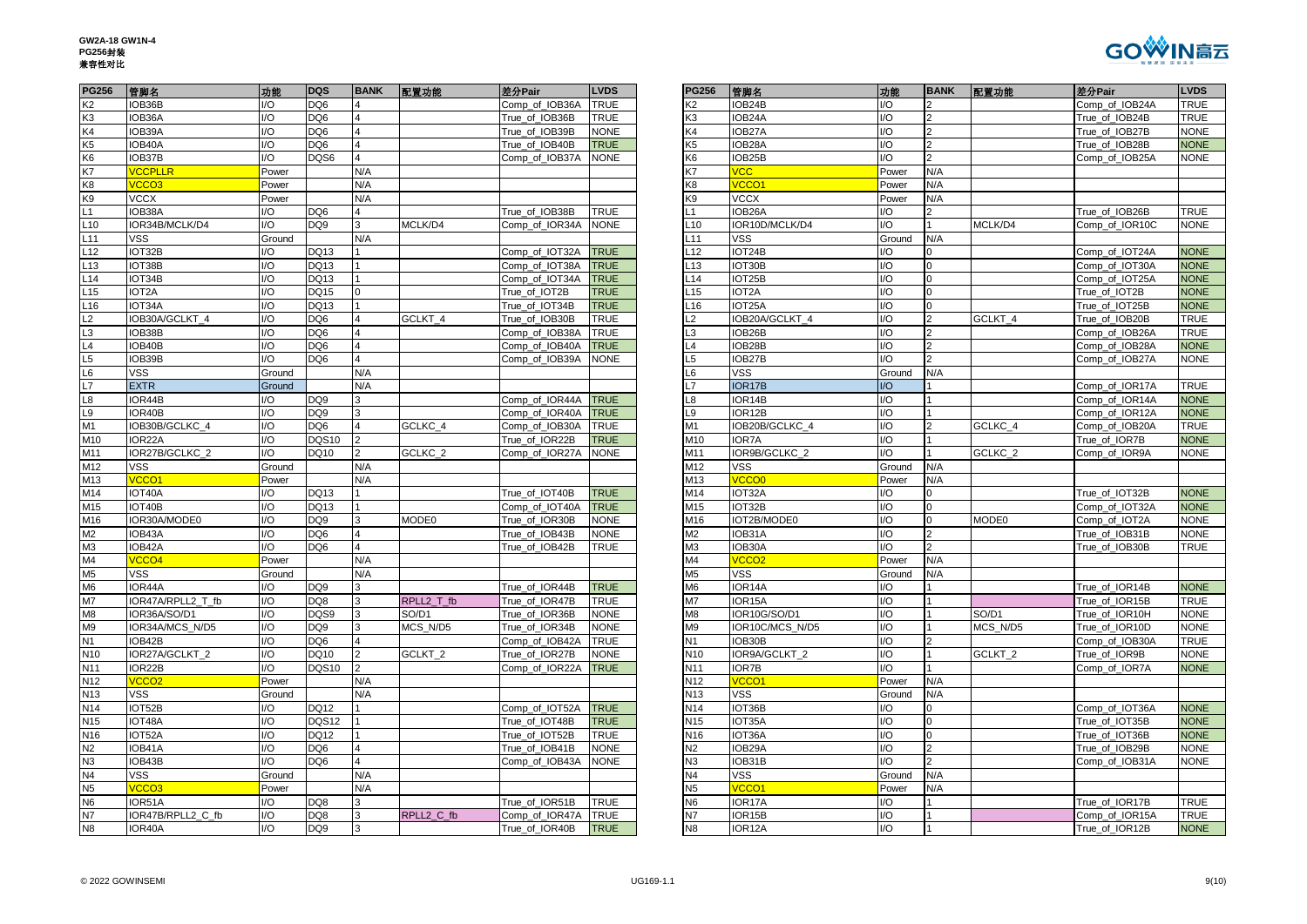

| <b>PG256</b>    | 管脚名               | 功能             | <b>DQS</b>      |                         | BANK 配置功能          | 差分Pair              | <b>LVDS</b> | <b>PG256</b>    | 管脚名                 | 功能     |                | BANK 配置功能          | 差分Pair         | <b>LVDS</b> |
|-----------------|-------------------|----------------|-----------------|-------------------------|--------------------|---------------------|-------------|-----------------|---------------------|--------|----------------|--------------------|----------------|-------------|
| K <sub>2</sub>  | IOB36B            | VO.            | DQ6             | 4                       |                    | Comp_of_IOB36A      | <b>TRUE</b> | K2              | IOB24B              | I/O    |                |                    | Comp_of_IOB24A | TRUE        |
| K <sub>3</sub>  | OB36A             | I/O            | DQ6             |                         |                    | True of IOB36B      | <b>TRUE</b> | K <sub>3</sub>  | IOB24A              | 1/O    |                |                    | True of IOB24B | TRUE        |
| K4              | IOB39A            | VO             | DQ6             |                         |                    | True_of_IOB39B      | <b>NONE</b> | K4              | IOB27A              | I/O    | $\overline{2}$ |                    | True of IOB27B | <b>NONE</b> |
| K <sub>5</sub>  | IOB40A            | VO             | DQ6             | $\overline{\mathbf{A}}$ |                    | True_of_IOB40B      | <b>TRUE</b> | K <sub>5</sub>  | IOB28A              | I/O    |                |                    | True_of_IOB28B | <b>NONE</b> |
| K <sub>6</sub>  | OB37B             | $\overline{O}$ | DQS6            |                         |                    | Comp_of_IOB37A      | <b>NONE</b> | K <sub>6</sub>  | IOB25B              | 1/O    |                |                    | Comp_of_IOB25A | <b>NONE</b> |
| K7              | <b>CCPLLR</b>     | Power          |                 | N/A                     |                    |                     |             | K7              | $\overline{C}$      | Power  | N/A            |                    |                |             |
| K <sub>8</sub>  | <b>CCO3</b>       | Power          |                 | N/A                     |                    |                     |             | K <sub>8</sub>  | <b>CCO1</b>         | Power  | N/A            |                    |                |             |
| K <sub>9</sub>  | VCCX              | Power          |                 | N/A                     |                    |                     |             | K9              | <b>VCCX</b>         | Power  | N/A            |                    |                |             |
| L1              | IOB38A            | VO.            | DQ6             |                         |                    | True_of_IOB38B      | <b>TRUE</b> |                 | IOB26A              | I/O    |                |                    | True_of_IOB26B | TRUE        |
| L10             | IOR34B/MCLK/D4    | I/O            | DQ <sub>9</sub> | 3                       | MCLK/D4            | Comp of IOR34A      | <b>NONE</b> | .10             | IOR10D/MCLK/D4      | 1/O    |                | MCLK/D4            | Comp of IOR10C | <b>NONE</b> |
| L11             | VSS.              | Ground         |                 | N/A                     |                    |                     |             | .11             | <b>VSS</b>          | Ground | N/A            |                    |                |             |
| L12             | IOT32B            | /O             | DQ13            |                         |                    | Comp_of_IOT32A      | <b>TRUE</b> | 12              | IOT24B              | I/O    |                |                    | Comp_of_IOT24A | <b>NONE</b> |
| L13             | IOT38B            | /O             | DQ13            |                         |                    | Comp_of_IOT38A      | <b>TRUE</b> | $-13$           | IOT30B              | I/O    | $\Omega$       |                    | Comp_of_IOT30A | <b>NONE</b> |
| L14             | IOT34B            | /O             | DQ13            |                         |                    | Comp_of_IOT34A      | <b>TRUE</b> | .14             | IOT25B              | I/O    | $\Omega$       |                    | Comp_of_IOT25A | <b>NONE</b> |
| L15             | IOT2A             | /O             | DQ15            |                         |                    | True_of_IOT2B       | <b>TRUE</b> | .15             | IOT <sub>2</sub> A  | 1/O    |                |                    | True_of_IOT2B  | <b>NONE</b> |
| L <sub>16</sub> | IOT34A            | I/O            | DQ13            |                         |                    | True_of_IOT34B      | <b>TRUE</b> | $-16$           | IOT25A              | I/O    | $\mathbf 0$    |                    | True_of_IOT25B | <b>NONE</b> |
| $\overline{5}$  | OB30A/GCLKT 4     | /O             | DQ6             |                         | GCLKT_4            | True_of_IOB30B      | <b>TRUE</b> | $\overline{2}$  | IOB20A/GCLKT_4      | I/O    |                | GCLKT 4            | True_of_IOB20B | TRUE        |
|                 | OB38B             | /O             | DQ6             |                         |                    | Comp_of_IOB38A      | <b>TRUE</b> |                 | OB <sub>26</sub> B  | 1/O    |                |                    | Comp of IOB26A | TRUE        |
| $\frac{L3}{L4}$ | IOB40B            | /O             | DQ6             |                         |                    | Comp_of_IOB40A      | <b>TRUE</b> | $\mathsf{L}4$   | IOB28B              | I/O    |                |                    | Comp_of_IOB28A | <b>NONE</b> |
| $L5$<br>$L6$    | IOB39B            | $\overline{O}$ | DQ6             |                         |                    | Comp_of_IOB39A      | <b>NONE</b> | L5              | IOB27B              | I/O    |                |                    | Comp_of_IOB27A | <b>NONE</b> |
|                 | <b>VSS</b>        | Ground         |                 | N/A                     |                    |                     |             | L6              | <b>VSS</b>          | Ground | N/A            |                    |                |             |
| L7              | <b>EXTR</b>       | Ground         |                 | N/A                     |                    |                     |             | L7              | IOR17B              | I/O    |                |                    | Comp_of_IOR17A | TRUE        |
|                 | OR44B             | /O             | DQ <sub>9</sub> |                         |                    | Comp of IOR44A TRUE |             | L8              | IOR14B              | I/O    |                |                    | Comp of IOR14A | <b>NONE</b> |
| L8<br>L9        | OR40B             | /O             | DQ <sub>9</sub> |                         |                    | Comp of IOR40A      | <b>TRUE</b> | L9              | IOR12B              | I/O    |                |                    | Comp_of_IOR12A | <b>NONE</b> |
| M1              | IOB30B/GCLKC_4    | VO.            | DQ6             |                         | GCLKC 4            | Comp_of_IOB30A      | <b>TRUE</b> | M1              | IOB20B/GCLKC_4      | I/O    |                | GCLKC 4            | Comp_of_IOB20A | TRUE        |
| M10             | OR22A             | /O             | <b>DQS10</b>    |                         |                    | True of IOR22B      | <b>TRUE</b> | M10             | IOR7A               | 1/O    |                |                    | True of IOR7B  | <b>NONE</b> |
| M11             | IOR27B/GCLKC 2    | /O             | DQ10            |                         | GCLKC <sub>2</sub> | Comp_of_IOR27A      | <b>NONE</b> | M11             | IOR9B/GCLKC 2       | I/O    |                | GCLKC <sub>2</sub> | Comp_of_IOR9A  | <b>NONE</b> |
| M12             | VSS               | Ground         |                 | N/A                     |                    |                     |             | M12             | VSS                 | Ground | N/A            |                    |                |             |
| M13             | <b>CCO1</b>       | Power          |                 | N/A                     |                    |                     |             | M13             | <b>CCOO</b>         | Power  | N/A            |                    |                |             |
| M14             | IOT40A            | /O             | DQ13            |                         |                    | True of IOT40B      | <b>TRUE</b> | M14             | IOT32A              | I/O    |                |                    | True of IOT32B | <b>NONE</b> |
| M15             | IOT40B            | /O             | DQ13            |                         |                    | Comp_of_IOT40A      | <b>TRUE</b> | M15             | IOT32B              | I/O    | $\Omega$       |                    | Comp_of_IOT32A | <b>NONE</b> |
| M16             | IOR30A/MODE0      | /O             | DQ9             |                         | <b>MODE0</b>       | True_of_IOR30B      | <b>NONE</b> | M16             | IOT2B/MODE0         | I/O    | 0              | MODE0              | Comp_of_IOT2A  | <b>NONE</b> |
| M2              | OB43A             | /O             | DQ6             |                         |                    | True_of_IOB43B      | <b>NONE</b> | M2              | IOB31A              | I/O    |                |                    | True_of_IOB31B | <b>NONE</b> |
| M3<br>M4        | IOB42A            | I/O            | DQ6             |                         |                    | True of IOB42B      | <b>TRUE</b> | M3              | IOB30A              | I/O    |                |                    | True of IOB30B | TRUE        |
|                 | <b>/CCO4</b>      | Power          |                 | N/A                     |                    |                     |             | M4              | VCCO <sub>2</sub>   | Power  | N/A            |                    |                |             |
| M <sub>5</sub>  | VSS               | Ground         |                 | N/A                     |                    |                     |             | M <sub>5</sub>  | VSS                 | Ground | N/A            |                    |                |             |
|                 | IOR44A            | /O             | DQ <sub>9</sub> |                         |                    | True of IOR44B      | <b>TRUE</b> | M <sub>6</sub>  | IOR14A              | I/O    |                |                    | True of IOR14B | <b>NONE</b> |
| M6<br>M7        | IOR47A/RPLL2 T fb | VO.            | DQ8             | 3                       | RPLL2 T fb         | True_of_IOR47B      | <b>TRUE</b> | M7              | IOR15A              | I/O    |                |                    | True_of_IOR15B | TRUE        |
| M8              | OR36A/SO/D1       | /O             | DQS9            |                         | SO/D1              | True_of_IOR36B      | <b>NONE</b> | M <sub>8</sub>  | IOR10G/SO/D1        | I/O    |                | SO/D1              | True of IOR10H | <b>NONE</b> |
| M9              | IOR34A/MCS N/D5   | /O             | DQ <sub>9</sub> |                         | MCS N/D5           | True_of_IOR34B      | <b>NONE</b> | M <sub>9</sub>  | IOR10C/MCS N/D5     | I/O    |                | MCS N/D5           | True of IOR10D | <b>NONE</b> |
| N <sub>1</sub>  | IOB42B            | /O             | DQ6             | $\overline{4}$          |                    | Comp_of_IOB42A      | <b>TRUE</b> | <b>N1</b>       | IOB30B              | I/O    | $\overline{2}$ |                    | Comp_of_IOB30A | TRUE        |
| N <sub>10</sub> | IOR27A/GCLKT 2    | /O             | DQ10            | $\mathcal{P}$           | GCLKT <sub>2</sub> | True of IOR27B      | <b>NONE</b> | N <sub>10</sub> | IOR9A/GCLKT 2       | I/O    |                | GCLKT <sub>2</sub> | True of IOR9B  | <b>NONE</b> |
| N11             | IOR22B            | VO             | <b>DQS10</b>    |                         |                    | Comp_of_IOR22A      | <b>TRUE</b> | N11             | IOR7B               | I/O    |                |                    | Comp_of_IOR7A  | <b>NONE</b> |
| N <sub>12</sub> | VCCO <sub>2</sub> | Power          |                 | N/A                     |                    |                     |             | N12             | VCCO <sub>1</sub>   | Power  | N/A            |                    |                |             |
| N <sub>13</sub> | VSS               | Ground         |                 | N/A                     |                    |                     |             | N <sub>13</sub> | <b>VSS</b>          | Ground | N/A            |                    |                |             |
| N <sub>14</sub> | IOT52B            | /O             | DQ12            |                         |                    | Comp_of_IOT52A      | <b>TRUE</b> | N <sub>14</sub> | IOT36B              | I/O    |                |                    | Comp_of_IOT36A | <b>NONE</b> |
| N15             | IOT48A            | /O             | DQS12           |                         |                    | True_of_IOT48B      | <b>TRUE</b> | N <sub>15</sub> | IOT35A              | I/O    | $\Omega$       |                    | True_of_IOT35B | <b>NONE</b> |
| N <sub>16</sub> | IOT52A            | I/O            | DQ12            |                         |                    | True_of_IOT52B      | <b>TRUE</b> | N <sub>16</sub> | IOT36A              | I/O    | $\Omega$       |                    | True of IOT36B | <b>NONE</b> |
| N <sub>2</sub>  | OB41A             | /O             | DQ6             |                         |                    | True_of_IOB41B      | <b>NONE</b> | N2              | IOB29A              | I/O    |                |                    | True_of_IOB29B | NONE        |
| N3              | IOB43B            | I/O            | DQ <sub>6</sub> | $\Delta$                |                    | Comp_of_IOB43A      | <b>NONE</b> | N <sub>3</sub>  | IOB31B              | 1/O    |                |                    | Comp_of_IOB31A | <b>NONE</b> |
| N <sub>4</sub>  | VSS               | Ground         |                 | N/A                     |                    |                     |             | N <sub>4</sub>  | <b>VSS</b>          | Ground | N/A            |                    |                |             |
| N <sub>5</sub>  | VCCO <sub>3</sub> | Power          |                 | N/A                     |                    |                     |             | N <sub>5</sub>  | <b>CCO1</b>         | Power  | N/A            |                    |                |             |
| N <sub>6</sub>  | IOR51A            | /O             | DQ8             |                         |                    | True of IOR51B      | <b>TRUE</b> | N <sub>6</sub>  | IOR <sub>17</sub> A | I/O    |                |                    | True_of_IOR17B | <b>TRUE</b> |
| N7              | IOR47B/RPLL2_C_fb | VO.            | DQ8             | 3                       | RPLL2 C fb         | Comp_of_IOR47A      | <b>TRUE</b> | N7              | IOR15B              | I/O    |                |                    | Comp_of_IOR15A | TRUE        |
| N <sub>8</sub>  | IOR40A            | UQ             | DQ <sub>9</sub> | 3                       |                    | True of IOR40B      | <b>TRUE</b> | <b>N8</b>       | IOR <sub>12</sub> A | 1/O    |                |                    | True of IOR12B | <b>NONE</b> |

| PG256           | 管脚名                             | 功能                      | <b>DQS</b>             | <b>BANK</b>             | 配置功能       | 差分Pair         | <b>LVDS</b> | <b>PG256</b>         | 管脚名                  | 功能          | <b>BANK</b>    | 配置功能     | 差分Pair         | <b>LVDS</b>                |
|-----------------|---------------------------------|-------------------------|------------------------|-------------------------|------------|----------------|-------------|----------------------|----------------------|-------------|----------------|----------|----------------|----------------------------|
| К2              | IOB36B                          | I/O                     | DQ6                    | $\overline{a}$          |            | Comp_of_IOB36A | <b>TRUE</b> | К2                   | IOB24B               | I/O         | $\mathcal{P}$  |          | Comp_of_IOB24A | <b>TRUE</b>                |
| K3              | OB36A                           | I/O                     | DQ <sub>6</sub>        | $\overline{\mathbf{A}}$ |            | True of IOB36B | TRUE        | K3                   | IOB24A               | I/O         | $\overline{2}$ |          | True of IOB24B | <b>TRUE</b>                |
| K4              | OB39A                           | I/O                     | DQ6                    | $\overline{4}$          |            | True of IOB39B | <b>NONE</b> | K4                   | IOB27A               | I/O         | $\overline{2}$ |          | True of IOB27B | <b>NONE</b>                |
| K5              | OB40A                           | I/O                     | DQ6                    | $\overline{4}$          |            | True_of_IOB40B | <b>TRUE</b> | K5                   | IOB28A               | I/O         | $\overline{2}$ |          | True_of_IOB28B | <b>NONE</b>                |
| K6              | OB37B                           | I/O                     | DQS6                   | $\overline{4}$          |            | Comp_of_IOB37A | <b>NONE</b> | K6                   | IOB25B               | /O          | $\overline{2}$ |          | Comp_of_IOB25A | <b>NONE</b>                |
| K7              | <b>VCCPLLR</b>                  | Power                   |                        | N/A                     |            |                |             | K7                   | <b>VCC</b>           | Power       | N/A            |          |                |                            |
| K8              | VCCO <sub>3</sub>               | Power                   |                        | N/A                     |            |                |             | K8                   | <b>VCCO1</b>         | Power       | N/A            |          |                |                            |
| K9              | <b>VCCX</b>                     | Power                   |                        | N/A                     |            |                |             | K9                   | <b>VCCX</b>          | Power       | N/A            |          |                |                            |
| L1              | OB38A                           | I/O                     | DQ6                    |                         |            | True of IOB38B | TRUE        | L1                   | IOB26A               | /O          | 2              |          | True_of_IOB26B | <b>TRUE</b>                |
| L10             | OR34B/MCLK/D4                   | I/O                     | DQ <sub>9</sub>        | 3                       | MCLK/D4    | Comp_of_IOR34A | <b>NONE</b> | L10                  | IOR10D/MCLK/D4       | /O          |                | MCLK/D4  | Comp_of_IOR10C | <b>NONE</b>                |
| L <sub>11</sub> | VSS                             | Ground                  |                        | N/A                     |            |                |             | $-11$                | VSS                  | Ground      | N/A            |          |                |                            |
| L12             | OT32B                           | I/O                     | DQ13                   |                         |            | Comp of IOT32A | <b>TRUE</b> | L12                  | IOT24B               | /O          | $\Omega$       |          | Comp of IOT24A | <b>NONE</b>                |
| L13             | IOT38B                          | I/O                     | DQ13                   |                         |            | Comp_of_IOT38A | <b>TRUE</b> | L13                  | IOT30B               | I/O         | $\overline{0}$ |          | Comp_of_IOT30A | <b>NONE</b>                |
| L <sub>14</sub> | IOT34B                          | I/O                     | DQ13                   |                         |            | Comp_of_IOT34A | <b>TRUE</b> | $\_14$               | IOT25B               | I/O         | $\overline{0}$ |          | Comp_of_IOT25A | <b>NONE</b>                |
| L15             | OT <sub>2</sub> A               | 1/O                     | DQ15                   | 0                       |            | True_of_IOT2B  | <b>TRUE</b> | L15                  | IOT2A                | I/O         | $\overline{0}$ |          | True_of_IOT2B  | <b>NONE</b>                |
| L16             | IOT34A                          | I/O                     | DQ13                   |                         |            | True_of_IOT34B | <b>TRUE</b> | L16                  | IOT25A               | I/O         | $\overline{0}$ |          | True of IOT25B | <b>NONE</b>                |
| L <sub>2</sub>  | OB30A/GCLKT 4                   | I/O                     | DQ6                    |                         | GCLKT 4    | True_of_IOB30B | TRUE        | $\overline{2}$       | IOB20A/GCLKT 4       | I/O         | $\overline{2}$ | GCLKT 4  | True_of_IOB20B | <b>TRUE</b>                |
| L3              | OB38B                           | I/O                     | DQ6                    |                         |            | Comp_of_IOB38A | TRUE        | L3                   | IOB26B               | /O          |                |          | Comp_of_IOB26A | <b>TRUE</b>                |
| L4              | OB40B                           | I/O                     | DQ <sub>6</sub>        | $\overline{4}$          |            | Comp_of_IOB40A | <b>TRUE</b> | L4                   | IOB28B               | I/O         | $\mathfrak{p}$ |          | Comp_of_IOB28A | <b>NONE</b>                |
| L5              | OB39B                           | I/O                     | DQ6                    |                         |            | Comp of IOB39A | <b>NONE</b> | L5                   | IOB27B               | /O          |                |          | Comp_of_IOB27A | <b>NONE</b>                |
| L6              | <b>VSS</b>                      | Ground                  |                        | N/A                     |            |                |             | L6                   | <b>VSS</b>           | Ground      | N/A            |          |                |                            |
| L7              | <b>EXTR</b>                     | Ground                  |                        | N/A                     |            |                |             | L7                   | IOR17B               | I/O         |                |          | Comp_of_IOR17A | <b>TRUE</b>                |
| L8              | OR44B                           | I/O                     | DQ9                    |                         |            | Comp_of_IOR44A | <b>TRUE</b> | -8                   | IOR14B               | /O          |                |          | Comp_of_IOR14A | <b>NONE</b>                |
| L9              | OR40B                           | I/O                     | DQ9                    | 3                       |            | Comp of IOR40A | <b>TRUE</b> | L9                   | IOR <sub>12</sub> B  | I/O         |                |          | Comp of IOR12A | <b>NONE</b>                |
| M1              | OB30B/GCLKC 4                   | I/O                     | DQ6                    | $\overline{4}$          | GCLKC 4    | Comp_of_IOB30A | TRUE        | M1                   | IOB20B/GCLKC_4       | I/O         | $\mathcal{P}$  | GCLKC 4  | Comp_of_IOB20A | <b>TRUE</b>                |
| M10             | OR22A                           | I/O                     | <b>DQS10</b>           | $\overline{2}$          |            | True_of_IOR22B | <b>TRUE</b> | M10                  | IOR7A                | /O          |                |          | True_of_IOR7B  | <b>NONE</b>                |
| M11             | OR27B/GCLKC_2                   | I/O                     | DQ10                   | $\overline{2}$          | GCLKC_2    | Comp_of_IOR27A | <b>NONE</b> | M11                  | IOR9B/GCLKC_2        | /O          |                | GCLKC_2  | Comp_of_IOR9A  | <b>NONE</b>                |
| M12             | <b>VSS</b>                      | Ground                  |                        | N/A                     |            |                |             | M12                  | <b>VSS</b>           | Ground      | N/A            |          |                |                            |
| M13             | VCCO1                           | Power                   |                        | N/A                     |            |                |             | M13                  | /CCO0                | Power       | N/A            |          |                |                            |
| M14             | OT40A                           | I/O                     | DQ13                   |                         |            | True_of_IOT40B | <b>TRUE</b> | M14                  | IOT32A               | /O          |                |          | True of IOT32B | <b>NONE</b>                |
| M15             | OT40B                           | I/O                     | DQ13                   |                         |            | Comp_of_IOT40A | <b>TRUE</b> | M15                  | IOT32B               | I/O         | $\overline{0}$ |          | Comp_of_IOT32A | <b>NONE</b>                |
| M16             | OR30A/MODE0                     | I/O                     | DQ9                    |                         | MODE0      | True_of_IOR30B | NONE        | M16                  | IOT2B/MODE0          | /O          | $\mathbf 0$    | MODE0    | Comp_of_IOT2A  | <b>NONE</b>                |
| M2              | OB43A                           | I/O                     | DQ6                    | 4                       |            | True of IOB43B | <b>NONE</b> | M2                   | IOB31A               | /O          | $\overline{2}$ |          | True of IOB31B | <b>NONE</b>                |
| MЗ              | OB42A                           | I/O                     | DQ <sub>6</sub>        | $\overline{4}$          |            | True_of_IOB42B | <b>TRUE</b> | M <sub>3</sub>       | IOB30A               | /O          |                |          | True_of_IOB30B | <b>TRUE</b>                |
| M4              | VCCO4                           | Power                   |                        | N/A                     |            |                |             | M4                   | /CCO <sub>2</sub>    | Power       | N/A            |          |                |                            |
| M5              | VSS                             | Ground                  |                        | N/A                     |            |                |             | M <sub>5</sub>       | <b>VSS</b>           | Ground      | N/A            |          |                |                            |
| M6              | IOR44A                          | I/O                     | DQ <sub>9</sub>        | 3                       |            | True_of_IOR44B | <b>TRUE</b> | M <sub>6</sub>       | IOR14A               | I/O         |                |          | True of IOR14B | <b>NONE</b>                |
| M7              | OR47A/RPLL2 T fb                | I/O                     | DQ8                    | 3                       | RPLL2 T fb | True of IOR47B | TRUE        | M7                   | IOR15A               | /O          |                |          | True of IOR15B | <b>TRUE</b>                |
| M8              | OR36A/SO/D1                     | I/O                     | DQS9                   | 3                       | SO/D1      | True of IOR36B | <b>NONE</b> | M <sub>8</sub>       | IOR10G/SO/D1         | I/O         |                | SO/D1    | True of IOR10H | <b>NONE</b>                |
| M9              | IOR34A/MCS_N/D5                 | I/O                     | DQ9                    | 3                       | MCS_N/D5   | True_of_IOR34B | <b>NONE</b> | M9                   | IOR10C/MCS_N/D5      | I/O         |                | MCS_N/D5 | True_of_IOR10D | <b>NONE</b>                |
| N1              | OB42B                           | I/O                     | DQ <sub>6</sub>        | 4<br>$\overline{2}$     |            | Comp_of_IOB42A | TRUE        | N1                   | IOB30B               | /O          | $\mathfrak{p}$ |          | Comp_of_IOB30A | <b>TRUE</b>                |
| N <sub>10</sub> | IOR27A/GCLKT 2                  | $\mathsf{I}/\mathsf{O}$ | DQ10                   |                         | GCLKT_2    | True of IOR27B | <b>NONE</b> | N <sub>10</sub>      | IOR9A/GCLKT 2        | I/O         |                | GCLKT_2  | True of IOR9B  | <b>NONE</b>                |
| N11             | IOR22B                          | I/O                     | <b>DQS10</b>           | $\overline{2}$          |            | Comp_of_IOR22A | <b>TRUE</b> | N11                  | <b>IOR7B</b>         | /O          |                |          | Comp_of_IOR7A  | <b>NONE</b>                |
| N12             | VCCO <sub>2</sub>               | Power                   |                        | N/A                     |            |                |             | N12                  | /CCO1                | Power       | N/A            |          |                |                            |
| N <sub>13</sub> | <b>VSS</b>                      | Ground                  |                        | N/A                     |            |                |             | N <sub>13</sub>      | <b>VSS</b>           | Ground      | N/A            |          |                |                            |
| N14             | IOT52B                          | I/O                     | DQ12                   |                         |            | Comp_of_IOT52A | <b>TRUE</b> | N14                  | IOT36B               | I/O         | $\mathbf 0$    |          | Comp_of_IOT36A | <b>NONE</b>                |
| N15             | OT48A                           | I/O                     | DQS12                  |                         |            | True of IOT48B | <b>TRUE</b> | N <sub>15</sub>      | IOT35A               | I/O         | $\mathbf 0$    |          | True of IOT35B | <b>NONE</b>                |
| N16             | IOT52A                          | I/O                     | DQ12                   |                         |            | True of IOT52B | TRUE        | N <sub>16</sub>      | IOT36A               | I/O         | $\overline{0}$ |          | True of IOT36B | <b>NONE</b>                |
| N2              | IOB41A                          | I/O                     | DQ6                    | $\overline{4}$          |            | True_of_IOB41B | <b>NONE</b> | N2                   | IOB29A               | I/O         | $\overline{2}$ |          | True_of_IOB29B | <b>NONE</b>                |
| N3              | OB43B                           | I/O                     | DQ6                    | $\overline{\mathbf{A}}$ |            | Comp_of_IOB43A | <b>NONE</b> | N3<br>N <sub>4</sub> | IOB31B<br><b>VSS</b> | /O          | $\mathfrak{p}$ |          | Comp_of_IOB31A | <b>NONE</b>                |
| N4<br>N5        | <b>VSS</b><br>VCCO <sub>3</sub> | Ground                  |                        | N/A<br>N/A              |            |                |             |                      | VCCO <sub>1</sub>    | Ground      | N/A<br>N/A     |          |                |                            |
|                 |                                 | Power                   |                        |                         |            |                |             | N5                   |                      | Power<br>/O |                |          |                | <b>TRUE</b>                |
| N6              | OR51A                           | I/O<br>I/O              | DQ8                    | 3<br>3                  |            | True of IOR51B | TRUE        | N6<br>N7             | IOR17A               | I/O         |                |          | True of IOR17B |                            |
| N7<br>N8        | OR47B/RPLL2_C_fb<br>IOR40A      | $\mathsf{I}/\mathsf{O}$ | DQ8<br>DQ <sub>9</sub> | 3                       | RPLL2_C_fb | Comp_of_IOR47A | TRUE        | N8                   | IOR15B               | /O          |                |          | Comp_of_IOR15A | <b>TRUE</b><br><b>NONE</b> |
|                 |                                 |                         |                        |                         |            | True of IOR40B | <b>TRUE</b> |                      | IOR12A               |             |                |          | True of IOR12B |                            |